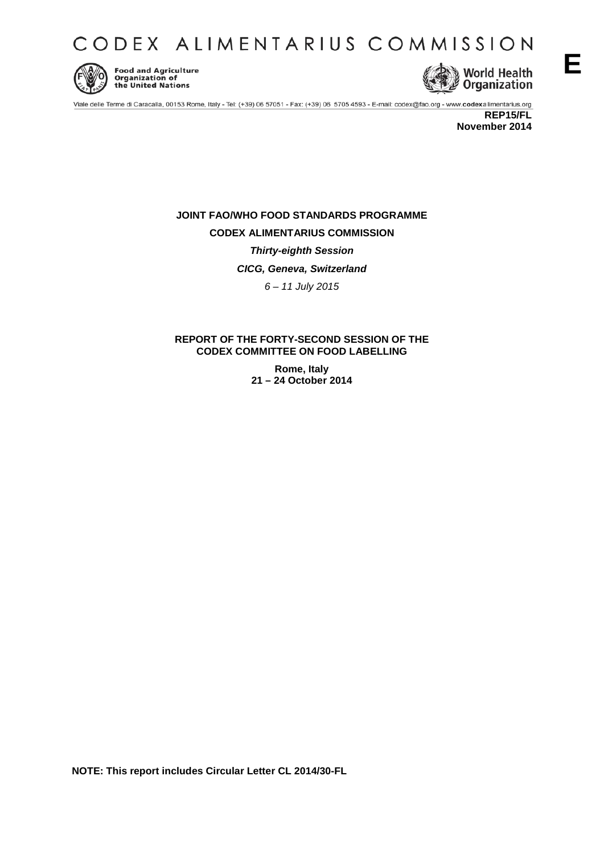CODEX ALIMENTARIUS COMMISSION



Food and Agriculture<br>Organization of<br>the United Nations



Viale delle Terme di Caracalla, 00153 Rome, Italy - Tel: (+39) 06 57051 - Fax: (+39) 06 5705 4593 - E-mail: codex@fao.org - www.codexalimentarius.org

**E**

**REP15/FL November 2014**

# **JOINT FAO/WHO FOOD STANDARDS PROGRAMME CODEX ALIMENTARIUS COMMISSION** *Thirty-eighth Session CICG, Geneva, Switzerland 6 – 11 July 2015*

# **REPORT OF THE FORTY-SECOND SESSION OF THE CODEX COMMITTEE ON FOOD LABELLING**

**Rome, Italy 21 – 24 October 2014**

**NOTE: This report includes Circular Letter CL 2014/30-FL**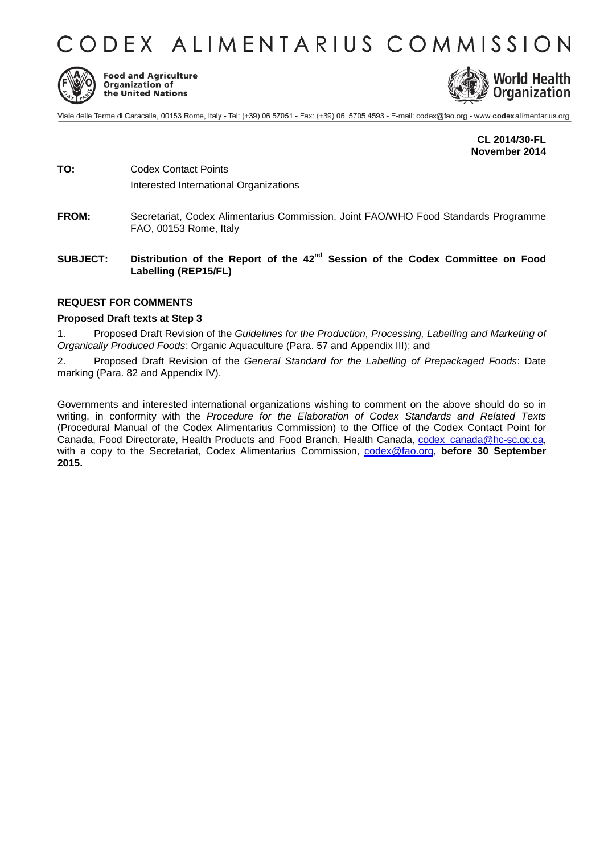CODEX ALIMENTARIUS COMMISSION



**Food and Agriculture** Organization of the United Nations



Viale delle Terme di Caracalla, 00153 Rome, Italy - Tel: (+39) 06 57051 - Fax: (+39) 06 5705 4593 - E-mail: codex@fao.org - www.codexalimentarius.org

 **CL 2014/30-FL November 2014**

- **TO:** Codex Contact Points Interested International Organizations
- **FROM:** Secretariat, Codex Alimentarius Commission, Joint FAO/WHO Food Standards Programme FAO, 00153 Rome, Italy
- SUBJECT: Distribution of the Report of the 42<sup>nd</sup> Session of the Codex Committee on Food **Labelling (REP15/FL)**

# **REQUEST FOR COMMENTS**

# **Proposed Draft texts at Step 3**

1. Proposed Draft Revision of the *Guidelines for the Production, Processing, Labelling and Marketing of Organically Produced Foods*: Organic Aquaculture (Para. 57 and Appendix III); and

2. Proposed Draft Revision of the *General Standard for the Labelling of Prepackaged Foods*: Date marking (Para. 82 and Appendix IV).

Governments and interested international organizations wishing to comment on the above should do so in writing, in conformity with the *Procedure for the Elaboration of Codex Standards and Related Texts*  (Procedural Manual of the Codex Alimentarius Commission) to the Office of the Codex Contact Point for Canada, Food Directorate, Health Products and Food Branch, Health Canada, [codex\\_canada@hc-sc.gc.ca,](mailto:codex_canada@hc-sc.gc.ca) with a copy to the Secretariat, Codex Alimentarius Commission, [codex@fao.org,](mailto:codex@fao.org) **before 30 September 2015.**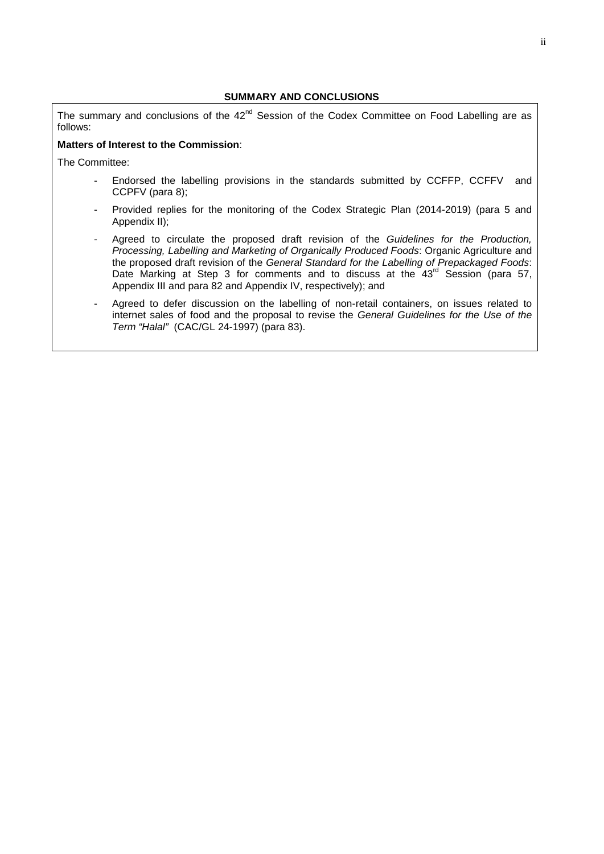# **SUMMARY AND CONCLUSIONS**

The summary and conclusions of the  $42<sup>nd</sup>$  Session of the Codex Committee on Food Labelling are as follows:

# **Matters of Interest to the Commission**:

The Committee:

- Endorsed the labelling provisions in the standards submitted by CCFFP, CCFFV and CCPFV (para 8);
- Provided replies for the monitoring of the Codex Strategic Plan (2014-2019) (para 5 and Appendix II);
- Agreed to circulate the proposed draft revision of the *Guidelines for the Production, Processing, Labelling and Marketing of Organically Produced Foods*: Organic Agriculture and the proposed draft revision of the *General Standard for the Labelling of Prepackaged Foods*: Date Marking at Step 3 for comments and to discuss at the  $43<sup>rd</sup>$  Session (para 57, Appendix III and para 82 and Appendix IV, respectively); and
- Agreed to defer discussion on the labelling of non-retail containers, on issues related to internet sales of food and the proposal to revise the *General Guidelines for the Use of the Term "Halal"* (CAC/GL 24-1997) (para 83).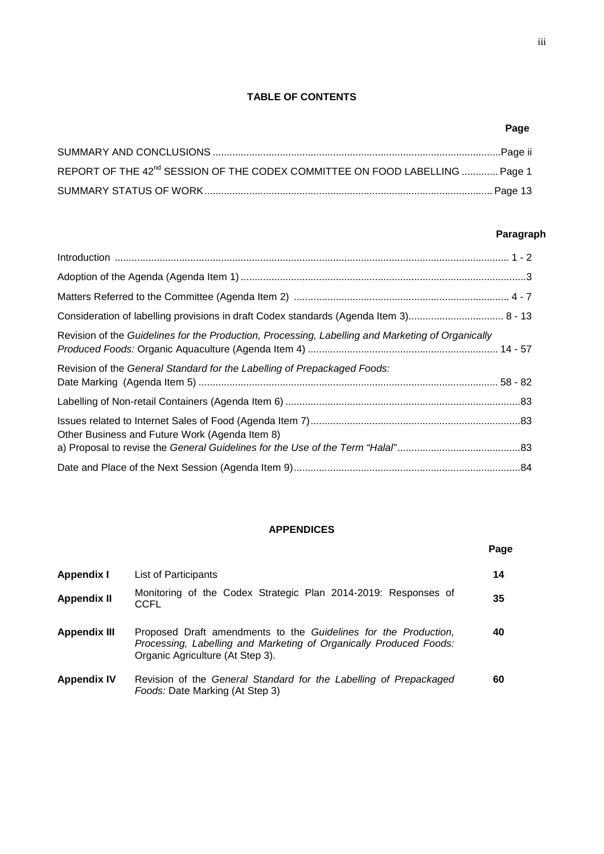# **TABLE OF CONTENTS**

# **Page**

| REPORT OF THE 42 <sup>nd</sup> SESSION OF THE CODEX COMMITTEE ON FOOD LABELLING  Page 1 |  |
|-----------------------------------------------------------------------------------------|--|
|                                                                                         |  |

# **Paragraph**

| Revision of the Guidelines for the Production, Processing, Labelling and Marketing of Organically |  |
|---------------------------------------------------------------------------------------------------|--|
| Revision of the General Standard for the Labelling of Prepackaged Foods:                          |  |
|                                                                                                   |  |
| Other Business and Future Work (Agenda Item 8)                                                    |  |
|                                                                                                   |  |
|                                                                                                   |  |

# **APPENDICES**

|              |                                                                                                                                                                           | Page |
|--------------|---------------------------------------------------------------------------------------------------------------------------------------------------------------------------|------|
| Appendix I   | List of Participants                                                                                                                                                      | 14   |
| Appendix II  | Monitoring of the Codex Strategic Plan 2014-2019: Responses of<br><b>CCFL</b>                                                                                             | 35   |
| Appendix III | Proposed Draft amendments to the Guidelines for the Production,<br>Processing, Labelling and Marketing of Organically Produced Foods:<br>Organic Agriculture (At Step 3). | 40   |
| Appendix IV  | Revision of the General Standard for the Labelling of Prepackaged<br>Foods: Date Marking (At Step 3)                                                                      | 60   |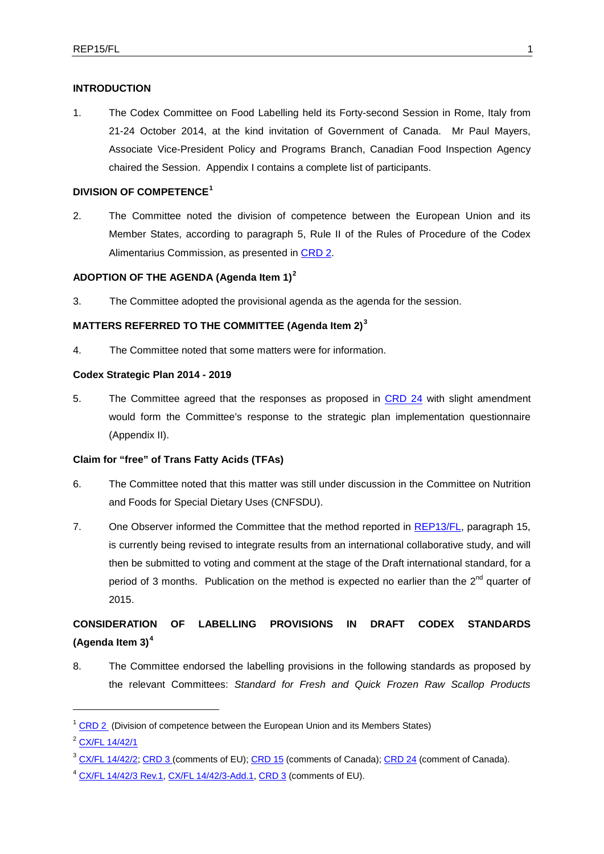### **INTRODUCTION**

1. The Codex Committee on Food Labelling held its Forty-second Session in Rome, Italy from 21-24 October 2014, at the kind invitation of Government of Canada. Mr Paul Mayers, Associate Vice-President Policy and Programs Branch, Canadian Food Inspection Agency chaired the Session. Appendix I contains a complete list of participants.

# **DIVISION OF COMPETENCE[1](#page-4-0)**

2. The Committee noted the division of competence between the European Union and its Member States, according to paragraph 5, Rule II of the Rules of Procedure of the Codex Alimentarius Commission, as presented in CRD 2.

# **ADOPTION OF THE AGENDA (Agenda Item 1)[2](#page-4-1)**

3. The Committee adopted the provisional agenda as the agenda for the session.

# **MATTERS REFERRED TO THE COMMITTEE (Agenda Item 2)[3](#page-4-2)**

4. The Committee noted that some matters were for information.

# **Codex Strategic Plan 2014 - 2019**

5. The Committee agreed that the responses as proposed in CRD 24 with slight amendment would form the Committee's response to the strategic plan implementation questionnaire (Appendix II).

# **Claim for "free" of Trans Fatty Acids (TFAs)**

- 6. The Committee noted that this matter was still under discussion in the Committee on Nutrition and Foods for Special Dietary Uses (CNFSDU).
- 7. One Observer informed the Committee that the method reported in REP13/FL, paragraph 15, is currently being revised to integrate results from an international collaborative study, and will then be submitted to voting and comment at the stage of the Draft international standard, for a period of 3 months. Publication on the method is expected no earlier than the 2<sup>nd</sup> quarter of 2015.

# **CONSIDERATION OF LABELLING PROVISIONS IN DRAFT CODEX STANDARDS (Agenda Item 3) [4](#page-4-3)**

8. The Committee endorsed the labelling provisions in the following standards as proposed by the relevant Committees: *Standard for Fresh and Quick Frozen Raw Scallop Products*

1

<span id="page-4-0"></span> $1$  CRD 2 (Division of competence between the European Union and its Members States)

<span id="page-4-1"></span><sup>2</sup> CX/FL 14/42/1

<span id="page-4-2"></span><sup>&</sup>lt;sup>3</sup> CX/FL 14/42/2; CRD 3 (comments of EU); CRD 15 (comments of Canada); CRD 24 (comment of Canada).

<span id="page-4-3"></span><sup>4</sup> CX/FL 14/42/3 Rev.1, CX/FL 14/42/3-Add.1, CRD 3 (comments of EU).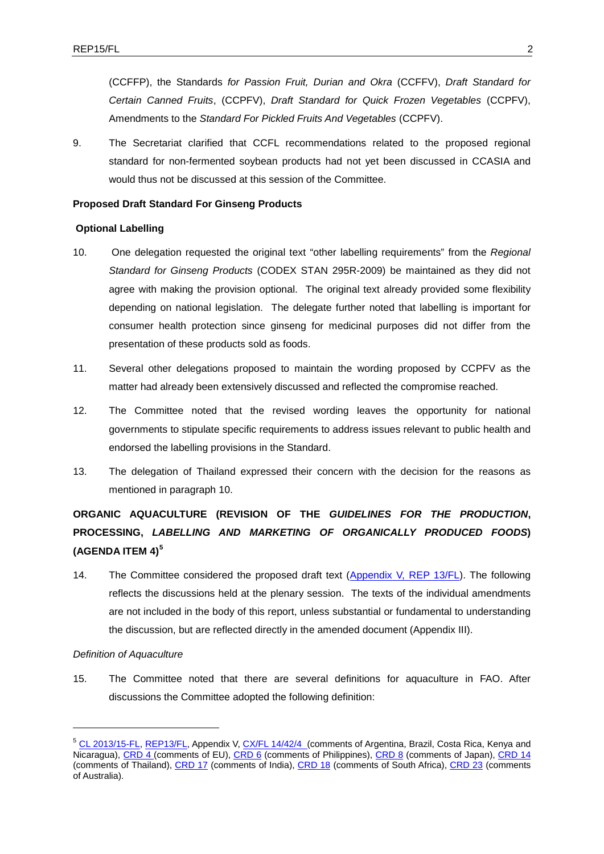(CCFFP), the Standards *for Passion Fruit, Durian and Okra* (CCFFV), *Draft Standard for Certain Canned Fruits*, (CCPFV), *Draft Standard for Quick Frozen Vegetables* (CCPFV), Amendments to the *Standard For Pickled Fruits And Vegetables* (CCPFV).

9. The Secretariat clarified that CCFL recommendations related to the proposed regional standard for non-fermented soybean products had not yet been discussed in CCASIA and would thus not be discussed at this session of the Committee.

#### **Proposed Draft Standard For Ginseng Products**

#### **Optional Labelling**

- 10. One delegation requested the original text "other labelling requirements" from the *Regional Standard for Ginseng Products* (CODEX STAN 295R-2009) be maintained as they did not agree with making the provision optional. The original text already provided some flexibility depending on national legislation. The delegate further noted that labelling is important for consumer health protection since ginseng for medicinal purposes did not differ from the presentation of these products sold as foods.
- 11. Several other delegations proposed to maintain the wording proposed by CCPFV as the matter had already been extensively discussed and reflected the compromise reached.
- 12. The Committee noted that the revised wording leaves the opportunity for national governments to stipulate specific requirements to address issues relevant to public health and endorsed the labelling provisions in the Standard.
- 13. The delegation of Thailand expressed their concern with the decision for the reasons as mentioned in paragraph 10.

# **ORGANIC AQUACULTURE (REVISION OF THE** *GUIDELINES FOR THE PRODUCTION***, PROCESSING,** *LABELLING AND MARKETING OF ORGANICALLY PRODUCED FOODS***) (AGENDA ITEM 4)[5](#page-5-0)**

14. The Committee considered the proposed draft text (Appendix V, REP 13/FL). The following reflects the discussions held at the plenary session. The texts of the individual amendments are not included in the body of this report, unless substantial or fundamental to understanding the discussion, but are reflected directly in the amended document (Appendix III).

#### *Definition of Aquaculture*

1

15. The Committee noted that there are several definitions for aquaculture in FAO. After discussions the Committee adopted the following definition:

<span id="page-5-0"></span><sup>&</sup>lt;sup>5</sup> CL 2013/15-FL, REP13/FL, Appendix V, CX/FL 14/42/4 (comments of Argentina, Brazil, Costa Rica, Kenya and Nicaragua), CRD 4 (comments of EU), CRD 6 (comments of Philippines), CRD 8 (comments of Japan), CRD 14 (comments of Thailand), CRD 17 (comments of India), CRD 18 (comments of South Africa), CRD 23 (comments of Australia).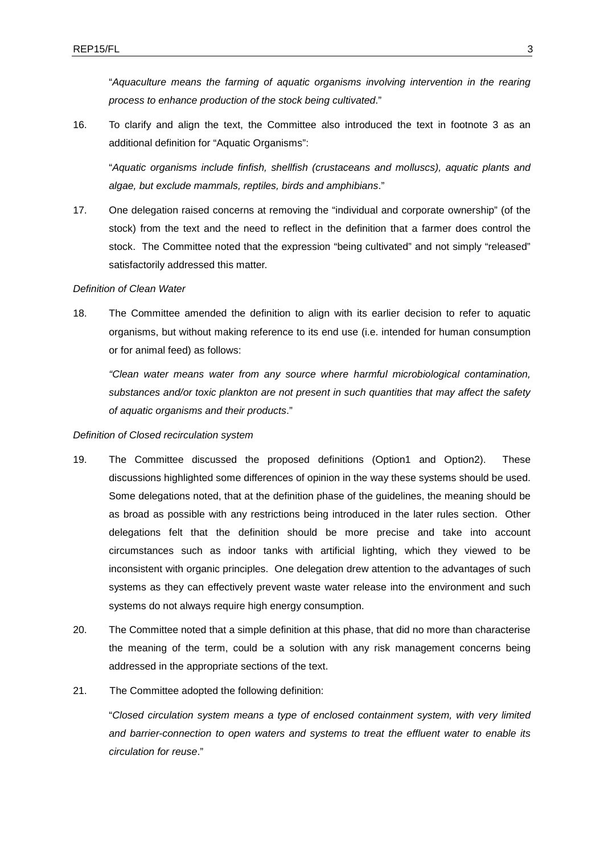"*Aquaculture means the farming of aquatic organisms involving intervention in the rearing process to enhance production of the stock being cultivated*."

16. To clarify and align the text, the Committee also introduced the text in footnote 3 as an additional definition for "Aquatic Organisms":

"*Aquatic organisms include finfish, shellfish (crustaceans and molluscs), aquatic plants and algae, but exclude mammals, reptiles, birds and amphibians*."

17. One delegation raised concerns at removing the "individual and corporate ownership" (of the stock) from the text and the need to reflect in the definition that a farmer does control the stock. The Committee noted that the expression "being cultivated" and not simply "released" satisfactorily addressed this matter.

#### *Definition of Clean Water*

18. The Committee amended the definition to align with its earlier decision to refer to aquatic organisms, but without making reference to its end use (i.e. intended for human consumption or for animal feed) as follows:

*"Clean water means water from any source where harmful microbiological contamination, substances and/or toxic plankton are not present in such quantities that may affect the safety of aquatic organisms and their products*."

#### *Definition of Closed recirculation system*

- 19. The Committee discussed the proposed definitions (Option1 and Option2). These discussions highlighted some differences of opinion in the way these systems should be used. Some delegations noted, that at the definition phase of the guidelines, the meaning should be as broad as possible with any restrictions being introduced in the later rules section. Other delegations felt that the definition should be more precise and take into account circumstances such as indoor tanks with artificial lighting, which they viewed to be inconsistent with organic principles. One delegation drew attention to the advantages of such systems as they can effectively prevent waste water release into the environment and such systems do not always require high energy consumption.
- 20. The Committee noted that a simple definition at this phase, that did no more than characterise the meaning of the term, could be a solution with any risk management concerns being addressed in the appropriate sections of the text.
- 21. The Committee adopted the following definition:

"*Closed circulation system means a type of enclosed containment system, with very limited and barrier-connection to open waters and systems to treat the effluent water to enable its circulation for reuse*."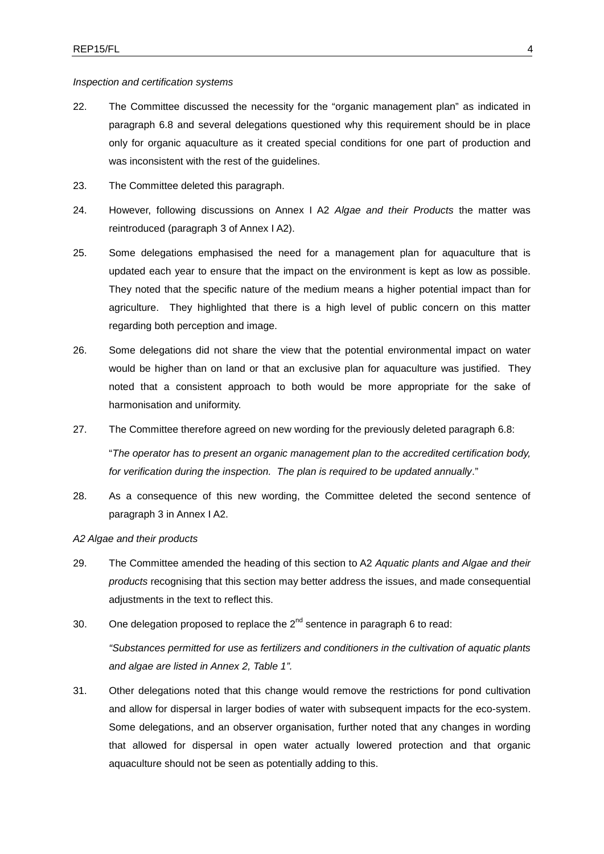#### *Inspection and certification systems*

- 22. The Committee discussed the necessity for the "organic management plan" as indicated in paragraph 6.8 and several delegations questioned why this requirement should be in place only for organic aquaculture as it created special conditions for one part of production and was inconsistent with the rest of the guidelines.
- 23. The Committee deleted this paragraph.
- 24. However, following discussions on Annex I A2 *Algae and their Products* the matter was reintroduced (paragraph 3 of Annex I A2).
- 25. Some delegations emphasised the need for a management plan for aquaculture that is updated each year to ensure that the impact on the environment is kept as low as possible. They noted that the specific nature of the medium means a higher potential impact than for agriculture. They highlighted that there is a high level of public concern on this matter regarding both perception and image.
- 26. Some delegations did not share the view that the potential environmental impact on water would be higher than on land or that an exclusive plan for aquaculture was justified. They noted that a consistent approach to both would be more appropriate for the sake of harmonisation and uniformity.
- 27. The Committee therefore agreed on new wording for the previously deleted paragraph 6.8: "*The operator has to present an organic management plan to the accredited certification body, for verification during the inspection. The plan is required to be updated annually*."
- 28. As a consequence of this new wording, the Committee deleted the second sentence of paragraph 3 in Annex I A2.
- *A2 Algae and their products*
- 29. The Committee amended the heading of this section to A2 *Aquatic plants and Algae and their products* recognising that this section may better address the issues, and made consequential adjustments in the text to reflect this.
- 30. One delegation proposed to replace the  $2^{nd}$  sentence in paragraph 6 to read:

*"Substances permitted for use as fertilizers and conditioners in the cultivation of aquatic plants and algae are listed in Annex 2, Table 1".*

31. Other delegations noted that this change would remove the restrictions for pond cultivation and allow for dispersal in larger bodies of water with subsequent impacts for the eco-system. Some delegations, and an observer organisation, further noted that any changes in wording that allowed for dispersal in open water actually lowered protection and that organic aquaculture should not be seen as potentially adding to this.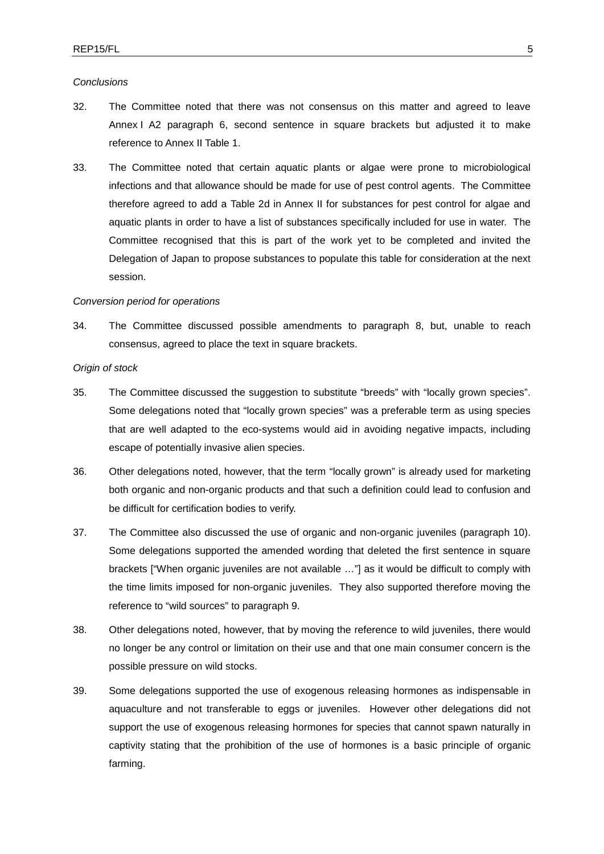#### *Conclusions*

- 32. The Committee noted that there was not consensus on this matter and agreed to leave Annex I A2 paragraph 6, second sentence in square brackets but adjusted it to make reference to Annex II Table 1.
- 33. The Committee noted that certain aquatic plants or algae were prone to microbiological infections and that allowance should be made for use of pest control agents. The Committee therefore agreed to add a Table 2d in Annex II for substances for pest control for algae and aquatic plants in order to have a list of substances specifically included for use in water. The Committee recognised that this is part of the work yet to be completed and invited the Delegation of Japan to propose substances to populate this table for consideration at the next session.

#### *Conversion period for operations*

34. The Committee discussed possible amendments to paragraph 8, but, unable to reach consensus, agreed to place the text in square brackets.

#### *Origin of stock*

- 35. The Committee discussed the suggestion to substitute "breeds" with "locally grown species". Some delegations noted that "locally grown species" was a preferable term as using species that are well adapted to the eco-systems would aid in avoiding negative impacts, including escape of potentially invasive alien species.
- 36. Other delegations noted, however, that the term "locally grown" is already used for marketing both organic and non-organic products and that such a definition could lead to confusion and be difficult for certification bodies to verify.
- 37. The Committee also discussed the use of organic and non-organic juveniles (paragraph 10). Some delegations supported the amended wording that deleted the first sentence in square brackets ["When organic juveniles are not available …"] as it would be difficult to comply with the time limits imposed for non-organic juveniles. They also supported therefore moving the reference to "wild sources" to paragraph 9.
- 38. Other delegations noted, however, that by moving the reference to wild juveniles, there would no longer be any control or limitation on their use and that one main consumer concern is the possible pressure on wild stocks.
- 39. Some delegations supported the use of exogenous releasing hormones as indispensable in aquaculture and not transferable to eggs or juveniles. However other delegations did not support the use of exogenous releasing hormones for species that cannot spawn naturally in captivity stating that the prohibition of the use of hormones is a basic principle of organic farming.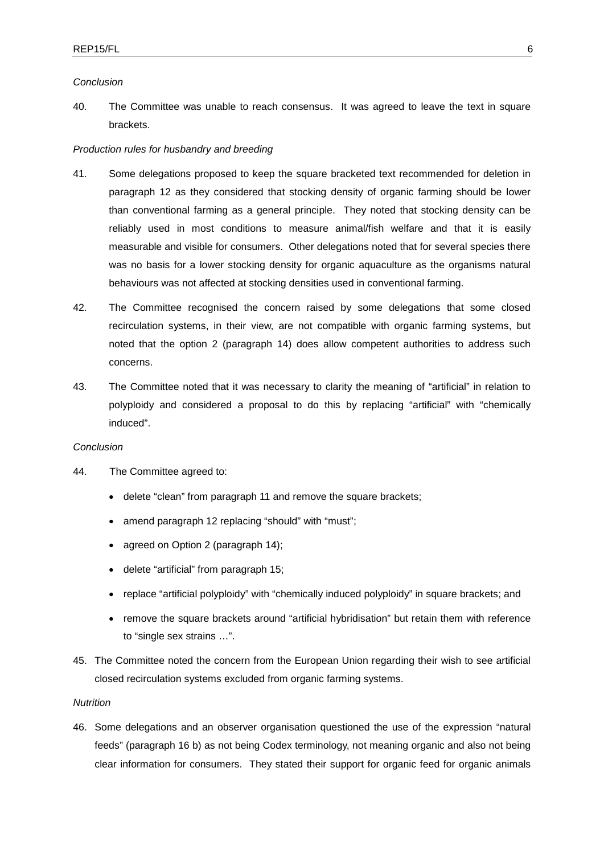#### *Conclusion*

40. The Committee was unable to reach consensus. It was agreed to leave the text in square brackets.

#### *Production rules for husbandry and breeding*

- 41. Some delegations proposed to keep the square bracketed text recommended for deletion in paragraph 12 as they considered that stocking density of organic farming should be lower than conventional farming as a general principle. They noted that stocking density can be reliably used in most conditions to measure animal/fish welfare and that it is easily measurable and visible for consumers. Other delegations noted that for several species there was no basis for a lower stocking density for organic aquaculture as the organisms natural behaviours was not affected at stocking densities used in conventional farming.
- 42. The Committee recognised the concern raised by some delegations that some closed recirculation systems, in their view, are not compatible with organic farming systems, but noted that the option 2 (paragraph 14) does allow competent authorities to address such concerns.
- 43. The Committee noted that it was necessary to clarity the meaning of "artificial" in relation to polyploidy and considered a proposal to do this by replacing "artificial" with "chemically induced".

#### *Conclusion*

- 44. The Committee agreed to:
	- delete "clean" from paragraph 11 and remove the square brackets;
	- amend paragraph 12 replacing "should" with "must";
	- agreed on Option 2 (paragraph 14);
	- delete "artificial" from paragraph 15;
	- replace "artificial polyploidy" with "chemically induced polyploidy" in square brackets; and
	- remove the square brackets around "artificial hybridisation" but retain them with reference to "single sex strains …".
- 45. The Committee noted the concern from the European Union regarding their wish to see artificial closed recirculation systems excluded from organic farming systems.

#### *Nutrition*

46. Some delegations and an observer organisation questioned the use of the expression "natural feeds" (paragraph 16 b) as not being Codex terminology, not meaning organic and also not being clear information for consumers. They stated their support for organic feed for organic animals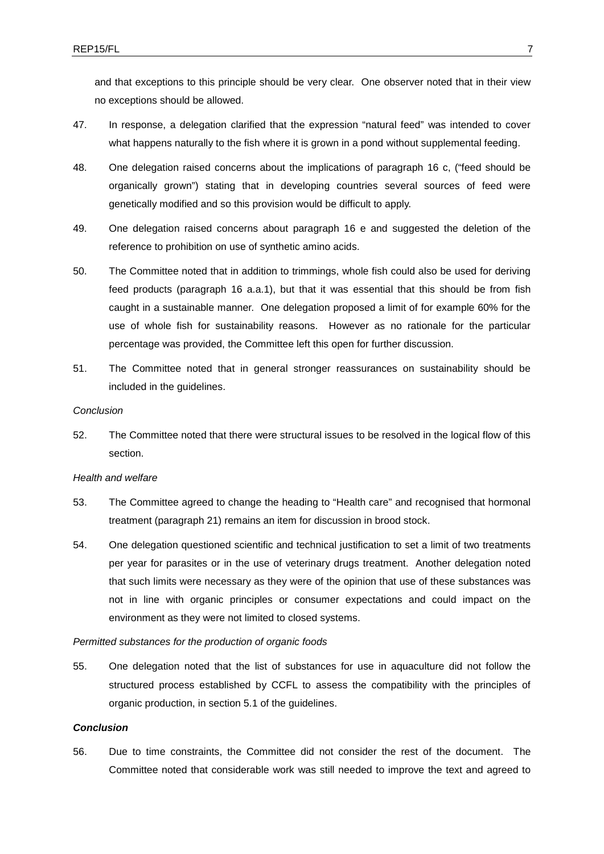and that exceptions to this principle should be very clear. One observer noted that in their view no exceptions should be allowed.

- 47. In response, a delegation clarified that the expression "natural feed" was intended to cover what happens naturally to the fish where it is grown in a pond without supplemental feeding.
- 48. One delegation raised concerns about the implications of paragraph 16 c, ("feed should be organically grown") stating that in developing countries several sources of feed were genetically modified and so this provision would be difficult to apply.
- 49. One delegation raised concerns about paragraph 16 e and suggested the deletion of the reference to prohibition on use of synthetic amino acids.
- 50. The Committee noted that in addition to trimmings, whole fish could also be used for deriving feed products (paragraph 16 a.a.1), but that it was essential that this should be from fish caught in a sustainable manner. One delegation proposed a limit of for example 60% for the use of whole fish for sustainability reasons. However as no rationale for the particular percentage was provided, the Committee left this open for further discussion.
- 51. The Committee noted that in general stronger reassurances on sustainability should be included in the guidelines.

#### *Conclusion*

52. The Committee noted that there were structural issues to be resolved in the logical flow of this section.

#### *Health and welfare*

- 53. The Committee agreed to change the heading to "Health care" and recognised that hormonal treatment (paragraph 21) remains an item for discussion in brood stock.
- 54. One delegation questioned scientific and technical justification to set a limit of two treatments per year for parasites or in the use of veterinary drugs treatment. Another delegation noted that such limits were necessary as they were of the opinion that use of these substances was not in line with organic principles or consumer expectations and could impact on the environment as they were not limited to closed systems.

# *Permitted substances for the production of organic foods*

55. One delegation noted that the list of substances for use in aquaculture did not follow the structured process established by CCFL to assess the compatibility with the principles of organic production, in section 5.1 of the guidelines.

# *Conclusion*

56. Due to time constraints, the Committee did not consider the rest of the document. The Committee noted that considerable work was still needed to improve the text and agreed to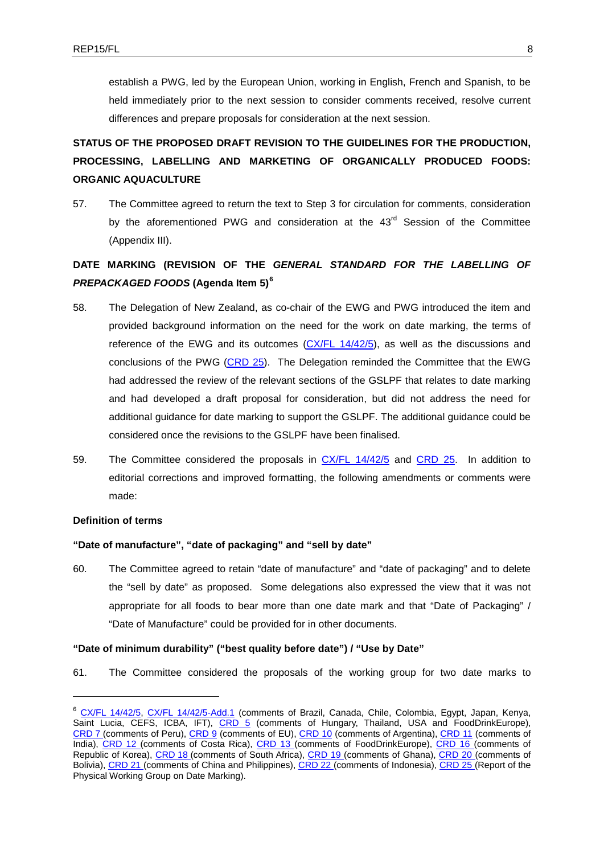establish a PWG, led by the European Union, working in English, French and Spanish, to be held immediately prior to the next session to consider comments received, resolve current differences and prepare proposals for consideration at the next session.

# **STATUS OF THE PROPOSED DRAFT REVISION TO THE GUIDELINES FOR THE PRODUCTION, PROCESSING, LABELLING AND MARKETING OF ORGANICALLY PRODUCED FOODS: ORGANIC AQUACULTURE**

57. The Committee agreed to return the text to Step 3 for circulation for comments, consideration by the aforementioned PWG and consideration at the 43<sup>rd</sup> Session of the Committee (Appendix III).

# **DATE MARKING (REVISION OF THE** *GENERAL STANDARD FOR THE LABELLING OF PREPACKAGED FOODS* **(Agenda Item 5) [6](#page-11-0)**

- 58. The Delegation of New Zealand, as co-chair of the EWG and PWG introduced the item and provided background information on the need for the work on date marking, the terms of reference of the EWG and its outcomes  $(CX/FL 14/42/5)$ , as well as the discussions and conclusions of the PWG (CRD 25). The Delegation reminded the Committee that the EWG had addressed the review of the relevant sections of the GSLPF that relates to date marking and had developed a draft proposal for consideration, but did not address the need for additional guidance for date marking to support the GSLPF. The additional guidance could be considered once the revisions to the GSLPF have been finalised.
- 59. The Committee considered the proposals in CX/FL 14/42/5 and CRD 25. In addition to editorial corrections and improved formatting, the following amendments or comments were made:

#### **Definition of terms**

1

#### **"Date of manufacture", "date of packaging" and "sell by date"**

60. The Committee agreed to retain "date of manufacture" and "date of packaging" and to delete the "sell by date" as proposed. Some delegations also expressed the view that it was not appropriate for all foods to bear more than one date mark and that "Date of Packaging" / "Date of Manufacture" could be provided for in other documents.

# **"Date of minimum durability" ("best quality before date") / "Use by Date"**

61. The Committee considered the proposals of the working group for two date marks to

<span id="page-11-0"></span><sup>&</sup>lt;sup>6</sup> CX/FL 14/42/5, CX/FL 14/42/5-Add.1 (comments of Brazil, Canada, Chile, Colombia, Egypt, Japan, Kenya, Saint Lucia, CEFS, ICBA, IFT), CRD 5 (comments of Hungary, Thailand, USA and FoodDrinkEurope), CRD 7 (comments of Peru), CRD 9 (comments of EU), CRD 10 (comments of Argentina), CRD 11 (comments of India), CRD 12 (comments of Costa Rica), CRD 13 (comments of FoodDrinkEurope), CRD 16 (comments of Republic of Korea), CRD 18 (comments of South Africa), CRD 19 (comments of Ghana), CRD 20 (comments of Bolivia), CRD 21 (comments of China and Philippines), CRD 22 (comments of Indonesia), CRD 25 (Report of the Physical Working Group on Date Marking).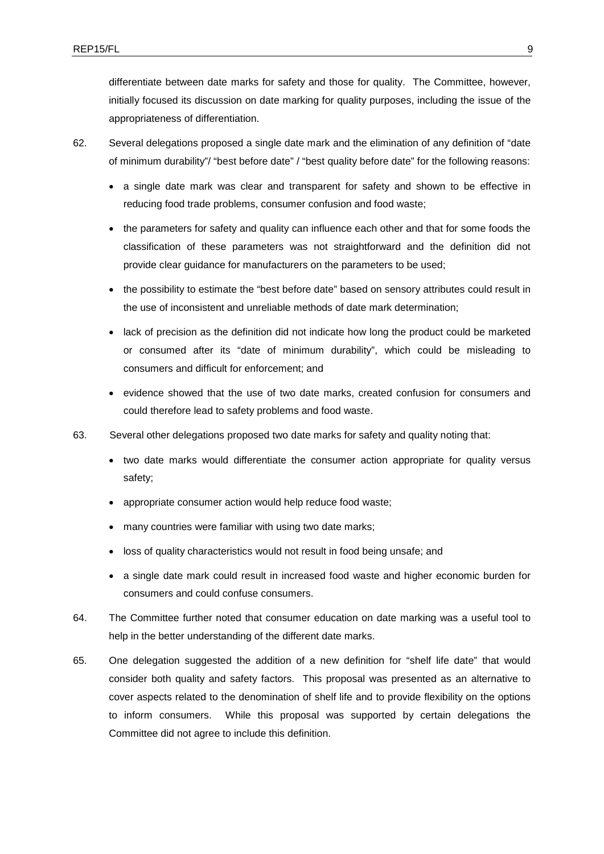differentiate between date marks for safety and those for quality. The Committee, however, initially focused its discussion on date marking for quality purposes, including the issue of the appropriateness of differentiation.

- 62. Several delegations proposed a single date mark and the elimination of any definition of "date of minimum durability"/ "best before date" / "best quality before date" for the following reasons:
	- a single date mark was clear and transparent for safety and shown to be effective in reducing food trade problems, consumer confusion and food waste;
	- the parameters for safety and quality can influence each other and that for some foods the classification of these parameters was not straightforward and the definition did not provide clear guidance for manufacturers on the parameters to be used;
	- the possibility to estimate the "best before date" based on sensory attributes could result in the use of inconsistent and unreliable methods of date mark determination;
	- lack of precision as the definition did not indicate how long the product could be marketed or consumed after its "date of minimum durability", which could be misleading to consumers and difficult for enforcement; and
	- evidence showed that the use of two date marks, created confusion for consumers and could therefore lead to safety problems and food waste.
- 63. Several other delegations proposed two date marks for safety and quality noting that:
	- two date marks would differentiate the consumer action appropriate for quality versus safety;
	- appropriate consumer action would help reduce food waste;
	- many countries were familiar with using two date marks;
	- loss of quality characteristics would not result in food being unsafe; and
	- a single date mark could result in increased food waste and higher economic burden for consumers and could confuse consumers.
- 64. The Committee further noted that consumer education on date marking was a useful tool to help in the better understanding of the different date marks.
- 65. One delegation suggested the addition of a new definition for "shelf life date" that would consider both quality and safety factors. This proposal was presented as an alternative to cover aspects related to the denomination of shelf life and to provide flexibility on the options to inform consumers. While this proposal was supported by certain delegations the Committee did not agree to include this definition.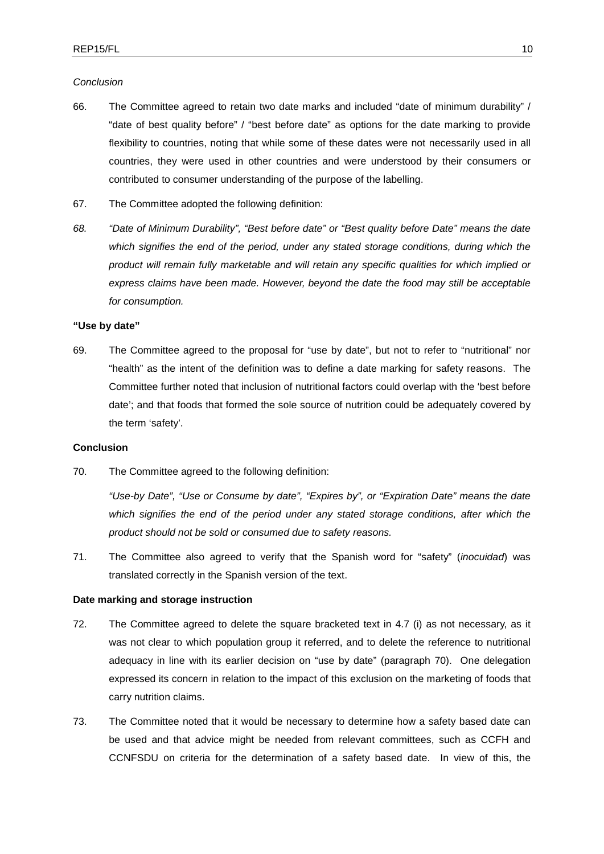#### *Conclusion*

- 66. The Committee agreed to retain two date marks and included "date of minimum durability" / "date of best quality before" / "best before date" as options for the date marking to provide flexibility to countries, noting that while some of these dates were not necessarily used in all countries, they were used in other countries and were understood by their consumers or contributed to consumer understanding of the purpose of the labelling.
- 67. The Committee adopted the following definition:
- *68. "Date of Minimum Durability", "Best before date" or "Best quality before Date" means the date which signifies the end of the period, under any stated storage conditions, during which the product will remain fully marketable and will retain any specific qualities for which implied or express claims have been made. However, beyond the date the food may still be acceptable for consumption.*

#### **"Use by date"**

69. The Committee agreed to the proposal for "use by date", but not to refer to "nutritional" nor "health" as the intent of the definition was to define a date marking for safety reasons. The Committee further noted that inclusion of nutritional factors could overlap with the 'best before date'; and that foods that formed the sole source of nutrition could be adequately covered by the term 'safety'.

#### **Conclusion**

70. The Committee agreed to the following definition:

*"Use-by Date", "Use or Consume by date", "Expires by", or "Expiration Date" means the date which signifies the end of the period under any stated storage conditions, after which the product should not be sold or consumed due to safety reasons.* 

71. The Committee also agreed to verify that the Spanish word for "safety" (*inocuidad*) was translated correctly in the Spanish version of the text.

#### **Date marking and storage instruction**

- 72. The Committee agreed to delete the square bracketed text in 4.7 (i) as not necessary, as it was not clear to which population group it referred, and to delete the reference to nutritional adequacy in line with its earlier decision on "use by date" (paragraph 70). One delegation expressed its concern in relation to the impact of this exclusion on the marketing of foods that carry nutrition claims.
- 73. The Committee noted that it would be necessary to determine how a safety based date can be used and that advice might be needed from relevant committees, such as CCFH and CCNFSDU on criteria for the determination of a safety based date. In view of this, the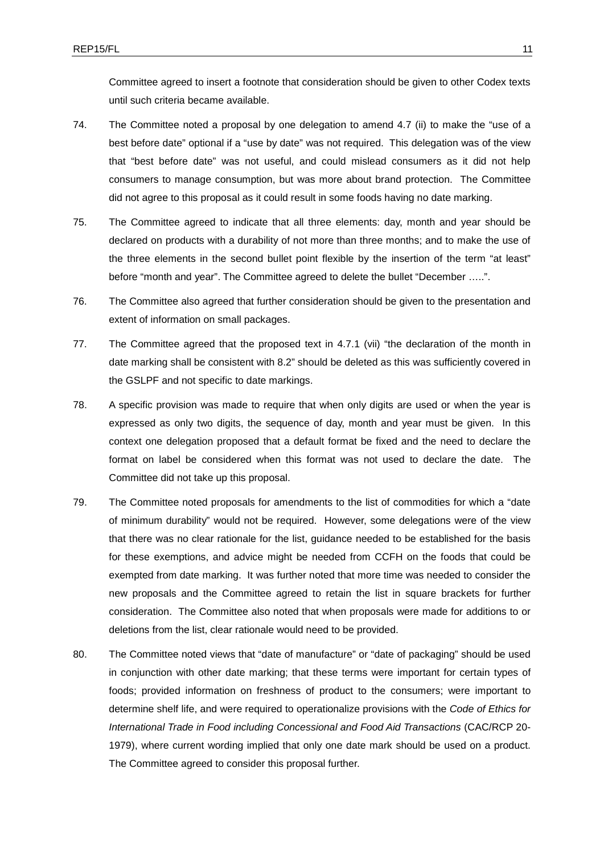Committee agreed to insert a footnote that consideration should be given to other Codex texts until such criteria became available.

- 74. The Committee noted a proposal by one delegation to amend 4.7 (ii) to make the "use of a best before date" optional if a "use by date" was not required. This delegation was of the view that "best before date" was not useful, and could mislead consumers as it did not help consumers to manage consumption, but was more about brand protection. The Committee did not agree to this proposal as it could result in some foods having no date marking.
- 75. The Committee agreed to indicate that all three elements: day, month and year should be declared on products with a durability of not more than three months; and to make the use of the three elements in the second bullet point flexible by the insertion of the term "at least" before "month and year". The Committee agreed to delete the bullet "December .....".
- 76. The Committee also agreed that further consideration should be given to the presentation and extent of information on small packages.
- 77. The Committee agreed that the proposed text in 4.7.1 (vii) "the declaration of the month in date marking shall be consistent with 8.2" should be deleted as this was sufficiently covered in the GSLPF and not specific to date markings.
- 78. A specific provision was made to require that when only digits are used or when the year is expressed as only two digits, the sequence of day, month and year must be given. In this context one delegation proposed that a default format be fixed and the need to declare the format on label be considered when this format was not used to declare the date. The Committee did not take up this proposal.
- 79. The Committee noted proposals for amendments to the list of commodities for which a "date of minimum durability" would not be required. However, some delegations were of the view that there was no clear rationale for the list, guidance needed to be established for the basis for these exemptions, and advice might be needed from CCFH on the foods that could be exempted from date marking. It was further noted that more time was needed to consider the new proposals and the Committee agreed to retain the list in square brackets for further consideration. The Committee also noted that when proposals were made for additions to or deletions from the list, clear rationale would need to be provided.
- 80. The Committee noted views that "date of manufacture" or "date of packaging" should be used in conjunction with other date marking; that these terms were important for certain types of foods; provided information on freshness of product to the consumers; were important to determine shelf life, and were required to operationalize provisions with the *Code of Ethics for International Trade in Food including Concessional and Food Aid Transactions* (CAC/RCP 20- 1979), where current wording implied that only one date mark should be used on a product. The Committee agreed to consider this proposal further.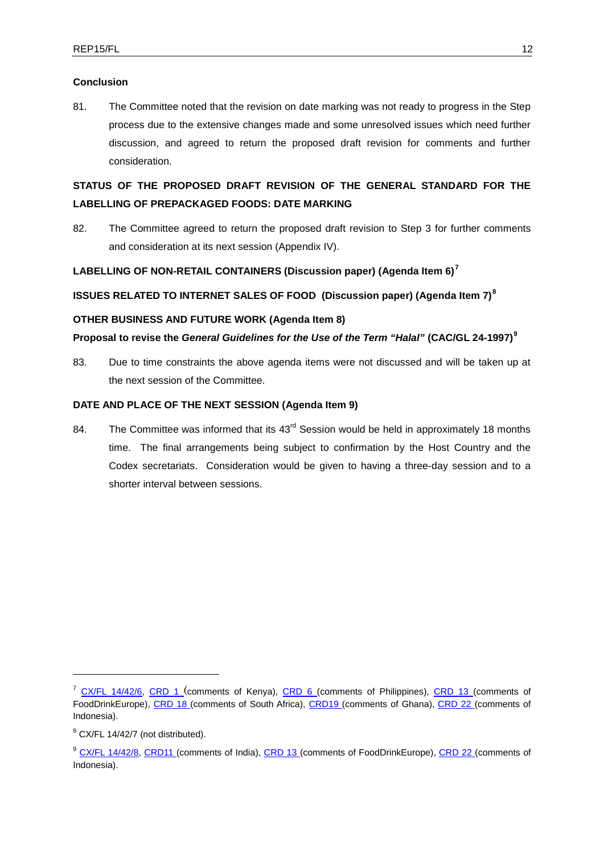#### **Conclusion**

81. The Committee noted that the revision on date marking was not ready to progress in the Step process due to the extensive changes made and some unresolved issues which need further discussion, and agreed to return the proposed draft revision for comments and further consideration.

# **STATUS OF THE PROPOSED DRAFT REVISION OF THE GENERAL STANDARD FOR THE LABELLING OF PREPACKAGED FOODS: DATE MARKING**

82. The Committee agreed to return the proposed draft revision to Step 3 for further comments and consideration at its next session (Appendix IV).

#### **LABELLING OF NON-RETAIL CONTAINERS (Discussion paper) (Agenda Item 6)[7](#page-15-0)**

# **ISSUES RELATED TO INTERNET SALES OF FOOD (Discussion paper) (Agenda Item 7)[8](#page-15-1)**

# **OTHER BUSINESS AND FUTURE WORK (Agenda Item 8)**

# **Proposal to revise the** *General Guidelines for the Use of the Term "Halal"* **(CAC/GL 24-1997)[9](#page-15-2)**

83. Due to time constraints the above agenda items were not discussed and will be taken up at the next session of the Committee.

# **DATE AND PLACE OF THE NEXT SESSION (Agenda Item 9)**

84. The Committee was informed that its 43<sup>rd</sup> Session would be held in approximately 18 months time. The final arrangements being subject to confirmation by the Host Country and the Codex secretariats. Consideration would be given to having a three-day session and to a shorter interval between sessions.

1

<span id="page-15-0"></span><sup>&</sup>lt;sup>7</sup> CX/FL 14/42/6, CRD 1 (comments of Kenya), CRD 6 (comments of Philippines), CRD 13 (comments of FoodDrinkEurope), CRD 18 (comments of South Africa), CRD19 (comments of Ghana), CRD 22 (comments of Indonesia).

<span id="page-15-1"></span> $8$  CX/FL 14/42/7 (not distributed).

<span id="page-15-2"></span><sup>&</sup>lt;sup>9</sup> CX/FL 14/42/8, CRD11 (comments of India), CRD 13 (comments of FoodDrinkEurope), CRD 22 (comments of Indonesia).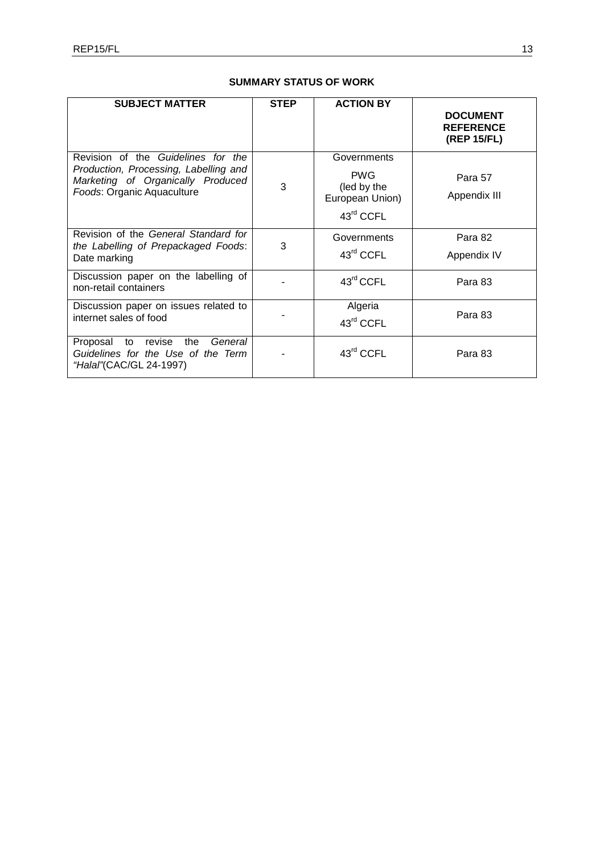# **SUMMARY STATUS OF WORK**

| <b>SUBJECT MATTER</b>                                                                                                                                 | <b>STEP</b> | <b>ACTION BY</b>                                                                     | <b>DOCUMENT</b><br><b>REFERENCE</b><br>(REP 15/FL) |
|-------------------------------------------------------------------------------------------------------------------------------------------------------|-------------|--------------------------------------------------------------------------------------|----------------------------------------------------|
| Revision of the <i>Guidelines</i> for the<br>Production, Processing, Labelling and<br>Marketing of Organically Produced<br>Foods: Organic Aquaculture | 3           | Governments<br><b>PWG</b><br>(led by the<br>European Union)<br>43 <sup>rd</sup> CCFL | Para 57<br>Appendix III                            |
| Revision of the General Standard for<br>the Labelling of Prepackaged Foods:<br>Date marking                                                           | 3           | Governments<br>43 <sup>rd</sup> CCFL                                                 | Para 82<br>Appendix IV                             |
| Discussion paper on the labelling of<br>non-retail containers                                                                                         |             | 43rd CCFL                                                                            | Para 83                                            |
| Discussion paper on issues related to<br>internet sales of food                                                                                       |             | Algeria<br>43 <sup>rd</sup> CCFL                                                     | Para 83                                            |
| Proposal to revise<br>the<br>General<br>Guidelines for the Use of the Term<br>"Halal"(CAC/GL 24-1997)                                                 |             | 43rd CCFL                                                                            | Para 83                                            |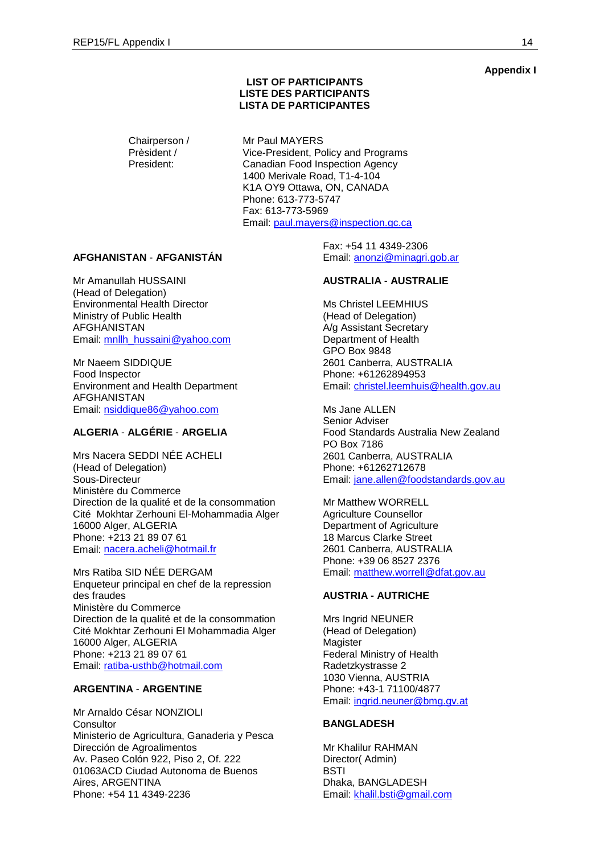## **Appendix I**

## **LIST OF PARTICIPANTS LISTE DES PARTICIPANTS LISTA DE PARTICIPANTES**

Chairperson / Prèsident / President:

Mr Paul MAYERS Vice-President, Policy and Programs Canadian Food Inspection Agency 1400 Merivale Road, T1-4-104 K1A OY9 Ottawa, ON, CANADA Phone: 613-773-5747 Fax: 613-773-5969 Email: [paul.mayers@inspection.gc.ca](mailto:paul.mayers@inspection.gc.ca)

# **AFGHANISTAN** - **AFGANISTÁN**

Mr Amanullah HUSSAINI (Head of Delegation) Environmental Health Director Ministry of Public Health AFGHANISTAN Email: [mnllh\\_hussaini@yahoo.com](mailto:mnllh_hussaini@yahoo.com)

Mr Naeem SIDDIQUE Food Inspector Environment and Health Department AFGHANISTAN Email: [nsiddique86@yahoo.com](mailto:nsiddique86@yahoo.com)

# **ALGERIA** - **ALGÉRIE** - **ARGELIA**

Mrs Nacera SEDDI NÉE ACHELI (Head of Delegation) Sous-Directeur Ministère du Commerce Direction de la qualité et de la consommation Cité Mokhtar Zerhouni El-Mohammadia Alger 16000 Alger, ALGERIA Phone: +213 21 89 07 61 Email: [nacera.acheli@hotmail.fr](mailto:nacera.acheli@hotmail.fr)

Mrs Ratiba SID NÉE DERGAM Enqueteur principal en chef de la repression des fraudes Ministère du Commerce Direction de la qualité et de la consommation Cité Mokhtar Zerhouni El Mohammadia Alger 16000 Alger, ALGERIA Phone: +213 21 89 07 61 Email: [ratiba-usthb@hotmail.com](mailto:ratiba-usthb@hotmail.com)

# **ARGENTINA** - **ARGENTINE**

Mr Arnaldo César NONZIOLI **Consultor** Ministerio de Agricultura, Ganaderia y Pesca Dirección de Agroalimentos Av. Paseo Colón 922, Piso 2, Of. 222 01063ACD Ciudad Autonoma de Buenos Aires, ARGENTINA Phone: +54 11 4349-2236

Fax: +54 11 4349-2306 Email: [anonzi@minagri.gob.ar](mailto:anonzi@minagri.gob.ar)

#### **AUSTRALIA** - **AUSTRALIE**

Ms Christel LEEMHIUS (Head of Delegation) A/g Assistant Secretary Department of Health GPO Box 9848 2601 Canberra, AUSTRALIA Phone: +61262894953 Email: [christel.leemhuis@health.gov.au](mailto:christel.leemhuis@health.gov.au)

Ms Jane ALLEN Senior Adviser Food Standards Australia New Zealand PO Box 7186 2601 Canberra, AUSTRALIA Phone: +61262712678 Email: [jane.allen@foodstandards.gov.au](mailto:jane.allen@foodstandards.gov.au)

Mr Matthew WORRELL Agriculture Counsellor Department of Agriculture 18 Marcus Clarke Street 2601 Canberra, AUSTRALIA Phone: +39 06 8527 2376 Email: [matthew.worrell@dfat.gov.au](mailto:matthew.worrell@dfat.gov.au)

# **AUSTRIA - AUTRICHE**

Mrs Ingrid NEUNER (Head of Delegation) Magister Federal Ministry of Health Radetzkystrasse 2 1030 Vienna, AUSTRIA Phone: +43-1 71100/4877 Email: [ingrid.neuner@bmg.gv.at](mailto:ingrid.neuner@bmg.gv.at)

#### **BANGLADESH**

Mr Khalilur RAHMAN Director( Admin) **BSTI** Dhaka, BANGLADESH Email: [khalil.bsti@gmail.com](mailto:khalil.bsti@gmail.com)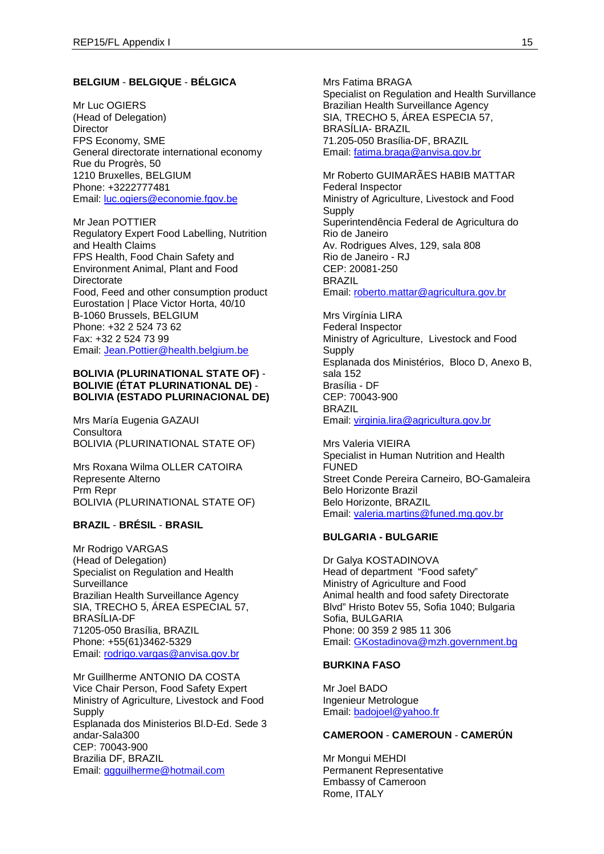# **BELGIUM** - **BELGIQUE** - **BÉLGICA**

Mr Luc OGIERS (Head of Delegation) **Director** FPS Economy, SME General directorate international economy Rue du Progrès, 50 1210 Bruxelles, BELGIUM Phone: +3222777481 Email: [luc.ogiers@economie.fgov.be](mailto:luc.ogiers@economie.fgov.be)

Mr Jean POTTIER Regulatory Expert Food Labelling, Nutrition and Health Claims FPS Health, Food Chain Safety and Environment Animal, Plant and Food **Directorate** Food, Feed and other consumption product Eurostation | Place Victor Horta, 40/10 B-1060 Brussels, BELGIUM Phone: +32 2 524 73 62 Fax: +32 2 524 73 99 Email: [Jean.Pottier@health.belgium.be](mailto:Jean.Pottier@health.belgium.be)

# **BOLIVIA (PLURINATIONAL STATE OF)** - **BOLIVIE (ÉTAT PLURINATIONAL DE)** - **BOLIVIA (ESTADO PLURINACIONAL DE)**

Mrs María Eugenia GAZAUI **Consultora** BOLIVIA (PLURINATIONAL STATE OF)

Mrs Roxana Wilma OLLER CATOIRA Represente Alterno Prm Repr BOLIVIA (PLURINATIONAL STATE OF)

# **BRAZIL** - **BRÉSIL** - **BRASIL**

Mr Rodrigo VARGAS (Head of Delegation) Specialist on Regulation and Health **Surveillance** Brazilian Health Surveillance Agency SIA, TRECHO 5, ÁREA ESPECIAL 57, BRASÍLIA-DF 71205-050 Brasília, BRAZIL Phone: +55(61)3462-5329 Email: [rodrigo.vargas@anvisa.gov.br](mailto:rodrigo.vargas@anvisa.gov.br)

Mr Guillherme ANTONIO DA COSTA Vice Chair Person, Food Safety Expert Ministry of Agriculture, Livestock and Food Supply Esplanada dos Ministerios Bl.D-Ed. Sede 3 andar-Sala300 CEP: 70043-900 Brazilia DF, BRAZIL Email: [ggguilherme@hotmail.com](mailto:ggguilherme@hotmail.com)

Mrs Fatima BRAGA Specialist on Regulation and Health Survillance Brazilian Health Surveillance Agency SIA, TRECHO 5, ÁREA ESPECIA 57, BRASÍLIA- BRAZIL 71.205-050 Brasília-DF, BRAZIL Email: [fatima.braga@anvisa.gov.br](mailto:fatima.braga@anvisa.gov.br)

Mr Roberto GUIMARÃES HABIB MATTAR Federal Inspector Ministry of Agriculture, Livestock and Food **Supply** Superintendência Federal de Agricultura do Rio de Janeiro Av. Rodrigues Alves, 129, sala 808 Rio de Janeiro - RJ CEP: 20081-250 BRAZIL Email: [roberto.mattar@agricultura.gov.br](mailto:roberto.mattar@agricultura.gov.br)

Mrs Virgínia LIRA Federal Inspector Ministry of Agriculture, Livestock and Food **Supply** Esplanada dos Ministérios, Bloco D, Anexo B, sala 152 Brasília - DF CEP: 70043-900 BRAZIL Email: [virginia.lira@agricultura.gov.br](mailto:virginia.lira@agricultura.gov.br)

Mrs Valeria VIEIRA Specialist in Human Nutrition and Health FUNED Street Conde Pereira Carneiro, BO-Gamaleira Belo Horizonte Brazil Belo Horizonte, BRAZIL Email: [valeria.martins@funed.mg.gov.br](mailto:valeria.martins@funed.mg.gov.br)

## **BULGARIA - BULGARIE**

Dr Galya KOSTADINOVA Head of department "Food safety" Ministry of Agriculture and Food Animal health and food safety Directorate Blvd" Hristo Botev 55, Sofia 1040; Bulgaria Sofia, BULGARIA Phone: 00 359 2 985 11 306 Email: [GKostadinova@mzh.government.bg](mailto:GKostadinova@mzh.government.bg)

#### **BURKINA FASO**

Mr Joel BADO Ingenieur Metrologue Email: [badojoel@yahoo.fr](mailto:badojoel@yahoo.fr)

#### **CAMEROON** - **CAMEROUN** - **CAMERÚN**

Mr Mongui MEHDI Permanent Representative Embassy of Cameroon Rome, ITALY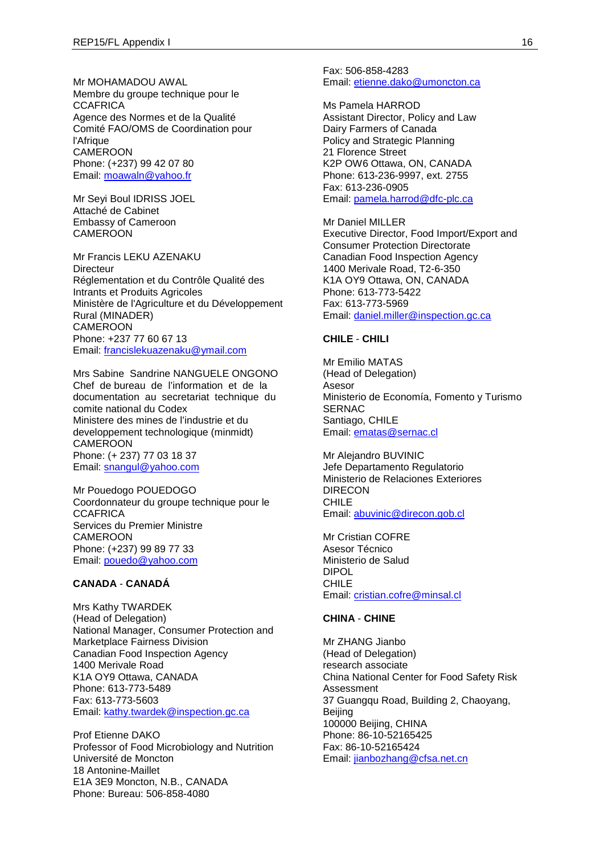Mr MOHAMADOU AWAL Membre du groupe technique pour le **CCAFRICA** Agence des Normes et de la Qualité Comité FAO/OMS de Coordination pour l'Afrique CAMEROON Phone: (+237) 99 42 07 80 Email: [moawaln@yahoo.fr](mailto:moawaln@yahoo.fr)

Mr Seyi Boul IDRISS JOEL Attaché de Cabinet Embassy of Cameroon CAMEROON

Mr Francis LEKU AZENAKU **Directeur** Réglementation et du Contrôle Qualité des Intrants et Produits Agricoles Ministère de l'Agriculture et du Développement Rural (MINADER) CAMEROON Phone: +237 77 60 67 13 Email: [francislekuazenaku@ymail.com](mailto:francislekuazenaku@ymail.com)

Mrs Sabine Sandrine NANGUELE ONGONO Chef de bureau de l'information et de la documentation au secretariat technique du comite national du Codex Ministere des mines de l'industrie et du developpement technologique (minmidt) CAMEROON Phone: (+ 237) 77 03 18 37 Email: [snangul@yahoo.com](mailto:snangul@yahoo.com)

Mr Pouedogo POUEDOGO Coordonnateur du groupe technique pour le **CCAFRICA** Services du Premier Ministre CAMEROON Phone: (+237) 99 89 77 33 Email: [pouedo@yahoo.com](mailto:pouedo@yahoo.com)

# **CANADA** - **CANADÁ**

Mrs Kathy TWARDEK (Head of Delegation) National Manager, Consumer Protection and Marketplace Fairness Division Canadian Food Inspection Agency 1400 Merivale Road K1A OY9 Ottawa, CANADA Phone: 613-773-5489 Fax: 613-773-5603 Email: [kathy.twardek@inspection.gc.ca](mailto:kathy.twardek@inspection.gc.ca)

Prof Etienne DAKO Professor of Food Microbiology and Nutrition Université de Moncton 18 Antonine-Maillet E1A 3E9 Moncton, N.B., CANADA Phone: Bureau: 506-858-4080

Fax: 506-858-4283 Email: [etienne.dako@umoncton.ca](mailto:etienne.dako@umoncton.ca)

Ms Pamela HARROD Assistant Director, Policy and Law Dairy Farmers of Canada Policy and Strategic Planning 21 Florence Street K2P OW6 Ottawa, ON, CANADA Phone: 613-236-9997, ext. 2755 Fax: 613-236-0905 Email: [pamela.harrod@dfc-plc.ca](mailto:pamela.harrod@dfc-plc.ca)

Mr Daniel MILLER Executive Director, Food Import/Export and Consumer Protection Directorate Canadian Food Inspection Agency 1400 Merivale Road, T2-6-350 K1A OY9 Ottawa, ON, CANADA Phone: 613-773-5422 Fax: 613-773-5969 Email: [daniel.miller@inspection.gc.ca](mailto:daniel.miller@inspection.gc.ca)

# **CHILE** - **CHILI**

Mr Emilio MATAS (Head of Delegation) Asesor Ministerio de Economía, Fomento y Turismo **SERNAC** Santiago, CHILE Email: [ematas@sernac.cl](mailto:ematas@sernac.cl)

Mr Alejandro BUVINIC Jefe Departamento Regulatorio Ministerio de Relaciones Exteriores DIRECON CHILE Email: [abuvinic@direcon.gob.cl](mailto:abuvinic@direcon.gob.cl)

Mr Cristian COFRE Asesor Técnico Ministerio de Salud DIPOL CHILE Email: [cristian.cofre@minsal.cl](mailto:cristian.cofre@minsal.cl)

# **CHINA** - **CHINE**

Mr ZHANG Jianbo (Head of Delegation) research associate China National Center for Food Safety Risk Assessment 37 Guangqu Road, Building 2, Chaoyang, **Beiling** 100000 Beijing, CHINA Phone: 86-10-52165425 Fax: 86-10-52165424 Email: [jianbozhang@cfsa.net.cn](mailto:jianbozhang@cfsa.net.cn)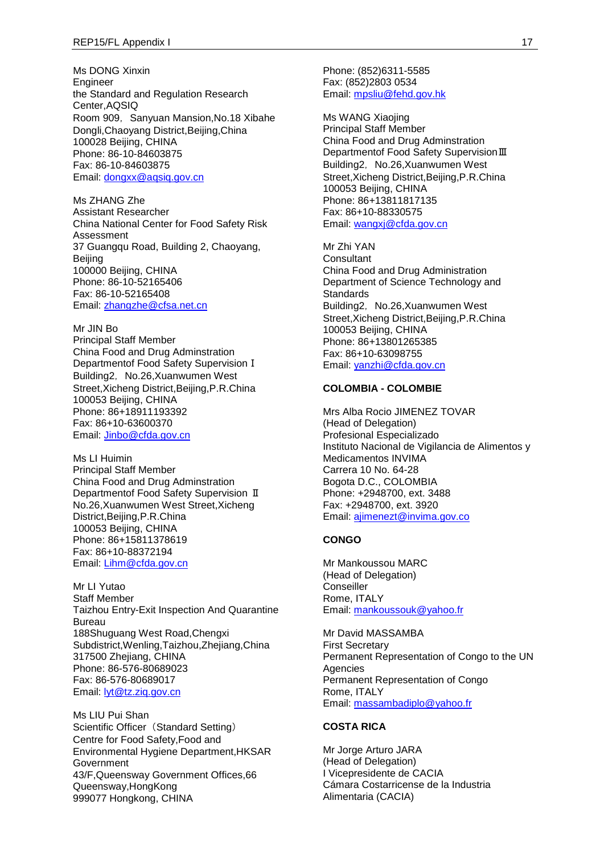Ms DONG Xinxin Engineer the Standard and Regulation Research Center,AQSIQ Room 909, Sanyuan Mansion, No.18 Xibahe Dongli,Chaoyang District,Beijing,China 100028 Beijing, CHINA Phone: 86-10-84603875 Fax: 86-10-84603875 Email: [dongxx@aqsiq.gov.cn](mailto:dongxx@aqsiq.gov.cn)

Ms ZHANG Zhe Assistant Researcher China National Center for Food Safety Risk Assessment 37 Guangqu Road, Building 2, Chaoyang, Beijing 100000 Beijing, CHINA Phone: 86-10-52165406 Fax: 86-10-52165408 Email: [zhangzhe@cfsa.net.cn](mailto:zhangzhe@cfsa.net.cn)

Mr JIN Bo Principal Staff Member China Food and Drug Adminstration Departmentof Food Safety SupervisionⅠ Building2, No.26,Xuanwumen West Street,Xicheng District,Beijing,P.R.China 100053 Beijing, CHINA Phone: 86+18911193392 Fax: 86+10-63600370 Email: [Jinbo@cfda.gov.cn](mailto:Jinbo@cfda.gov.cn)

Ms LI Huimin Principal Staff Member China Food and Drug Adminstration Departmentof Food Safety Supervision Ⅱ No.26,Xuanwumen West Street,Xicheng District,Beijing,P.R.China 100053 Beijing, CHINA Phone: 86+15811378619 Fax: 86+10-88372194 Email: [Lihm@cfda.gov.cn](mailto:Lihm@cfda.gov.cn)

Mr LI Yutao Staff Member Taizhou Entry-Exit Inspection And Quarantine Bureau 188Shuguang West Road,Chengxi Subdistrict,Wenling,Taizhou,Zhejiang,China 317500 Zhejiang, CHINA Phone: 86-576-80689023 Fax: 86-576-80689017 Email: **lyt@tz.zig.gov.cn** 

Ms LIU Pui Shan Scientific Officer (Standard Setting) Centre for Food Safety,Food and Environmental Hygiene Department,HKSAR Government 43/F,Queensway Government Offices,66 Queensway,HongKong 999077 Hongkong, CHINA

Phone: (852)6311-5585 Fax: (852)2803 0534 Email: [mpsliu@fehd.gov.hk](mailto:mpsliu@fehd.gov.hk)

Ms WANG Xiaojing Principal Staff Member China Food and Drug Adminstration Departmentof Food Safety SupervisionⅢ Building2, No.26,Xuanwumen West Street,Xicheng District,Beijing,P.R.China 100053 Beijing, CHINA Phone: 86+13811817135 Fax: 86+10-88330575 Email: [wangxj@cfda.gov.cn](mailto:wangxj@cfda.gov.cn)

Mr Zhi YAN **Consultant** China Food and Drug Administration Department of Science Technology and **Standards** Building2, No.26,Xuanwumen West Street,Xicheng District,Beijing,P.R.China 100053 Beijing, CHINA Phone: 86+13801265385 Fax: 86+10-63098755 Email: [yanzhi@cfda.gov.cn](mailto:yanzhi@cfda.gov.cn)

**COLOMBIA - COLOMBIE**

Mrs Alba Rocio JIMENEZ TOVAR (Head of Delegation) Profesional Especializado Instituto Nacional de Vigilancia de Alimentos y Medicamentos INVIMA Carrera 10 No. 64-28 Bogota D.C., COLOMBIA Phone: +2948700, ext. 3488 Fax: +2948700, ext. 3920 Email: [ajimenezt@invima.gov.co](mailto:ajimenezt@invima.gov.co)

#### **CONGO**

Mr Mankoussou MARC (Head of Delegation) **Conseiller** Rome, ITALY Email: [mankoussouk@yahoo.fr](mailto:mankoussouk@yahoo.fr)

Mr David MASSAMBA First Secretary Permanent Representation of Congo to the UN Agencies Permanent Representation of Congo Rome, ITALY Email: [massambadiplo@yahoo.fr](mailto:massambadiplo@yahoo.fr)

# **COSTA RICA**

Mr Jorge Arturo JARA (Head of Delegation) I Vicepresidente de CACIA Cámara Costarricense de la Industria Alimentaria (CACIA)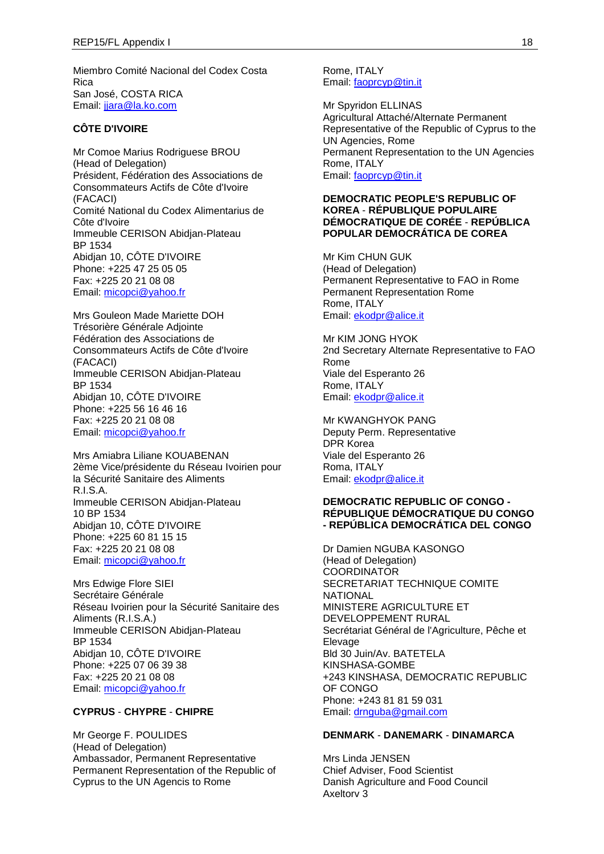Miembro Comité Nacional del Codex Costa Rica San José, COSTA RICA Email: [jjara@la.ko.com](mailto:jjara@la.ko.com)

# **CÔTE D'IVOIRE**

Mr Comoe Marius Rodriguese BROU (Head of Delegation) Président, Fédération des Associations de Consommateurs Actifs de Côte d'Ivoire (FACACI) Comité National du Codex Alimentarius de Côte d'Ivoire Immeuble CERISON Abidjan-Plateau BP 1534 Abidjan 10, CÔTE D'IVOIRE Phone: +225 47 25 05 05 Fax: +225 20 21 08 08 Email: [micopci@yahoo.fr](mailto:micopci@yahoo.fr)

Mrs Gouleon Made Mariette DOH Trésorière Générale Adjointe Fédération des Associations de Consommateurs Actifs de Côte d'Ivoire (FACACI) Immeuble CERISON Abidjan-Plateau BP 1534 Abidjan 10, CÔTE D'IVOIRE Phone: +225 56 16 46 16 Fax: +225 20 21 08 08 Email: [micopci@yahoo.fr](mailto:micopci@yahoo.fr)

Mrs Amiabra Liliane KOUABENAN 2ème Vice/présidente du Réseau Ivoirien pour la Sécurité Sanitaire des Aliments R.I.S.A. Immeuble CERISON Abidjan-Plateau 10 BP 1534 Abidjan 10, CÔTE D'IVOIRE Phone: +225 60 81 15 15 Fax: +225 20 21 08 08 Email: [micopci@yahoo.fr](mailto:micopci@yahoo.fr)

Mrs Edwige Flore SIEI Secrétaire Générale Réseau Ivoirien pour la Sécurité Sanitaire des Aliments (R.I.S.A.) Immeuble CERISON Abidjan-Plateau BP 1534 Abidjan 10, CÔTE D'IVOIRE Phone: +225 07 06 39 38 Fax: +225 20 21 08 08 Email: [micopci@yahoo.fr](mailto:micopci@yahoo.fr)

#### **CYPRUS** - **CHYPRE** - **CHIPRE**

Mr George F. POULIDES (Head of Delegation) Ambassador, Permanent Representative Permanent Representation of the Republic of Cyprus to the UN Agencis to Rome

Rome, ITALY Email: [faoprcyp@tin.it](mailto:faoprcyp@tin.it)

Mr Spyridon ELLINAS Agricultural Attaché/Alternate Permanent Representative of the Republic of Cyprus to the UN Agencies, Rome Permanent Representation to the UN Agencies Rome, ITALY Email: [faoprcyp@tin.it](mailto:faoprcyp@tin.it)

#### **DEMOCRATIC PEOPLE'S REPUBLIC OF KOREA** - **RÉPUBLIQUE POPULAIRE DÉMOCRATIQUE DE CORÉE** - **REPÚBLICA POPULAR DEMOCRÁTICA DE COREA**

Mr Kim CHUN GUK (Head of Delegation) Permanent Representative to FAO in Rome Permanent Representation Rome Rome, ITALY Email: [ekodpr@alice.it](mailto:ekodpr@alice.it)

Mr KIM JONG HYOK 2nd Secretary Alternate Representative to FAO Rome Viale del Esperanto 26 Rome, ITALY Email: [ekodpr@alice.it](mailto:ekodpr@alice.it)

Mr KWANGHYOK PANG Deputy Perm. Representative DPR Korea Viale del Esperanto 26 Roma, ITALY Email: [ekodpr@alice.it](mailto:ekodpr@alice.it)

#### **DEMOCRATIC REPUBLIC OF CONGO - RÉPUBLIQUE DÉMOCRATIQUE DU CONGO - REPÚBLICA DEMOCRÁTICA DEL CONGO**

Dr Damien NGUBA KASONGO (Head of Delegation) COORDINATOR SECRETARIAT TECHNIQUE COMITE NATIONAL MINISTERE AGRICULTURE ET DEVELOPPEMENT RURAL Secrétariat Général de l'Agriculture, Pêche et Elevage Bld 30 Juin/Av. BATETELA KINSHASA-GOMBE +243 KINSHASA, DEMOCRATIC REPUBLIC OF CONGO Phone: +243 81 81 59 031 Email: [drnguba@gmail.com](mailto:drnguba@gmail.com)

#### **DENMARK** - **DANEMARK** - **DINAMARCA**

Mrs Linda JENSEN Chief Adviser, Food Scientist Danish Agriculture and Food Council Axeltorv 3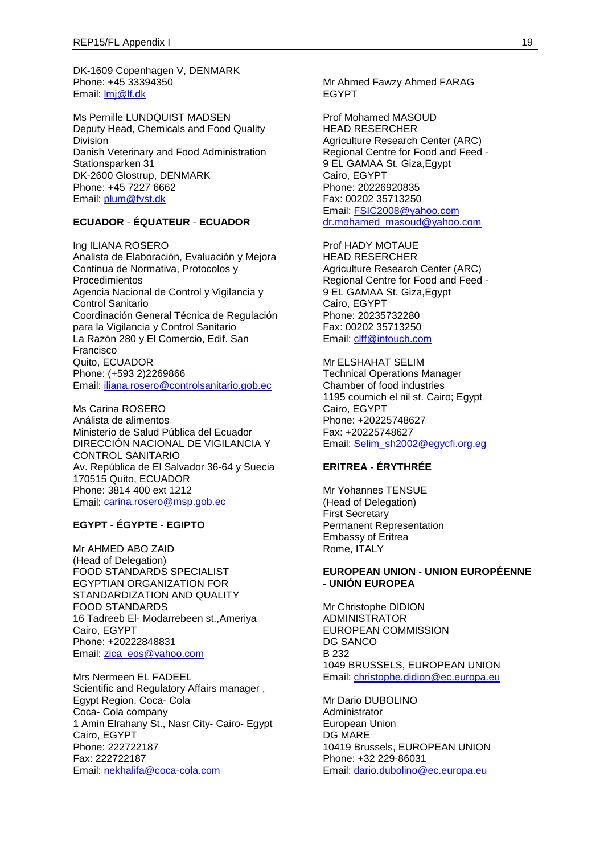DK-1609 Copenhagen V, DENMARK Phone: +45 33394350 Email: *Imj@lf.dk* 

Ms Pernille LUNDQUIST MADSEN Deputy Head, Chemicals and Food Quality Division Danish Veterinary and Food Administration Stationsparken 31 DK-2600 Glostrup, DENMARK Phone: +45 7227 6662 Email: [plum@fvst.dk](mailto:plum@fvst.dk)

# **ECUADOR** - **ÉQUATEUR** - **ECUADOR**

Ing ILIANA ROSERO Analista de Elaboración, Evaluación y Mejora Continua de Normativa, Protocolos y Procedimientos Agencia Nacional de Control y Vigilancia y Control Sanitario Coordinación General Técnica de Regulación para la Vigilancia y Control Sanitario La Razón 280 y El Comercio, Edif. San Francisco Quito, ECUADOR Phone: (+593 2)2269866 Email: [iliana.rosero@controlsanitario.gob.ec](mailto:iliana.rosero@controlsanitario.gob.ec)

Ms Carina ROSERO Análista de alimentos Ministerio de Salud Pública del Ecuador DIRECCIÓN NACIONAL DE VIGILANCIA Y CONTROL SANITARIO Av. República de El Salvador 36-64 y Suecia 170515 Quito, ECUADOR Phone: 3814 400 ext 1212 Email: [carina.rosero@msp.gob.ec](mailto:carina.rosero@msp.gob.ec)

# **EGYPT** - **ÉGYPTE** - **EGIPTO**

Mr AHMED ABO ZAID (Head of Delegation) FOOD STANDARDS SPECIALIST EGYPTIAN ORGANIZATION FOR STANDARDIZATION AND QUALITY FOOD STANDARDS 16 Tadreeb El- Modarrebeen st.,Ameriya Cairo, EGYPT Phone: +20222848831 Email: [zica\\_eos@yahoo.com](mailto:zica_eos@yahoo.com)

Mrs Nermeen EL FADEEL Scientific and Regulatory Affairs manager , Egypt Region, Coca- Cola Coca- Cola company 1 Amin Elrahany St., Nasr City- Cairo- Egypt Cairo, EGYPT Phone: 222722187 Fax: 222722187 Email: [nekhalifa@coca-cola.com](mailto:nekhalifa@coca-cola.com)

Mr Ahmed Fawzy Ahmed FARAG EGYPT

Prof Mohamed MASOUD HEAD RESERCHER Agriculture Research Center (ARC) Regional Centre for Food and Feed - 9 EL GAMAA St. Giza,Egypt Cairo, EGYPT Phone: 20226920835 Fax: 00202 35713250 Email: [FSIC2008@yahoo.com](mailto:FSIC2008@yahoo.com) [dr.mohamed\\_masoud@yahoo.com](mailto:dr.mohamed_masoud@yahoo.com)

Prof HADY MOTAUE HEAD RESERCHER Agriculture Research Center (ARC) Regional Centre for Food and Feed - 9 EL GAMAA St. Giza,Egypt Cairo, EGYPT Phone: 20235732280 Fax: 00202 35713250 Email: [clff@intouch.com](mailto:clff@intouch.com)

Mr ELSHAHAT SELIM Technical Operations Manager Chamber of food industries 1195 cournich el nil st. Cairo; Egypt Cairo, EGYPT Phone: +20225748627 Fax: +20225748627 Email: [Selim\\_sh2002@egycfi.org.eg](mailto:Selim_sh2002@egycfi.org.eg)

# **ERITREA - ÉRYTHRÉE**

Mr Yohannes TENSUE (Head of Delegation) First Secretary Permanent Representation Embassy of Eritrea Rome, ITALY

#### **EUROPEAN UNION** - **UNION EUROPÉENNE** - **UNIÓN EUROPEA**

Mr Christophe DIDION ADMINISTRATOR EUROPEAN COMMISSION DG SANCO B 232 1049 BRUSSELS, EUROPEAN UNION Email: [christophe.didion@ec.europa.eu](mailto:christophe.didion@ec.europa.eu)

Mr Dario DUBOLINO Administrator European Union DG MARE 10419 Brussels, EUROPEAN UNION Phone: +32 229-86031 Email: [dario.dubolino@ec.europa.eu](mailto:dario.dubolino@ec.europa.eu)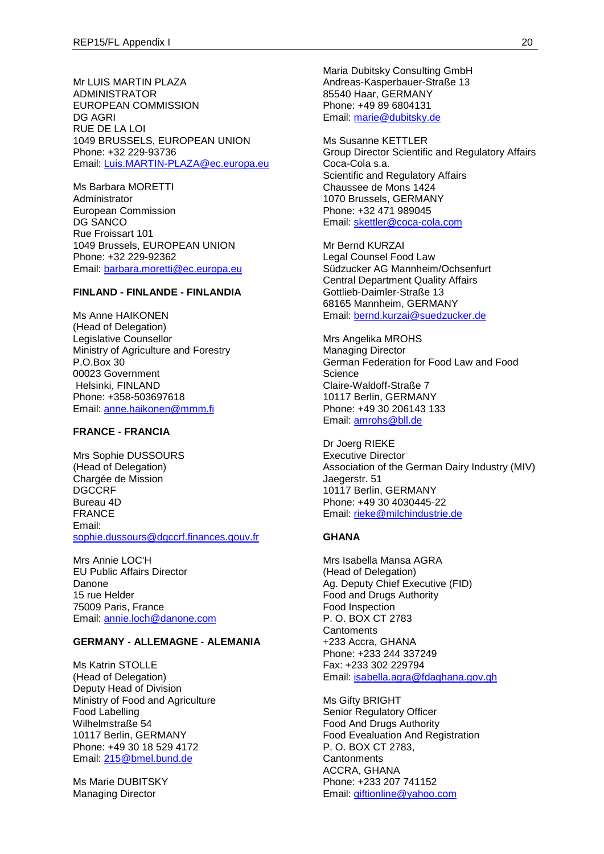Mr LUIS MARTIN PLAZA ADMINISTRATOR EUROPEAN COMMISSION DG AGRI RUE DE LA LOI 1049 BRUSSELS, EUROPEAN UNION Phone: +32 229-93736 Email: [Luis.MARTIN-PLAZA@ec.europa.eu](mailto:Luis.MARTIN-PLAZA@ec.europa.eu)

Ms Barbara MORETTI Administrator European Commission DG SANCO Rue Froissart 101 1049 Brussels, EUROPEAN UNION Phone: +32 229-92362 Email: [barbara.moretti@ec.europa.eu](mailto:barbara.moretti@ec.europa.eu)

#### **FINLAND - FINLANDE - FINLANDIA**

Ms Anne HAIKONEN (Head of Delegation) Legislative Counsellor Ministry of Agriculture and Forestry P.O.Box 30 00023 Government Helsinki, FINLAND Phone: +358-503697618 Email: [anne.haikonen@mmm.fi](mailto:anne.haikonen@mmm.fi)

#### **FRANCE** - **FRANCIA**

Mrs Sophie DUSSOURS (Head of Delegation) Chargée de Mission DGCCRF Bureau 4D FRANCE Email: [sophie.dussours@dgccrf.finances.gouv.fr](mailto:sophie.dussours@dgccrf.finances.gouv.fr)

Mrs Annie LOC'H EU Public Affairs Director Danone 15 rue Helder 75009 Paris, France Email: [annie.loch@danone.com](mailto:annie.loch@danone.com)

# **GERMANY** - **ALLEMAGNE** - **ALEMANIA**

Ms Katrin STOLLE (Head of Delegation) Deputy Head of Division Ministry of Food and Agriculture Food Labelling Wilhelmstraße 54 10117 Berlin, GERMANY Phone: +49 30 18 529 4172 Email: [215@bmel.bund.de](mailto:215@bmel.bund.de)

Ms Marie DUBITSKY Managing Director

Maria Dubitsky Consulting GmbH Andreas-Kasperbauer-Straße 13 85540 Haar, GERMANY Phone: +49 89 6804131 Email: [marie@dubitsky.de](mailto:marie@dubitsky.de)

Ms Susanne KETTLER Group Director Scientific and Regulatory Affairs Coca-Cola s.a. Scientific and Regulatory Affairs Chaussee de Mons 1424 1070 Brussels, GERMANY Phone: +32 471 989045 Email: [skettler@coca-cola.com](mailto:skettler@coca-cola.com)

Mr Bernd KURZAI Legal Counsel Food Law Südzucker AG Mannheim/Ochsenfurt Central Department Quality Affairs Gottlieb-Daimler-Straße 13 68165 Mannheim, GERMANY Email: [bernd.kurzai@suedzucker.de](mailto:bernd.kurzai@suedzucker.de)

Mrs Angelika MROHS Managing Director German Federation for Food Law and Food **Science** Claire-Waldoff-Straße 7 10117 Berlin, GERMANY Phone: +49 30 206143 133 Email: [amrohs@bll.de](mailto:amrohs@bll.de)

Dr Joerg RIEKE Executive Director Association of the German Dairy Industry (MIV) Jaegerstr. 51 10117 Berlin, GERMANY Phone: +49 30 4030445-22 Email: [rieke@milchindustrie.de](mailto:rieke@milchindustrie.de)

## **GHANA**

Mrs Isabella Mansa AGRA (Head of Delegation) Ag. Deputy Chief Executive (FID) Food and Drugs Authority Food Inspection P. O. BOX CT 2783 **Cantoments** +233 Accra, GHANA Phone: +233 244 337249 Fax: +233 302 229794 Email: [isabella.agra@fdaghana.gov.gh](mailto:isabella.agra@fdaghana.gov.gh)

Ms Gifty BRIGHT Senior Regulatory Officer Food And Drugs Authority Food Evealuation And Registration P. O. BOX CT 2783, **Cantonments** ACCRA, GHANA Phone: +233 207 741152 Email: [giftionline@yahoo.com](mailto:giftionline@yahoo.com)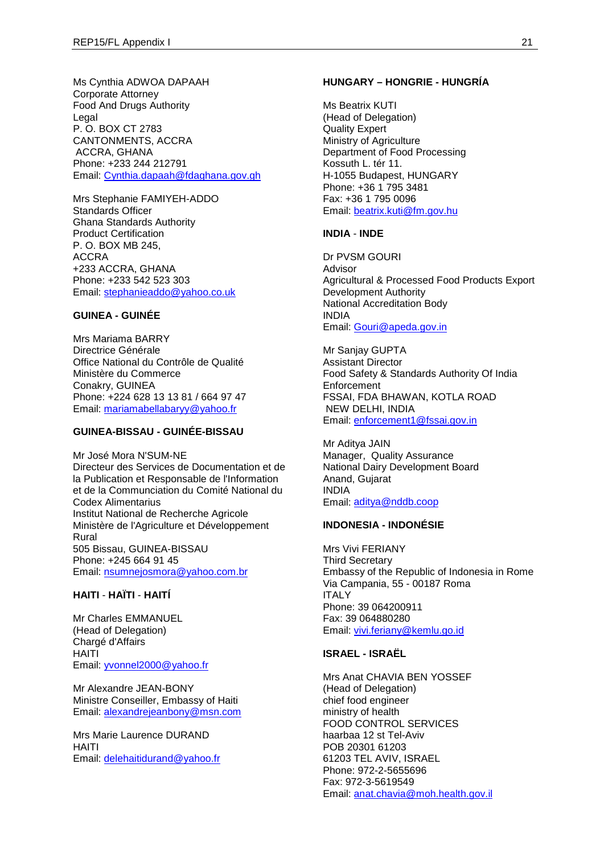Ms Cynthia ADWOA DAPAAH Corporate Attorney Food And Drugs Authority Legal P. O. BOX CT 2783 CANTONMENTS, ACCRA ACCRA, GHANA Phone: +233 244 212791 Email: [Cynthia.dapaah@fdaghana.gov.gh](mailto:Cynthia.dapaah@fdaghana.gov.gh)

Mrs Stephanie FAMIYEH-ADDO Standards Officer Ghana Standards Authority Product Certification P. O. BOX MB 245, ACCRA +233 ACCRA, GHANA Phone: +233 542 523 303 Email: [stephanieaddo@yahoo.co.uk](mailto:stephanieaddo@yahoo.co.uk)

# **GUINEA - GUINÉE**

Mrs Mariama BARRY Directrice Générale Office National du Contrôle de Qualité Ministère du Commerce Conakry, GUINEA Phone: +224 628 13 13 81 / 664 97 47 Email: [mariamabellabaryy@yahoo.fr](mailto:mariamabellabaryy@yahoo.fr)

# **GUINEA-BISSAU - GUINÉE-BISSAU**

Mr José Mora N'SUM-NE Directeur des Services de Documentation et de la Publication et Responsable de l'Information et de la Communciation du Comité National du Codex Alimentarius Institut National de Recherche Agricole Ministère de l'Agriculture et Développement Rural 505 Bissau, GUINEA-BISSAU Phone: +245 664 91 45 Email: [nsumnejosmora@yahoo.com.br](mailto:nsumnejosmora@yahoo.com.br)

# **HAITI** - **HAÏTI** - **HAITÍ**

Mr Charles EMMANUEL (Head of Delegation) Chargé d'Affairs HAITI Email: [yvonnel2000@yahoo.fr](mailto:yvonnel2000@yahoo.fr)

Mr Alexandre JEAN-BONY Ministre Conseiller, Embassy of Haiti Email: [alexandrejeanbony@msn.com](mailto:alexandrejeanbony@msn.com)

Mrs Marie Laurence DURAND HAITI Email: [delehaitidurand@yahoo.fr](mailto:delehaitidurand@yahoo.fr)

# **HUNGARY – HONGRIE - HUNGRÍA**

Ms Beatrix KUTI (Head of Delegation) Quality Expert Ministry of Agriculture Department of Food Processing Kossuth L. tér 11. H-1055 Budapest, HUNGARY Phone: +36 1 795 3481 Fax: +36 1 795 0096 Email: [beatrix.kuti@fm.gov.hu](mailto:beatrix.kuti@fm.gov.hu)

#### **INDIA** - **INDE**

Dr PVSM GOURI Advisor Agricultural & Processed Food Products Export Development Authority National Accreditation Body INDIA Email: [Gouri@apeda.gov.in](mailto:Gouri@apeda.gov.in)

Mr Sanjay GUPTA Assistant Director Food Safety & Standards Authority Of India **Enforcement** FSSAI, FDA BHAWAN, KOTLA ROAD NEW DELHI, INDIA Email: [enforcement1@fssai.gov.in](mailto:enforcement1@fssai.gov.in)

Mr Aditya JAIN Manager, Quality Assurance National Dairy Development Board Anand, Gujarat INDIA Email: [aditya@nddb.coop](mailto:aditya@nddb.coop)

# **INDONESIA - INDONÉSIE**

Mrs Vivi FERIANY Third Secretary Embassy of the Republic of Indonesia in Rome Via Campania, 55 - 00187 Roma ITALY Phone: 39 064200911 Fax: 39 064880280 Email: [vivi.feriany@kemlu.go.id](mailto:vivi.feriany@kemlu.go.id)

# **ISRAEL - ISRAËL**

Mrs Anat CHAVIA BEN YOSSEF (Head of Delegation) chief food engineer ministry of health FOOD CONTROL SERVICES haarbaa 12 st Tel-Aviv POB 20301 61203 61203 TEL AVIV, ISRAEL Phone: 972-2-5655696 Fax: 972-3-5619549 Email: [anat.chavia@moh.health.gov.il](mailto:anat.chavia@moh.health.gov.il)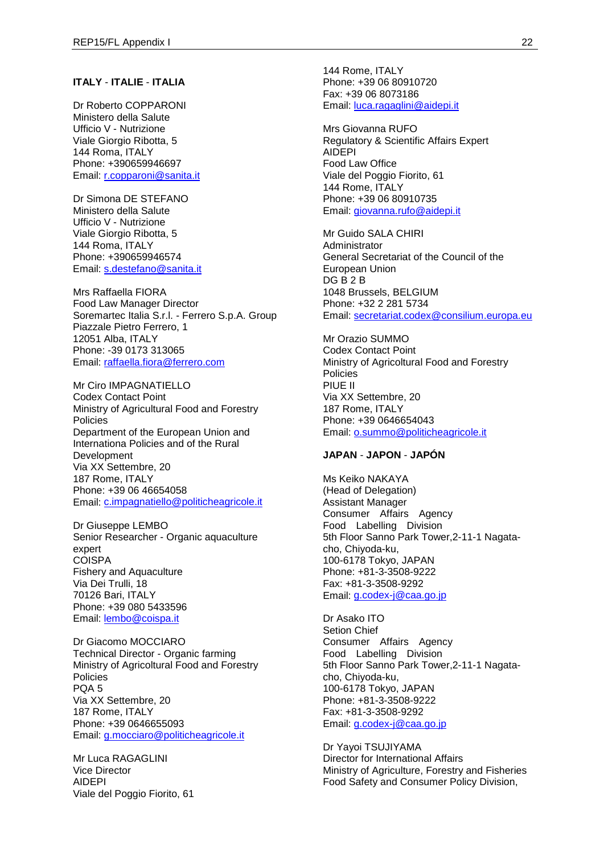# **ITALY** - **ITALIE** - **ITALIA**

Dr Roberto COPPARONI Ministero della Salute Ufficio V - Nutrizione Viale Giorgio Ribotta, 5 144 Roma, ITALY Phone: +390659946697 Email: [r.copparoni@sanita.it](mailto:r.copparoni@sanita.it)

Dr Simona DE STEFANO Ministero della Salute Ufficio V - Nutrizione Viale Giorgio Ribotta, 5 144 Roma, ITALY Phone: +390659946574 Email: [s.destefano@sanita.it](mailto:s.destefano@sanita.it)

Mrs Raffaella FIORA Food Law Manager Director Soremartec Italia S.r.l. - Ferrero S.p.A. Group Piazzale Pietro Ferrero, 1 12051 Alba, ITALY Phone: -39 0173 313065 Email: [raffaella.fiora@ferrero.com](mailto:raffaella.fiora@ferrero.com)

Mr Ciro IMPAGNATIFLLO Codex Contact Point Ministry of Agricultural Food and Forestry Policies Department of the European Union and Internationa Policies and of the Rural Development Via XX Settembre, 20 187 Rome, ITALY Phone: +39 06 46654058 Email: [c.impagnatiello@politicheagricole.it](mailto:c.impagnatiello@politicheagricole.it)

Dr Giuseppe LEMBO Senior Researcher - Organic aquaculture expert **COISPA** Fishery and Aquaculture Via Dei Trulli, 18 70126 Bari, ITALY Phone: +39 080 5433596 Email: [lembo@coispa.it](mailto:lembo@coispa.it)

Dr Giacomo MOCCIARO Technical Director - Organic farming Ministry of Agricoltural Food and Forestry **Policies** PQA 5 Via XX Settembre, 20 187 Rome, ITALY Phone: +39 0646655093 Email: [g.mocciaro@politicheagricole.it](mailto:g.mocciaro@politicheagricole.it)

Mr Luca RAGAGLINI Vice Director AIDEPI Viale del Poggio Fiorito, 61

144 Rome, ITALY Phone: +39 06 80910720 Fax: +39 06 8073186 Email: [luca.ragaglini@aidepi.it](mailto:luca.ragaglini@aidepi.it)

Mrs Giovanna RUFO Regulatory & Scientific Affairs Expert AIDEPI Food Law Office Viale del Poggio Fiorito, 61 144 Rome, ITALY Phone: +39 06 80910735 Email: [giovanna.rufo@aidepi.it](mailto:giovanna.rufo@aidepi.it)

Mr Guido SALA CHIRI Administrator General Secretariat of the Council of the European Union DG B 2 B 1048 Brussels, BELGIUM Phone: +32 2 281 5734 Email: [secretariat.codex@consilium.europa.eu](mailto:secretariat.codex@consilium.europa.eu)

Mr Orazio SUMMO Codex Contact Point Ministry of Agricoltural Food and Forestry Policies PIUE II Via XX Settembre, 20 187 Rome, ITALY Phone: +39 0646654043 Email: [o.summo@politicheagricole.it](mailto:o.summo@politicheagricole.it)

### **JAPAN** - **JAPON** - **JAPÓN**

Ms Keiko NAKAYA (Head of Delegation) Assistant Manager Consumer Affairs Agency Food Labelling Division 5th Floor Sanno Park Tower,2-11-1 Nagatacho, Chiyoda-ku, 100-6178 Tokyo, JAPAN Phone: +81-3-3508-9222 Fax: +81-3-3508-9292 Email: [g.codex-j@caa.go.jp](mailto:g.codex-j@caa.go.jp)

Dr Asako ITO Setion Chief Consumer Affairs Agency Food Labelling Division 5th Floor Sanno Park Tower,2-11-1 Nagatacho, Chiyoda-ku, 100-6178 Tokyo, JAPAN Phone: +81-3-3508-9222 Fax: +81-3-3508-9292 Email: [g.codex-j@caa.go.jp](mailto:g.codex-j@caa.go.jp)

Dr Yayoi TSUJIYAMA Director for International Affairs Ministry of Agriculture, Forestry and Fisheries Food Safety and Consumer Policy Division,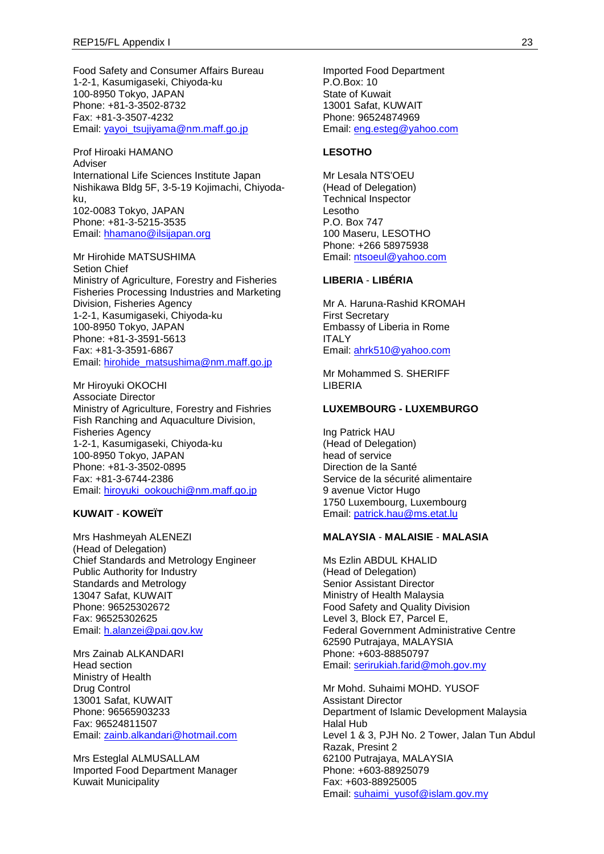Food Safety and Consumer Affairs Bureau 1-2-1, Kasumigaseki, Chiyoda-ku 100-8950 Tokyo, JAPAN Phone: +81-3-3502-8732 Fax: +81-3-3507-4232 Email: [yayoi\\_tsujiyama@nm.maff.go.jp](mailto:yayoi_tsujiyama@nm.maff.go.jp)

Prof Hiroaki HAMANO Adviser International Life Sciences Institute Japan Nishikawa Bldg 5F, 3-5-19 Kojimachi, Chiyodaku, 102-0083 Tokyo, JAPAN Phone: +81-3-5215-3535 Email: [hhamano@ilsijapan.org](mailto:hhamano@ilsijapan.org)

Mr Hirohide MATSUSHIMA Setion Chief Ministry of Agriculture, Forestry and Fisheries Fisheries Processing Industries and Marketing Division, Fisheries Agency 1-2-1, Kasumigaseki, Chiyoda-ku 100-8950 Tokyo, JAPAN Phone: +81-3-3591-5613 Fax: +81-3-3591-6867 Email: [hirohide\\_matsushima@nm.maff.go.jp](mailto:hirohide_matsushima@nm.maff.go.jp)

Mr Hiroyuki OKOCHI Associate Director Ministry of Agriculture, Forestry and Fishries Fish Ranching and Aquaculture Division, Fisheries Agency 1-2-1, Kasumigaseki, Chiyoda-ku 100-8950 Tokyo, JAPAN Phone: +81-3-3502-0895 Fax: +81-3-6744-2386 Email: [hiroyuki\\_ookouchi@nm.maff.go.jp](mailto:hiroyuki_ookouchi@nm.maff.go.jp)

#### **KUWAIT** - **KOWEÏT**

Mrs Hashmeyah ALENEZI (Head of Delegation) Chief Standards and Metrology Engineer Public Authority for Industry Standards and Metrology 13047 Safat, KUWAIT Phone: 96525302672 Fax: 96525302625 Email: [h.alanzei@pai.gov.kw](mailto:h.alanzei@pai.gov.kw)

Mrs Zainab ALKANDARI Head section Ministry of Health Drug Control 13001 Safat, KUWAIT Phone: 96565903233 Fax: 96524811507 Email: [zainb.alkandari@hotmail.com](mailto:zainb.alkandari@hotmail.com)

Mrs Esteglal ALMUSALLAM Imported Food Department Manager Kuwait Municipality

Imported Food Department P.O.Box: 10 State of Kuwait 13001 Safat, KUWAIT Phone: 96524874969 Email: [eng.esteg@yahoo.com](mailto:eng.esteg@yahoo.com)

#### **LESOTHO**

Mr Lesala NTS'OEU (Head of Delegation) Technical Inspector Lesotho P.O. Box 747 100 Maseru, LESOTHO Phone: +266 58975938 Email: [ntsoeul@yahoo.com](mailto:ntsoeul@yahoo.com)

# **LIBERIA** - **LIBÉRIA**

Mr A. Haruna-Rashid KROMAH First Secretary Embassy of Liberia in Rome ITALY Email: [ahrk510@yahoo.com](mailto:ahrk510@yahoo.com)

Mr Mohammed S. SHERIFF LIBERIA

# **LUXEMBOURG - LUXEMBURGO**

Ing Patrick HAU (Head of Delegation) head of service Direction de la Santé Service de la sécurité alimentaire 9 avenue Victor Hugo 1750 Luxembourg, Luxembourg Email: [patrick.hau@ms.etat.lu](mailto:patrick.hau@ms.etat.lu)

#### **MALAYSIA** - **MALAISIE** - **MALASIA**

Ms Ezlin ABDUL KHALID (Head of Delegation) Senior Assistant Director Ministry of Health Malaysia Food Safety and Quality Division Level 3, Block E7, Parcel E, Federal Government Administrative Centre 62590 Putrajaya, MALAYSIA Phone: +603-88850797 Email: [serirukiah.farid@moh.gov.my](mailto:serirukiah.farid@moh.gov.my)

Mr Mohd. Suhaimi MOHD. YUSOF Assistant Director Department of Islamic Development Malaysia Halal Hub Level 1 & 3, PJH No. 2 Tower, Jalan Tun Abdul Razak, Presint 2 62100 Putrajaya, MALAYSIA Phone: +603-88925079 Fax: +603-88925005 Email: [suhaimi\\_yusof@islam.gov.my](mailto:suhaimi_yusof@islam.gov.my)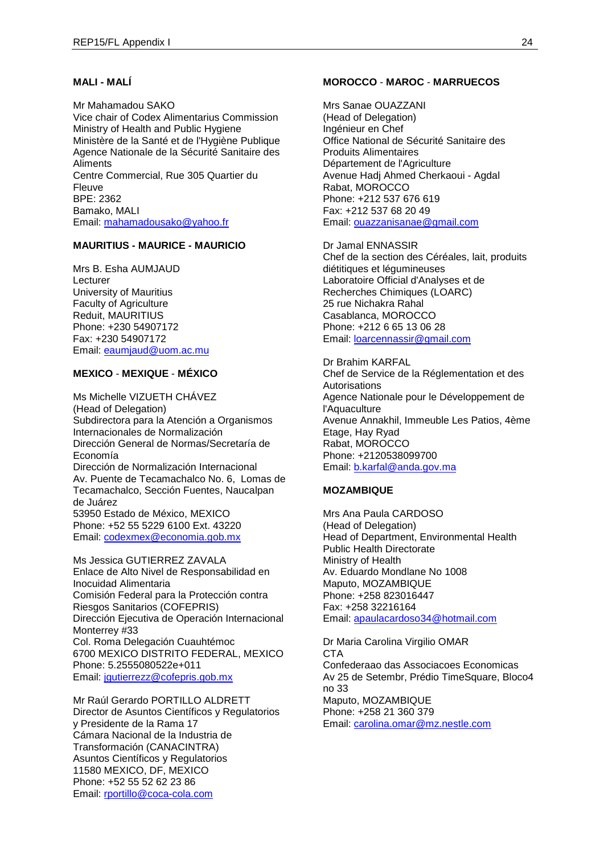# **MALI - MALÍ**

Mr Mahamadou SAKO Vice chair of Codex Alimentarius Commission Ministry of Health and Public Hygiene Ministère de la Santé et de l'Hygiène Publique Agence Nationale de la Sécurité Sanitaire des Aliments Centre Commercial, Rue 305 Quartier du **Fleuve** BPE: 2362 Bamako, MALI Email: [mahamadousako@yahoo.fr](mailto:mahamadousako@yahoo.fr)

# **MAURITIUS - MAURICE - MAURICIO**

Mrs B. Esha AUMJAUD Lecturer University of Mauritius Faculty of Agriculture Reduit, MAURITIUS Phone: +230 54907172 Fax: +230 54907172 Email: [eaumjaud@uom.ac.mu](mailto:eaumjaud@uom.ac.mu)

# **MEXICO** - **MEXIQUE** - **MÉXICO**

Ms Michelle VIZUETH CHÁVEZ (Head of Delegation) Subdirectora para la Atención a Organismos Internacionales de Normalización Dirección General de Normas/Secretaría de Economía Dirección de Normalización Internacional Av. Puente de Tecamachalco No. 6, Lomas de Tecamachalco, Sección Fuentes, Naucalpan de Juárez 53950 Estado de México, MEXICO Phone: +52 55 5229 6100 Ext. 43220 Email: [codexmex@economia.gob.mx](mailto:codexmex@economia.gob.mx)

Ms Jessica GUTIERREZ ZAVALA Enlace de Alto Nivel de Responsabilidad en Inocuidad Alimentaria Comisión Federal para la Protección contra Riesgos Sanitarios (COFEPRIS) Dirección Ejecutiva de Operación Internacional Monterrey #33 Col. Roma Delegación Cuauhtémoc 6700 MEXICO DISTRITO FEDERAL, MEXICO Phone: 5.2555080522e+011 Email: [jgutierrezz@cofepris.gob.mx](mailto:jgutierrezz@cofepris.gob.mx)

Mr Raúl Gerardo PORTILLO ALDRETT Director de Asuntos Científicos y Regulatorios y Presidente de la Rama 17 Cámara Nacional de la Industria de Transformación (CANACINTRA) Asuntos Científicos y Regulatorios 11580 MEXICO, DF, MEXICO Phone: +52 55 52 62 23 86 Email: [rportillo@coca-cola.com](mailto:rportillo@coca-cola.com)

#### **MOROCCO** - **MAROC** - **MARRUECOS**

Mrs Sanae OUAZZANI (Head of Delegation) Ingénieur en Chef Office National de Sécurité Sanitaire des Produits Alimentaires Département de l'Agriculture Avenue Hadj Ahmed Cherkaoui - Agdal Rabat, MOROCCO Phone: +212 537 676 619 Fax: +212 537 68 20 49 Email: [ouazzanisanae@gmail.com](mailto:ouazzanisanae@gmail.com)

Dr Jamal ENNASSIR Chef de la section des Céréales, lait, produits diétitiques et légumineuses Laboratoire Official d'Analyses et de Recherches Chimiques (LOARC) 25 rue Nichakra Rahal Casablanca, MOROCCO Phone: +212 6 65 13 06 28 Email: [loarcennassir@gmail.com](mailto:loarcennassir@gmail.com)

Dr Brahim KARFAL Chef de Service de la Réglementation et des Autorisations Agence Nationale pour le Développement de l'Aquaculture Avenue Annakhil, Immeuble Les Patios, 4ème Etage, Hay Ryad Rabat, MOROCCO Phone: +2120538099700 Email: [b.karfal@anda.gov.ma](mailto:b.karfal@anda.gov.ma)

#### **MOZAMBIQUE**

Mrs Ana Paula CARDOSO (Head of Delegation) Head of Department, Environmental Health Public Health Directorate Ministry of Health Av. Eduardo Mondlane No 1008 Maputo, MOZAMBIQUE Phone: +258 823016447 Fax: +258 32216164 Email: [apaulacardoso34@hotmail.com](mailto:apaulacardoso34@hotmail.com)

Dr Maria Carolina Virgilio OMAR **CTA** Confederaao das Associacoes Economicas Av 25 de Setembr, Prédio TimeSquare, Bloco4 no 33 Maputo, MOZAMBIQUE Phone: +258 21 360 379 Email: [carolina.omar@mz.nestle.com](mailto:carolina.omar@mz.nestle.com)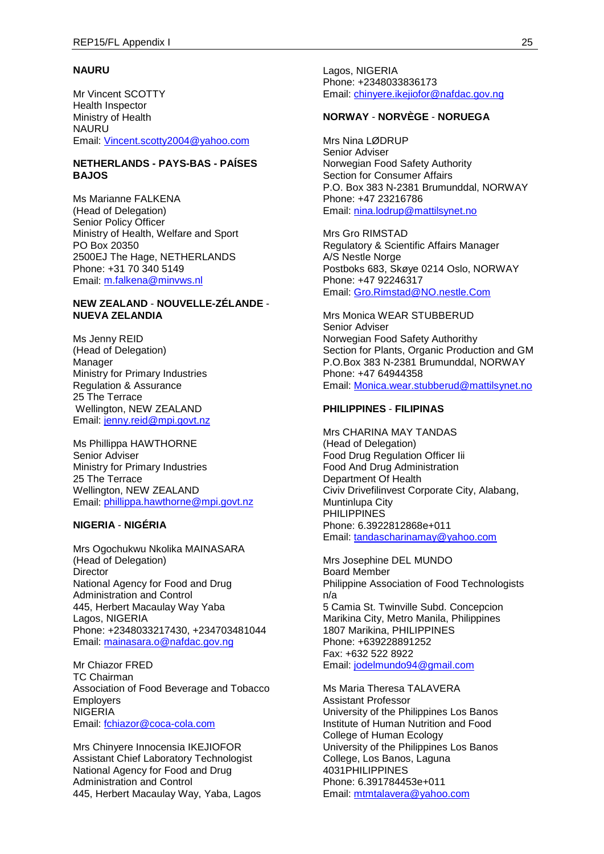#### **NAURU**

Mr Vincent SCOTTY Health Inspector Ministry of Health NAURU Email: [Vincent.scotty2004@yahoo.com](mailto:Vincent.scotty2004@yahoo.com)

# **NETHERLANDS - PAYS-BAS - PAÍSES BAJOS**

Ms Marianne FALKENA (Head of Delegation) Senior Policy Officer Ministry of Health, Welfare and Sport PO Box 20350 2500EJ The Hage, NETHERLANDS Phone: +31 70 340 5149 Email: [m.falkena@minvws.nl](mailto:m.falkena@minvws.nl)

#### **NEW ZEALAND** - **NOUVELLE-ZÉLANDE** - **NUEVA ZELANDIA**

Ms Jenny REID (Head of Delegation) Manager Ministry for Primary Industries Regulation & Assurance 25 The Terrace Wellington, NEW ZEALAND Email: [jenny.reid@mpi.govt.nz](mailto:jenny.reid@mpi.govt.nz)

Ms Phillippa HAWTHORNE Senior Adviser Ministry for Primary Industries 25 The Terrace Wellington, NEW ZEALAND Email: [phillippa.hawthorne@mpi.govt.nz](mailto:phillippa.hawthorne@mpi.govt.nz)

# **NIGERIA** - **NIGÉRIA**

Mrs Ogochukwu Nkolika MAINASARA (Head of Delegation) **Director** National Agency for Food and Drug Administration and Control 445, Herbert Macaulay Way Yaba Lagos, NIGERIA Phone: +2348033217430, +234703481044 Email: [mainasara.o@nafdac.gov.ng](mailto:mainasara.o@nafdac.gov.ng)

Mr Chiazor FRED TC Chairman Association of Food Beverage and Tobacco **Employers** NIGERIA Email: [fchiazor@coca-cola.com](mailto:fchiazor@coca-cola.com)

Mrs Chinyere Innocensia IKEJIOFOR Assistant Chief Laboratory Technologist National Agency for Food and Drug Administration and Control 445, Herbert Macaulay Way, Yaba, Lagos Lagos, NIGERIA Phone: +2348033836173 Email: [chinyere.ikejiofor@nafdac.gov.ng](mailto:chinyere.ikejiofor@nafdac.gov.ng)

# **NORWAY** - **NORVÈGE** - **NORUEGA**

Mrs Nina LØDRUP Senior Adviser Norwegian Food Safety Authority Section for Consumer Affairs P.O. Box 383 N-2381 Brumunddal, NORWAY Phone: +47 23216786 Email: [nina.lodrup@mattilsynet.no](mailto:nina.lodrup@mattilsynet.no)

Mrs Gro RIMSTAD Regulatory & Scientific Affairs Manager A/S Nestle Norge Postboks 683, Skøye 0214 Oslo, NORWAY Phone: +47 92246317 Email: [Gro.Rimstad@NO.nestle.Com](mailto:Gro.Rimstad@NO.nestle.Com)

Mrs Monica WEAR STUBBERUD Senior Adviser Norwegian Food Safety Authorithy Section for Plants, Organic Production and GM P.O.Box 383 N-2381 Brumunddal, NORWAY Phone: +47 64944358 Email: [Monica.wear.stubberud@mattilsynet.no](mailto:Monica.wear.stubberud@mattilsynet.no)

# **PHILIPPINES** - **FILIPINAS**

Mrs CHARINA MAY TANDAS (Head of Delegation) Food Drug Regulation Officer Iii Food And Drug Administration Department Of Health Civiv Drivefilinvest Corporate City, Alabang, Muntinlupa City PHILIPPINES Phone: 6.3922812868e+011 Email: [tandascharinamay@yahoo.com](mailto:tandascharinamay@yahoo.com)

Mrs Josephine DEL MUNDO Board Member Philippine Association of Food Technologists n/a 5 Camia St. Twinville Subd. Concepcion Marikina City, Metro Manila, Philippines 1807 Marikina, PHILIPPINES Phone: +639228891252 Fax: +632 522 8922 Email: [jodelmundo94@gmail.com](mailto:jodelmundo94@gmail.com)

Ms Maria Theresa TALAVERA Assistant Professor University of the Philippines Los Banos Institute of Human Nutrition and Food College of Human Ecology University of the Philippines Los Banos College, Los Banos, Laguna 4031PHILIPPINES Phone: 6.391784453e+011 Email: [mtmtalavera@yahoo.com](mailto:mtmtalavera@yahoo.com)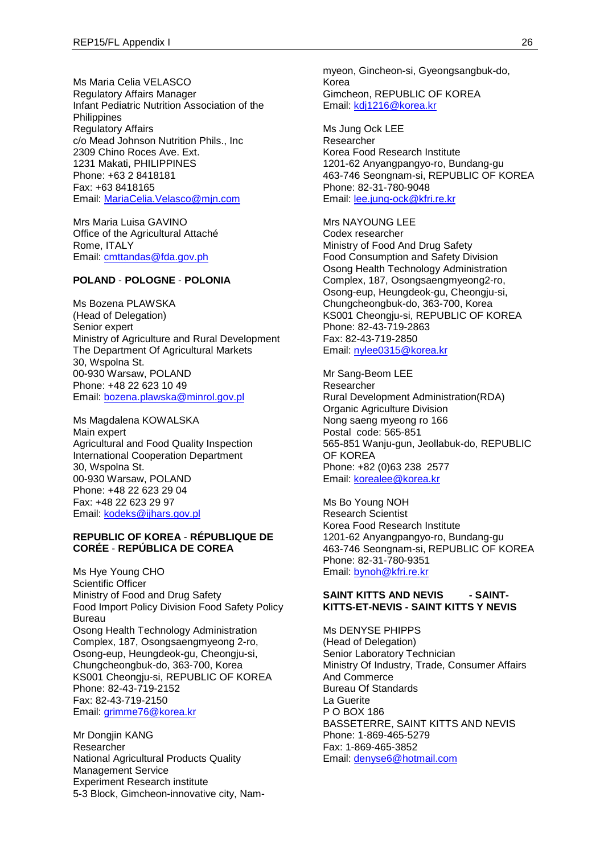Ms Maria Celia VELASCO Regulatory Affairs Manager Infant Pediatric Nutrition Association of the **Philippines** Regulatory Affairs c/o Mead Johnson Nutrition Phils., Inc 2309 Chino Roces Ave. Ext. 1231 Makati, PHILIPPINES Phone: +63 2 8418181 Fax: +63 8418165 Email: [MariaCelia.Velasco@mjn.com](mailto:MariaCelia.Velasco@mjn.com)

Mrs Maria Luisa GAVINO Office of the Agricultural Attaché Rome, ITALY Email: [cmttandas@fda.gov.ph](mailto:cmttandas@fda.gov.ph)

#### **POLAND** - **POLOGNE** - **POLONIA**

Ms Bozena PLAWSKA (Head of Delegation) Senior expert Ministry of Agriculture and Rural Development The Department Of Agricultural Markets 30, Wspolna St. 00-930 Warsaw, POLAND Phone: +48 22 623 10 49 Email: [bozena.plawska@minrol.gov.pl](mailto:bozena.plawska@minrol.gov.pl)

Ms Magdalena KOWALSKA Main expert Agricultural and Food Quality Inspection International Cooperation Department 30, Wspolna St. 00-930 Warsaw, POLAND Phone: +48 22 623 29 04 Fax: +48 22 623 29 97 Email: [kodeks@ijhars.gov.pl](mailto:kodeks@ijhars.gov.pl)

#### **REPUBLIC OF KOREA** - **RÉPUBLIQUE DE CORÉE** - **REPÚBLICA DE COREA**

Ms Hye Young CHO Scientific Officer Ministry of Food and Drug Safety Food Import Policy Division Food Safety Policy Bureau Osong Health Technology Administration Complex, 187, Osongsaengmyeong 2-ro, Osong-eup, Heungdeok-gu, Cheongju-si, Chungcheongbuk-do, 363-700, Korea KS001 Cheongju-si, REPUBLIC OF KOREA Phone: 82-43-719-2152 Fax: 82-43-719-2150 Email: [grimme76@korea.kr](mailto:grimme76@korea.kr)

Mr Dongjin KANG Researcher National Agricultural Products Quality Management Service Experiment Research institute 5-3 Block, Gimcheon-innovative city, Nammyeon, Gincheon-si, Gyeongsangbuk-do, Korea Gimcheon, REPUBLIC OF KOREA Email: [kdj1216@korea.kr](mailto:kdj1216@korea.kr)

Ms Jung Ock LEE Researcher Korea Food Research Institute 1201-62 Anyangpangyo-ro, Bundang-gu 463-746 Seongnam-si, REPUBLIC OF KOREA Phone: 82-31-780-9048 Email: [lee.jung-ock@kfri.re.kr](mailto:lee.jung-ock@kfri.re.kr)

Mrs NAYOUNG LEE Codex researcher Ministry of Food And Drug Safety Food Consumption and Safety Division Osong Health Technology Administration Complex, 187, Osongsaengmyeong2-ro, Osong-eup, Heungdeok-gu, Cheongju-si, Chungcheongbuk-do, 363-700, Korea KS001 Cheongju-si, REPUBLIC OF KOREA Phone: 82-43-719-2863 Fax: 82-43-719-2850 Email: [nylee0315@korea.kr](mailto:nylee0315@korea.kr)

Mr Sang-Beom LEE Researcher Rural Development Administration(RDA) Organic Agriculture Division Nong saeng myeong ro 166 Postal code: 565-851 565-851 Wanju-gun, Jeollabuk-do, REPUBLIC OF KOREA Phone: +82 (0)63 238 2577 Email: [korealee@korea.kr](mailto:korealee@korea.kr)

Ms Bo Young NOH Research Scientist Korea Food Research Institute 1201-62 Anyangpangyo-ro, Bundang-gu 463-746 Seongnam-si, REPUBLIC OF KOREA Phone: 82-31-780-9351 Email: [bynoh@kfri.re.kr](mailto:bynoh@kfri.re.kr)

#### **SAINT KITTS AND NEVIS - SAINT-KITTS-ET-NEVIS - SAINT KITTS Y NEVIS**

Ms DENYSE PHIPPS (Head of Delegation) Senior Laboratory Technician Ministry Of Industry, Trade, Consumer Affairs And Commerce Bureau Of Standards La Guerite P O BOX 186 BASSETERRE, SAINT KITTS AND NEVIS Phone: 1-869-465-5279 Fax: 1-869-465-3852 Email: [denyse6@hotmail.com](mailto:denyse6@hotmail.com)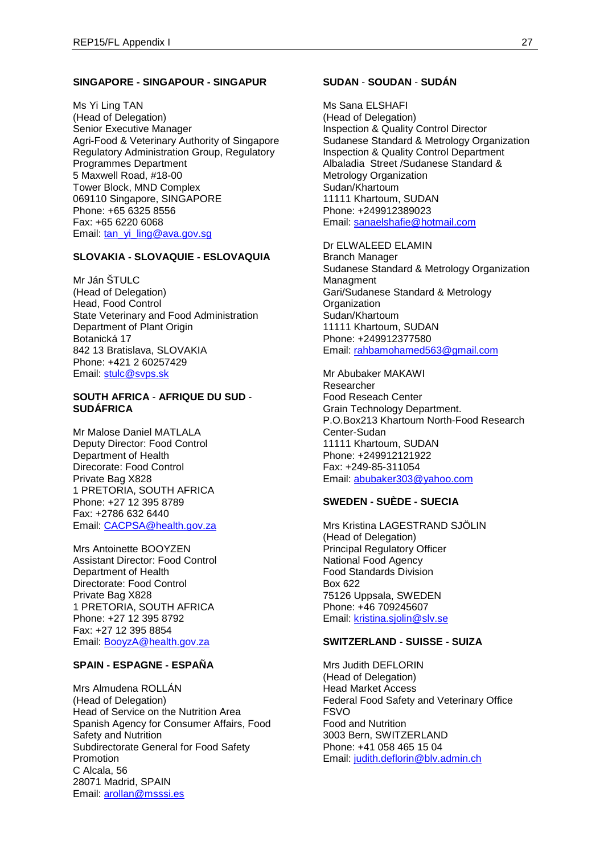#### **SINGAPORE - SINGAPOUR - SINGAPUR**

Ms Yi Ling TAN (Head of Delegation) Senior Executive Manager Agri-Food & Veterinary Authority of Singapore Regulatory Administration Group, Regulatory Programmes Department 5 Maxwell Road, #18-00 Tower Block, MND Complex 069110 Singapore, SINGAPORE Phone: +65 6325 8556 Fax: +65 6220 6068 Email: [tan\\_yi\\_ling@ava.gov.sg](mailto:tan_yi_ling@ava.gov.sg)

## **SLOVAKIA - SLOVAQUIE - ESLOVAQUIA**

Mr Ján ŠTULC (Head of Delegation) Head, Food Control State Veterinary and Food Administration Department of Plant Origin Botanická 17 842 13 Bratislava, SLOVAKIA Phone: +421 2 60257429 Email: [stulc@svps.sk](mailto:stulc@svps.sk)

#### **SOUTH AFRICA** - **AFRIQUE DU SUD** - **SUDÁFRICA**

Mr Malose Daniel MATLALA Deputy Director: Food Control Department of Health Direcorate: Food Control Private Bag X828 1 PRETORIA, SOUTH AFRICA Phone: +27 12 395 8789 Fax: +2786 632 6440 Email: [CACPSA@health.gov.za](mailto:CACPSA@health.gov.za)

Mrs Antoinette BOOYZEN Assistant Director: Food Control Department of Health Directorate: Food Control Private Bag X828 1 PRETORIA, SOUTH AFRICA Phone: +27 12 395 8792 Fax: +27 12 395 8854 Email: [BooyzA@health.gov.za](mailto:BooyzA@health.gov.za)

# **SPAIN - ESPAGNE - ESPAÑA**

Mrs Almudena ROLLÁN (Head of Delegation) Head of Service on the Nutrition Area Spanish Agency for Consumer Affairs, Food Safety and Nutrition Subdirectorate General for Food Safety Promotion C Alcala, 56 28071 Madrid, SPAIN Email: [arollan@msssi.es](mailto:arollan@msssi.es)

#### **SUDAN** - **SOUDAN** - **SUDÁN**

Ms Sana ELSHAFI (Head of Delegation) Inspection & Quality Control Director Sudanese Standard & Metrology Organization Inspection & Quality Control Department Albaladia Street /Sudanese Standard & Metrology Organization Sudan/Khartoum 11111 Khartoum, SUDAN Phone: +249912389023 Email: [sanaelshafie@hotmail.com](mailto:sanaelshafie@hotmail.com)

Dr ELWALEED ELAMIN

Branch Manager Sudanese Standard & Metrology Organization Managment Gari/Sudanese Standard & Metrology **Organization** Sudan/Khartoum 11111 Khartoum, SUDAN Phone: +249912377580 Email: [rahbamohamed563@gmail.com](mailto:rahbamohamed563@gmail.com)

Mr Abubaker MAKAWI Researcher Food Reseach Center Grain Technology Department. P.O.Box213 Khartoum North-Food Research Center-Sudan 11111 Khartoum, SUDAN Phone: +249912121922 Fax: +249-85-311054 Email: [abubaker303@yahoo.com](mailto:abubaker303@yahoo.com)

# **SWEDEN - SUÈDE - SUECIA**

Mrs Kristina LAGESTRAND SJÖLIN (Head of Delegation) Principal Regulatory Officer National Food Agency Food Standards Division Box 622 75126 Uppsala, SWEDEN Phone: +46 709245607 Email: [kristina.sjolin@slv.se](mailto:kristina.sjolin@slv.se)

# **SWITZERLAND** - **SUISSE** - **SUIZA**

Mrs Judith DEFLORIN (Head of Delegation) Head Market Access Federal Food Safety and Veterinary Office FSVO Food and Nutrition 3003 Bern, SWITZERLAND Phone: +41 058 465 15 04 Email: [judith.deflorin@blv.admin.ch](mailto:judith.deflorin@blv.admin.ch)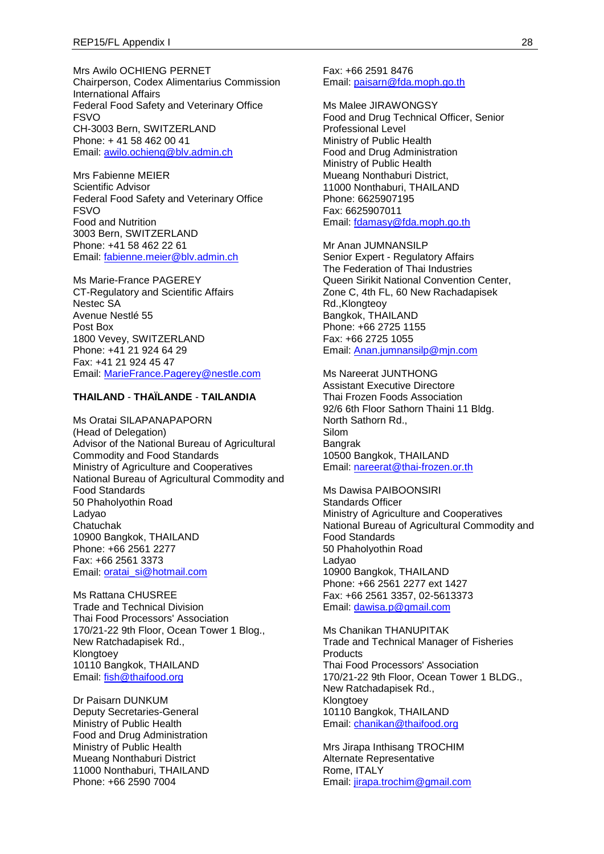Mrs Awilo OCHIENG PERNET Chairperson, Codex Alimentarius Commission International Affairs Federal Food Safety and Veterinary Office FSVO CH-3003 Bern, SWITZERLAND Phone: + 41 58 462 00 41 Email: [awilo.ochieng@blv.admin.ch](mailto:awilo.ochieng@blv.admin.ch)

Mrs Fabienne MEIER Scientific Advisor Federal Food Safety and Veterinary Office FSVO Food and Nutrition 3003 Bern, SWITZERLAND Phone: +41 58 462 22 61 Email: [fabienne.meier@blv.admin.ch](mailto:fabienne.meier@blv.admin.ch)

Ms Marie-France PAGEREY CT-Regulatory and Scientific Affairs Nestec SA Avenue Nestlé 55 Post Box 1800 Vevey, SWITZERLAND Phone: +41 21 924 64 29 Fax: +41 21 924 45 47 Email: [MarieFrance.Pagerey@nestle.com](mailto:MarieFrance.Pagerey@nestle.com)

# **THAILAND** - **THAÏLANDE** - **TAILANDIA**

Ms Oratai SILAPANAPAPORN (Head of Delegation) Advisor of the National Bureau of Agricultural Commodity and Food Standards Ministry of Agriculture and Cooperatives National Bureau of Agricultural Commodity and Food Standards 50 Phaholyothin Road Ladyao Chatuchak 10900 Bangkok, THAILAND Phone: +66 2561 2277 Fax: +66 2561 3373 Email: [oratai\\_si@hotmail.com](mailto:oratai_si@hotmail.com)

Ms Rattana CHUSREE Trade and Technical Division Thai Food Processors' Association 170/21-22 9th Floor, Ocean Tower 1 Blog., New Ratchadapisek Rd., Klongtoey 10110 Bangkok, THAILAND Email: [fish@thaifood.org](mailto:fish@thaifood.org)

Dr Paisarn DUNKUM Deputy Secretaries-General Ministry of Public Health Food and Drug Administration Ministry of Public Health Mueang Nonthaburi District 11000 Nonthaburi, THAILAND Phone: +66 2590 7004

Fax: +66 2591 8476 Email: [paisarn@fda.moph.go.th](mailto:paisarn@fda.moph.go.th)

Ms Malee JIRAWONGSY Food and Drug Technical Officer, Senior Professional Level Ministry of Public Health Food and Drug Administration Ministry of Public Health Mueang Nonthaburi District, 11000 Nonthaburi, THAILAND Phone: 6625907195 Fax: 6625907011 Email: [fdamasy@fda.moph.go.th](mailto:fdamasy@fda.moph.go.th)

Mr Anan JUMNANSILP Senior Expert - Regulatory Affairs The Federation of Thai Industries Queen Sirikit National Convention Center, Zone C, 4th FL, 60 New Rachadapisek Rd.,Klongteoy Bangkok, THAILAND Phone: +66 2725 1155 Fax: +66 2725 1055 Email: [Anan.jumnansilp@mjn.com](mailto:Anan.jumnansilp@mjn.com)

Ms Nareerat JUNTHONG Assistant Executive Directore Thai Frozen Foods Association 92/6 6th Floor Sathorn Thaini 11 Bldg. North Sathorn Rd., Silom Bangrak 10500 Bangkok, THAILAND Email: [nareerat@thai-frozen.or.th](mailto:nareerat@thai-frozen.or.th)

Ms Dawisa PAIBOONSIRI Standards Officer Ministry of Agriculture and Cooperatives National Bureau of Agricultural Commodity and Food Standards 50 Phaholyothin Road Ladyao 10900 Bangkok, THAILAND Phone: +66 2561 2277 ext 1427 Fax: +66 2561 3357, 02-5613373 Email: [dawisa.p@gmail.com](mailto:dawisa.p@gmail.com)

Ms Chanikan THANUPITAK Trade and Technical Manager of Fisheries Products Thai Food Processors' Association 170/21-22 9th Floor, Ocean Tower 1 BLDG., New Ratchadapisek Rd., Klongtoey 10110 Bangkok, THAILAND Email: [chanikan@thaifood.org](mailto:chanikan@thaifood.org)

Mrs Jirapa Inthisang TROCHIM Alternate Representative Rome, ITALY Email: [jirapa.trochim@gmail.com](mailto:jirapa.trochim@gmail.com)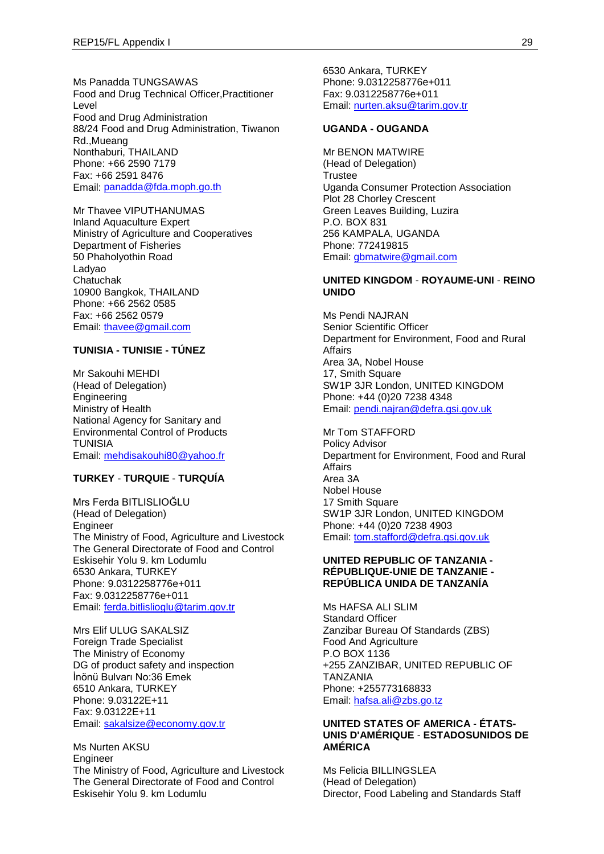Ms Panadda TUNGSAWAS Food and Drug Technical Officer,Practitioner Level Food and Drug Administration 88/24 Food and Drug Administration, Tiwanon Rd.,Mueang Nonthaburi, THAILAND Phone: +66 2590 7179 Fax: +66 2591 8476 Email: [panadda@fda.moph.go.th](mailto:panadda@fda.moph.go.th)

Mr Thavee VIPUTHANUMAS Inland Aquaculture Expert Ministry of Agriculture and Cooperatives Department of Fisheries 50 Phaholyothin Road Ladyao Chatuchak 10900 Bangkok, THAILAND Phone: +66 2562 0585 Fax: +66 2562 0579 Email: [thavee@gmail.com](mailto:thavee@gmail.com)

# **TUNISIA - TUNISIE - TÚNEZ**

Mr Sakouhi MEHDI (Head of Delegation) Engineering Ministry of Health National Agency for Sanitary and Environmental Control of Products TUNISIA Email: [mehdisakouhi80@yahoo.fr](mailto:mehdisakouhi80@yahoo.fr)

# **TURKEY** - **TURQUIE** - **TURQUÍA**

Mrs Ferda BITLISLIOĞLU (Head of Delegation) Engineer The Ministry of Food, Agriculture and Livestock The General Directorate of Food and Control Eskisehir Yolu 9. km Lodumlu 6530 Ankara, TURKEY Phone: 9.0312258776e+011 Fax: 9.0312258776e+011 Email: [ferda.bitlislioglu@tarim.gov.tr](mailto:ferda.bitlislioglu@tarim.gov.tr)

Mrs Elif ULUG SAKALSIZ Foreign Trade Specialist The Ministry of Economy DG of product safety and inspection İnönü Bulvarı No:36 Emek 6510 Ankara, TURKEY Phone: 9.03122E+11 Fax: 9.03122E+11 Email: [sakalsize@economy.gov.tr](mailto:sakalsize@economy.gov.tr)

Ms Nurten AKSU Engineer The Ministry of Food, Agriculture and Livestock The General Directorate of Food and Control Eskisehir Yolu 9. km Lodumlu

6530 Ankara, TURKEY Phone: 9.0312258776e+011 Fax: 9.0312258776e+011 Email: [nurten.aksu@tarim.gov.tr](mailto:nurten.aksu@tarim.gov.tr)

## **UGANDA - OUGANDA**

Mr BENON MATWIRE (Head of Delegation) **Trustee** Uganda Consumer Protection Association Plot 28 Chorley Crescent Green Leaves Building, Luzira P.O. BOX 831 256 KAMPALA, UGANDA Phone: 772419815 Email: [gbmatwire@gmail.com](mailto:gbmatwire@gmail.com)

## **UNITED KINGDOM** - **ROYAUME-UNI** - **REINO UNIDO**

Ms Pendi NAJRAN Senior Scientific Officer Department for Environment, Food and Rural Affairs Area 3A, Nobel House 17, Smith Square SW1P 3JR London, UNITED KINGDOM Phone: +44 (0)20 7238 4348 Email: [pendi.najran@defra.gsi.gov.uk](mailto:pendi.najran@defra.gsi.gov.uk)

Mr Tom STAFFORD Policy Advisor Department for Environment, Food and Rural Affairs Area 3A Nobel House 17 Smith Square SW1P 3JR London, UNITED KINGDOM Phone: +44 (0)20 7238 4903 Email: [tom.stafford@defra.gsi.gov.uk](mailto:tom.stafford@defra.gsi.gov.uk)

#### **UNITED REPUBLIC OF TANZANIA - RÉPUBLIQUE-UNIE DE TANZANIE - REPÚBLICA UNIDA DE TANZANÍA**

Ms HAFSA ALI SLIM Standard Officer Zanzibar Bureau Of Standards (ZBS) Food And Agriculture P.O BOX 1136 +255 ZANZIBAR, UNITED REPUBLIC OF TANZANIA Phone: +255773168833 Email: [hafsa.ali@zbs.go.tz](mailto:hafsa.ali@zbs.go.tz)

# **UNITED STATES OF AMERICA** - **ÉTATS-UNIS D'AMÉRIQUE** - **ESTADOSUNIDOS DE AMÉRICA**

Ms Felicia BILLINGSLEA (Head of Delegation) Director, Food Labeling and Standards Staff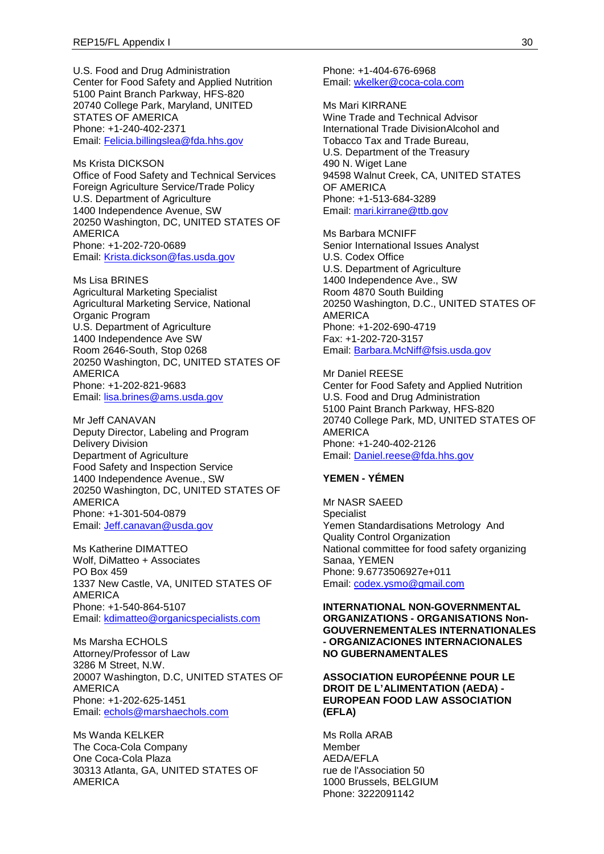U.S. Food and Drug Administration Center for Food Safety and Applied Nutrition 5100 Paint Branch Parkway, HFS-820 20740 College Park, Maryland, UNITED STATES OF AMERICA Phone: +1-240-402-2371 Email: [Felicia.billingslea@fda.hhs.gov](mailto:Felicia.billingslea@fda.hhs.gov)

Ms Krista DICKSON Office of Food Safety and Technical Services Foreign Agriculture Service/Trade Policy U.S. Department of Agriculture 1400 Independence Avenue, SW 20250 Washington, DC, UNITED STATES OF AMERICA Phone: +1-202-720-0689 Email: [Krista.dickson@fas.usda.gov](mailto:Krista.dickson@fas.usda.gov)

Ms Lisa BRINES Agricultural Marketing Specialist Agricultural Marketing Service, National Organic Program U.S. Department of Agriculture 1400 Independence Ave SW Room 2646-South, Stop 0268 20250 Washington, DC, UNITED STATES OF AMERICA Phone: +1-202-821-9683 Email: [lisa.brines@ams.usda.gov](mailto:lisa.brines@ams.usda.gov)

Mr Jeff CANAVAN Deputy Director, Labeling and Program Delivery Division Department of Agriculture Food Safety and Inspection Service 1400 Independence Avenue., SW 20250 Washington, DC, UNITED STATES OF AMERICA Phone: +1-301-504-0879 Email: [Jeff.canavan@usda.gov](mailto:Jeff.canavan@usda.gov)

Ms Katherine DIMATTEO Wolf, DiMatteo + Associates PO Box 459 1337 New Castle, VA, UNITED STATES OF AMERICA Phone: +1-540-864-5107 Email: [kdimatteo@organicspecialists.com](mailto:kdimatteo@organicspecialists.com)

Ms Marsha ECHOLS Attorney/Professor of Law 3286 M Street, N.W. 20007 Washington, D.C, UNITED STATES OF AMERICA Phone: +1-202-625-1451 Email: [echols@marshaechols.com](mailto:echols@marshaechols.com)

Ms Wanda KELKER The Coca-Cola Company One Coca-Cola Plaza 30313 Atlanta, GA, UNITED STATES OF AMERICA

Phone: +1-404-676-6968 Email: [wkelker@coca-cola.com](mailto:wkelker@coca-cola.com)

Ms Mari KIRRANE

Wine Trade and Technical Advisor International Trade DivisionAlcohol and Tobacco Tax and Trade Bureau, U.S. Department of the Treasury 490 N. Wiget Lane 94598 Walnut Creek, CA, UNITED STATES OF AMERICA Phone: +1-513-684-3289 Email: [mari.kirrane@ttb.gov](mailto:mari.kirrane@ttb.gov)

Ms Barbara MCNIFF Senior International Issues Analyst U.S. Codex Office U.S. Department of Agriculture 1400 Independence Ave., SW Room 4870 South Building 20250 Washington, D.C., UNITED STATES OF AMERICA Phone: +1-202-690-4719 Fax: +1-202-720-3157 Email: [Barbara.McNiff@fsis.usda.gov](mailto:Barbara.McNiff@fsis.usda.gov)

Mr Daniel REESE Center for Food Safety and Applied Nutrition U.S. Food and Drug Administration 5100 Paint Branch Parkway, HFS-820 20740 College Park, MD, UNITED STATES OF AMERICA Phone: +1-240-402-2126 Email: [Daniel.reese@fda.hhs.gov](mailto:Daniel.reese@fda.hhs.gov)

# **YEMEN - YÉMEN**

Mr NASR SAEED Specialist Yemen Standardisations Metrology And Quality Control Organization National committee for food safety organizing Sanaa, YEMEN Phone: 9.6773506927e+011 Email: [codex.ysmo@gmail.com](mailto:codex.ysmo@gmail.com)

**INTERNATIONAL NON-GOVERNMENTAL ORGANIZATIONS - ORGANISATIONS Non-GOUVERNEMENTALES INTERNATIONALES - ORGANIZACIONES INTERNACIONALES NO GUBERNAMENTALES**

**ASSOCIATION EUROPÉENNE POUR LE DROIT DE L'ALIMENTATION (AEDA) - EUROPEAN FOOD LAW ASSOCIATION (EFLA)**

Ms Rolla ARAB Member AEDA/EFLA rue de l'Association 50 1000 Brussels, BELGIUM Phone: 3222091142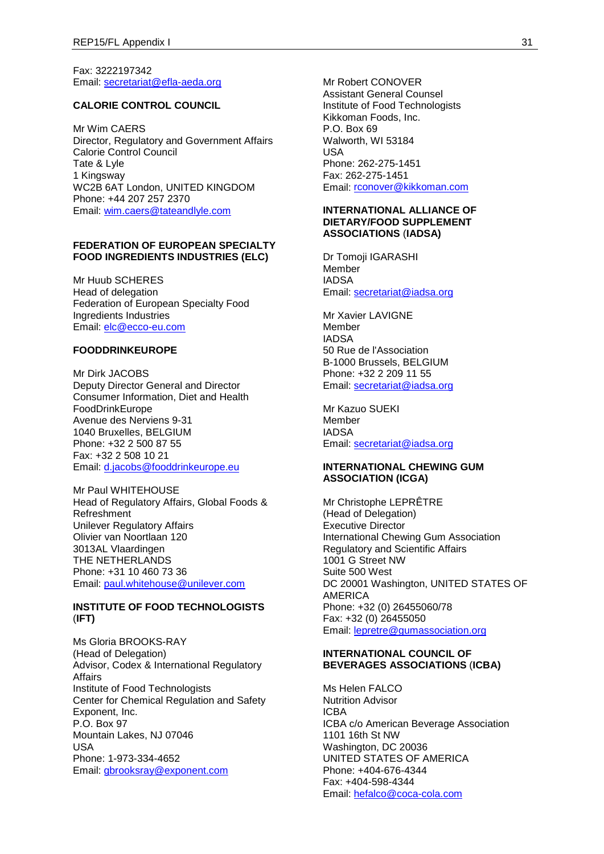Fax: 3222197342 Email: [secretariat@efla-aeda.org](mailto:secretariat@efla-aeda.org)

# **CALORIE CONTROL COUNCIL**

Mr Wim CAERS Director, Regulatory and Government Affairs Calorie Control Council Tate & Lyle 1 Kingsway WC2B 6AT London, UNITED KINGDOM Phone: +44 207 257 2370 Email: [wim.caers@tateandlyle.com](mailto:wim.caers@tateandlyle.com)

# **FEDERATION OF EUROPEAN SPECIALTY FOOD INGREDIENTS INDUSTRIES (ELC)**

Mr Huub SCHERES Head of delegation Federation of European Specialty Food Ingredients Industries Email: [elc@ecco-eu.com](mailto:elc@ecco-eu.com)

# **FOODDRINKEUROPE**

Mr Dirk JACOBS Deputy Director General and Director Consumer Information, Diet and Health FoodDrinkEurope Avenue des Nerviens 9-31 1040 Bruxelles, BELGIUM Phone: +32 2 500 87 55 Fax: +32 2 508 10 21 Email: [d.jacobs@fooddrinkeurope.eu](mailto:d.jacobs@fooddrinkeurope.eu)

Mr Paul WHITEHOUSE Head of Regulatory Affairs, Global Foods & Refreshment Unilever Regulatory Affairs Olivier van Noortlaan 120 3013AL Vlaardingen THE NETHERLANDS Phone: +31 10 460 73 36 Email: [paul.whitehouse@unilever.com](mailto:paul.whitehouse@unilever.com)

# **INSTITUTE OF FOOD TECHNOLOGISTS** (**IFT)**

Ms Gloria BROOKS-RAY (Head of Delegation) Advisor, Codex & International Regulatory Affairs Institute of Food Technologists Center for Chemical Regulation and Safety Exponent, Inc. P.O. Box 97 Mountain Lakes, NJ 07046 USA Phone: 1-973-334-4652 Email: [gbrooksray@exponent.com](mailto:gbrooksray@exponent.com)

Mr Robert CONOVER Assistant General Counsel Institute of Food Technologists Kikkoman Foods, Inc. P.O. Box 69 Walworth, WI 53184 USA Phone: 262-275-1451 Fax: 262-275-1451 Email: [rconover@kikkoman.com](mailto:rconover@kikkoman.com)

#### **INTERNATIONAL ALLIANCE OF DIETARY/FOOD SUPPLEMENT ASSOCIATIONS** (**IADSA)**

Dr Tomoji IGARASHI Member IADSA Email: [secretariat@iadsa.org](mailto:secretariat@iadsa.org)

Mr Xavier LAVIGNE Member IADSA 50 Rue de l'Association B-1000 Brussels, BELGIUM Phone: +32 2 209 11 55 Email: [secretariat@iadsa.org](mailto:secretariat@iadsa.org)

Mr Kazuo SUEKI Member IADSA Email: [secretariat@iadsa.org](mailto:secretariat@iadsa.org)

#### **INTERNATIONAL CHEWING GUM ASSOCIATION (ICGA)**

Mr Christophe LEPRÊTRE (Head of Delegation) Executive Director International Chewing Gum Association Regulatory and Scientific Affairs 1001 G Street NW Suite 500 West DC 20001 Washington, UNITED STATES OF AMERICA Phone: +32 (0) 26455060/78 Fax: +32 (0) 26455050 Email: [lepretre@gumassociation.org](mailto:lepretre@gumassociation.org)

#### **INTERNATIONAL COUNCIL OF BEVERAGES ASSOCIATIONS** (**ICBA)**

Ms Helen FALCO Nutrition Advisor ICBA ICBA c/o American Beverage Association 1101 16th St NW Washington, DC 20036 UNITED STATES OF AMERICA Phone: +404-676-4344 Fax: +404-598-4344 Email: [hefalco@coca-cola.com](mailto:hefalco@coca-cola.com)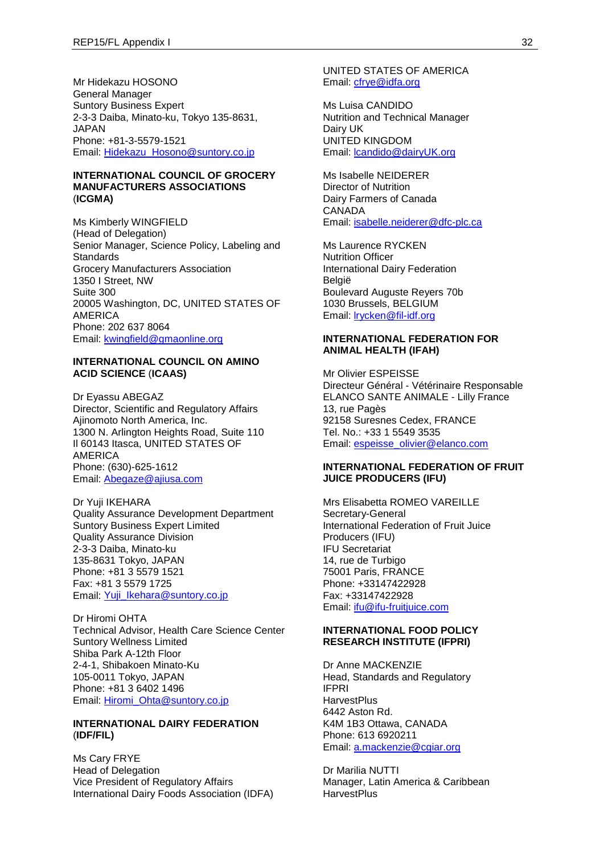Mr Hidekazu HOSONO General Manager Suntory Business Expert 2-3-3 Daiba, Minato-ku, Tokyo 135-8631, JAPAN Phone: +81-3-5579-1521 Email: [Hidekazu\\_Hosono@suntory.co.jp](mailto:Hidekazu_Hosono@suntory.co.jp)

# **INTERNATIONAL COUNCIL OF GROCERY MANUFACTURERS ASSOCIATIONS** (**ICGMA)**

Ms Kimberly WINGFIELD (Head of Delegation) Senior Manager, Science Policy, Labeling and **Standards** Grocery Manufacturers Association 1350 I Street, NW Suite 300 20005 Washington, DC, UNITED STATES OF AMERICA Phone: 202 637 8064 Email: [kwingfield@gmaonline.org](mailto:kwingfield@gmaonline.org)

#### **INTERNATIONAL COUNCIL ON AMINO ACID SCIENCE** (**ICAAS)**

Dr Eyassu ABEGAZ Director, Scientific and Regulatory Affairs Ajinomoto North America, Inc. 1300 N. Arlington Heights Road, Suite 110 Il 60143 Itasca, UNITED STATES OF AMERICA Phone: (630)-625-1612 Email: [Abegaze@ajiusa.com](mailto:Abegaze@ajiusa.com)

Dr Yuji IKEHARA Quality Assurance Development Department Suntory Business Expert Limited Quality Assurance Division 2-3-3 Daiba, Minato-ku 135-8631 Tokyo, JAPAN Phone: +81 3 5579 1521 Fax: +81 3 5579 1725 Email: [Yuji\\_Ikehara@suntory.co.jp](mailto:Yuji_Ikehara@suntory.co.jp)

Dr Hiromi OHTA Technical Advisor, Health Care Science Center Suntory Wellness Limited Shiba Park A-12th Floor 2-4-1, Shibakoen Minato-Ku 105-0011 Tokyo, JAPAN Phone: +81 3 6402 1496 Email: [Hiromi\\_Ohta@suntory.co.jp](mailto:Hiromi_Ohta@suntory.co.jp)

#### **INTERNATIONAL DAIRY FEDERATION** (**IDF/FIL)**

Ms Cary FRYE Head of Delegation Vice President of Regulatory Affairs International Dairy Foods Association (IDFA) UNITED STATES OF AMERICA Email: [cfrye@idfa.org](mailto:cfrye@idfa.org)

Ms Luisa CANDIDO Nutrition and Technical Manager Dairy UK UNITED KINGDOM Email: **lcandido@dairyUK.org** 

Ms Isabelle NEIDERER Director of Nutrition Dairy Farmers of Canada CANADA Email: [isabelle.neiderer@dfc-plc.ca](mailto:isabelle.neiderer@dfc-plc.ca)

Ms Laurence RYCKEN Nutrition Officer International Dairy Federation België Boulevard Auguste Reyers 70b 1030 Brussels, BELGIUM Email: [lrycken@fil-idf.org](mailto:lrycken@fil-idf.org)

#### **INTERNATIONAL FEDERATION FOR ANIMAL HEALTH (IFAH)**

Mr Olivier ESPEISSE Directeur Général - Vétérinaire Responsable ELANCO SANTE ANIMALE - Lilly France 13, rue Pagès 92158 Suresnes Cedex, FRANCE Tel. No.: +33 1 5549 3535 Email: [espeisse\\_olivier@elanco.com](mailto:espeisse_olivier@elanco.com)

# **INTERNATIONAL FEDERATION OF FRUIT JUICE PRODUCERS (IFU)**

Mrs Elisabetta ROMEO VAREILLE Secretary-General International Federation of Fruit Juice Producers (IFU) IFU Secretariat 14, rue de Turbigo 75001 Paris, FRANCE Phone: +33147422928 Fax: +33147422928 Email: [ifu@ifu-fruitjuice.com](mailto:ifu@ifu-fruitjuice.com)

#### **INTERNATIONAL FOOD POLICY RESEARCH INSTITUTE (IFPRI)**

Dr Anne MACKENZIE Head, Standards and Regulatory IFPRI **HarvestPlus** 6442 Aston Rd. K4M 1B3 Ottawa, CANADA Phone: 613 6920211 Email: [a.mackenzie@cgiar.org](mailto:a.mackenzie@cgiar.org)

Dr Marilia NUTTI Manager, Latin America & Caribbean **HarvestPlus**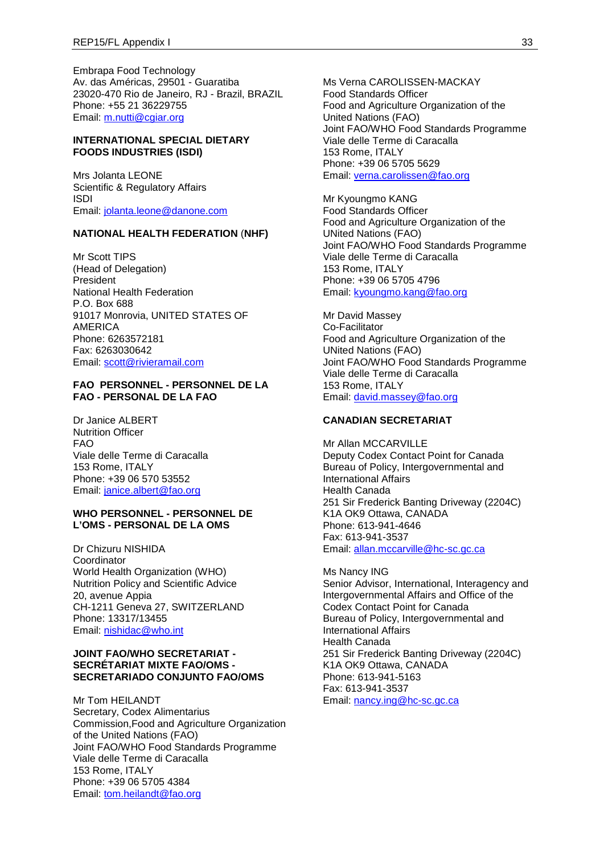Embrapa Food Technology Av. das Américas, 29501 - Guaratiba 23020-470 Rio de Janeiro, RJ - Brazil, BRAZIL Phone: +55 21 36229755 Email: [m.nutti@cgiar.org](mailto:m.nutti@cgiar.org)

#### **INTERNATIONAL SPECIAL DIETARY FOODS INDUSTRIES (ISDI)**

Mrs Jolanta LEONE Scientific & Regulatory Affairs ISDI Email: [jolanta.leone@danone.com](mailto:jolanta.leone@danone.com)

#### **NATIONAL HEALTH FEDERATION** (**NHF)**

Mr Scott TIPS (Head of Delegation) President National Health Federation P.O. Box 688 91017 Monrovia, UNITED STATES OF AMERICA Phone: 6263572181 Fax: 6263030642 Email: [scott@rivieramail.com](mailto:scott@rivieramail.com)

## **FAO PERSONNEL - PERSONNEL DE LA FAO - PERSONAL DE LA FAO**

Dr Janice ALBERT Nutrition Officer FAO Viale delle Terme di Caracalla 153 Rome, ITALY Phone: +39 06 570 53552 Email: [janice.albert@fao.org](mailto:janice.albert@fao.org)

#### **WHO PERSONNEL - PERSONNEL DE L'OMS - PERSONAL DE LA OMS**

Dr Chizuru NISHIDA **Coordinator** World Health Organization (WHO) Nutrition Policy and Scientific Advice 20, avenue Appia CH-1211 Geneva 27, SWITZERLAND Phone: 13317/13455 Email: [nishidac@who.int](mailto:nishidac@who.int)

# **JOINT FAO/WHO SECRETARIAT - SECRÉTARIAT MIXTE FAO/OMS - SECRETARIADO CONJUNTO FAO/OMS**

Mr Tom HEILANDT Secretary, Codex Alimentarius Commission,Food and Agriculture Organization of the United Nations (FAO) Joint FAO/WHO Food Standards Programme Viale delle Terme di Caracalla 153 Rome, ITALY Phone: +39 06 5705 4384 Email: [tom.heilandt@fao.org](mailto:tom.heilandt@fao.org)

Ms Verna CAROLISSEN-MACKAY Food Standards Officer Food and Agriculture Organization of the United Nations (FAO) Joint FAO/WHO Food Standards Programme Viale delle Terme di Caracalla 153 Rome, ITALY Phone: +39 06 5705 5629 Email: [verna.carolissen@fao.org](mailto:verna.carolissen@fao.org)

Mr Kyoungmo KANG Food Standards Officer Food and Agriculture Organization of the UNited Nations (FAO) Joint FAO/WHO Food Standards Programme Viale delle Terme di Caracalla 153 Rome, ITALY Phone: +39 06 5705 4796 Email: [kyoungmo.kang@fao.org](mailto:kyoungmo.kang@fao.org)

Mr David Massey Co-Facilitator Food and Agriculture Organization of the UNited Nations (FAO) Joint FAO/WHO Food Standards Programme Viale delle Terme di Caracalla 153 Rome, ITALY Email: [david.massey@fao.org](mailto:david.massey@fao.org)

# **CANADIAN SECRETARIAT**

Mr Allan MCCARVILLE Deputy Codex Contact Point for Canada Bureau of Policy, Intergovernmental and International Affairs Health Canada 251 Sir Frederick Banting Driveway (2204C) K1A OK9 Ottawa, CANADA Phone: 613-941-4646 Fax: 613-941-3537 Email: [allan.mccarville@hc-sc.gc.ca](mailto:allan.mccarville@hc-sc.gc.ca)

Ms Nancy ING Senior Advisor, International, Interagency and Intergovernmental Affairs and Office of the Codex Contact Point for Canada Bureau of Policy, Intergovernmental and International Affairs Health Canada 251 Sir Frederick Banting Driveway (2204C) K1A OK9 Ottawa, CANADA Phone: 613-941-5163 Fax: 613-941-3537 Email: [nancy.ing@hc-sc.gc.ca](mailto:nancy.ing@hc-sc.gc.ca)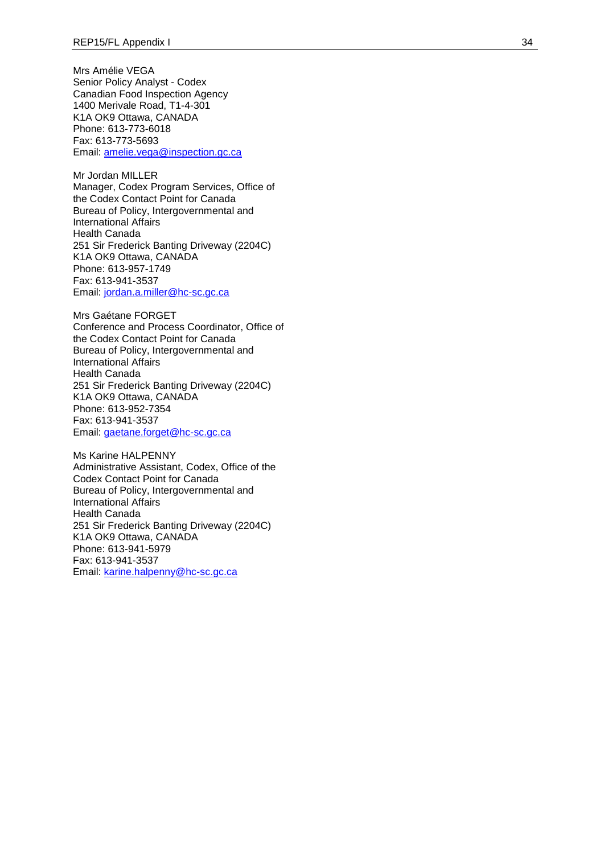Mrs Amélie VEGA Senior Policy Analyst - Codex Canadian Food Inspection Agency 1400 Merivale Road, T1 - 4 -301 K1A OK9 Ottawa, CANADA Phone: 613 -773 -6018 Fax: 613 -773 -5693 Email: [amelie.vega@inspection.gc.ca](mailto:amelie.vega@inspection.gc.ca)

Mr Jordan MILLER Manager, Codex Program Services, Office of the Codex Contact Point for Canada Bureau of Policy, Intergovernmental and International Affairs Health Canada 251 Sir Frederick Banting Driveway (2204C) K1A OK9 Ottawa, CANADA Phone: 613 -957 -1749 Fax: 613 -941 -3537 Email: [jordan.a.miller@hc](mailto:jordan.a.miller@hc-sc.gc.ca) -sc.gc.ca

Mrs Gaétane FORGET Conference and Process Coordinator, Office of the Codex Contact Point for Canada Bureau of Policy, Intergovernmental and International Affairs Health Canada 251 Sir Frederick Banting Driveway (2204C) K1A OK9 Ottawa, CANADA Phone: 613 -952 -7354 Fax: 613 -941 -3537 Email: <u>gaetane.forget@hc-sc.gc.ca</u>

Ms Karine HALPENNY Administrative Assistant, Codex, Office of the Codex Contact Point for Canada Bureau of Policy, Intergovernmental and International Affairs Health Canada 251 Sir Frederick Banting Driveway (2204C) K1A OK9 Ottawa, CANADA Phone: 613 -941 -5979 Fax: 613 -941 -3537 Email: <u>karine.halpenny@hc-sc.gc.ca</u>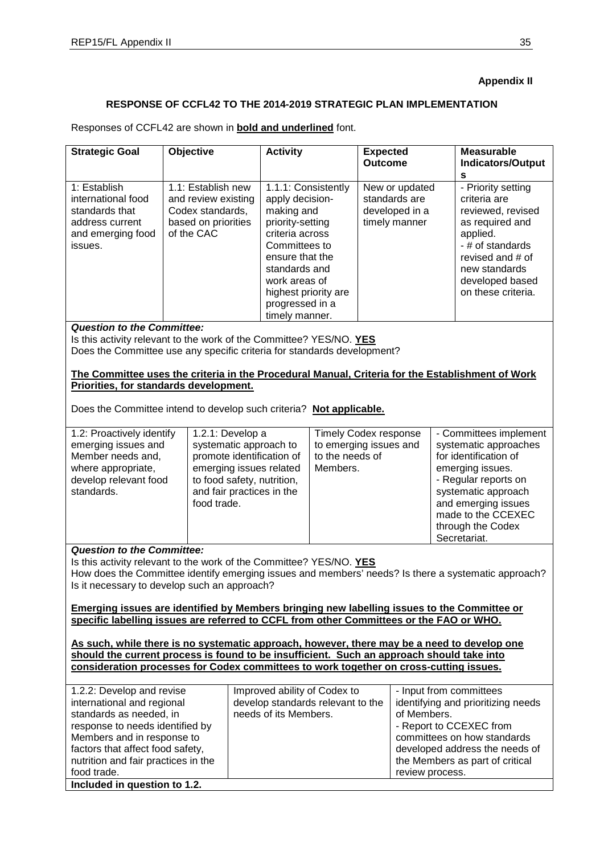# **Appendix II**

# **RESPONSE OF CCFL42 TO THE 2014-2019 STRATEGIC PLAN IMPLEMENTATION**

Responses of CCFL42 are shown in **bold and underlined** font.

|                                                                                                                                                                                          |  |                            |                                   |                              |                                   |                       |  | <b>Measurable</b>                                                                                   |
|------------------------------------------------------------------------------------------------------------------------------------------------------------------------------------------|--|----------------------------|-----------------------------------|------------------------------|-----------------------------------|-----------------------|--|-----------------------------------------------------------------------------------------------------|
| <b>Strategic Goal</b>                                                                                                                                                                    |  | Objective                  | <b>Activity</b>                   |                              | <b>Expected</b><br><b>Outcome</b> |                       |  | <b>Indicators/Output</b>                                                                            |
|                                                                                                                                                                                          |  |                            |                                   |                              |                                   |                       |  | s                                                                                                   |
| 1: Establish                                                                                                                                                                             |  | 1.1: Establish new         | 1.1.1: Consistently               |                              |                                   | New or updated        |  | - Priority setting                                                                                  |
| international food                                                                                                                                                                       |  | and review existing        | apply decision-                   |                              |                                   | standards are         |  | criteria are                                                                                        |
| standards that                                                                                                                                                                           |  | Codex standards,           | making and                        |                              |                                   | developed in a        |  | reviewed, revised                                                                                   |
| address current                                                                                                                                                                          |  | based on priorities        | priority-setting                  |                              |                                   | timely manner         |  | as required and                                                                                     |
| and emerging food                                                                                                                                                                        |  | of the CAC                 | criteria across                   |                              |                                   |                       |  | applied.                                                                                            |
| issues.                                                                                                                                                                                  |  |                            | Committees to                     |                              |                                   |                       |  | - # of standards                                                                                    |
|                                                                                                                                                                                          |  |                            | ensure that the                   |                              |                                   |                       |  | revised and # of                                                                                    |
|                                                                                                                                                                                          |  |                            | standards and                     |                              |                                   |                       |  | new standards                                                                                       |
|                                                                                                                                                                                          |  |                            | work areas of                     |                              |                                   |                       |  | developed based                                                                                     |
|                                                                                                                                                                                          |  |                            | highest priority are              |                              |                                   |                       |  | on these criteria.                                                                                  |
|                                                                                                                                                                                          |  |                            | progressed in a                   |                              |                                   |                       |  |                                                                                                     |
|                                                                                                                                                                                          |  |                            | timely manner.                    |                              |                                   |                       |  |                                                                                                     |
| <b>Question to the Committee:</b>                                                                                                                                                        |  |                            |                                   |                              |                                   |                       |  |                                                                                                     |
| Is this activity relevant to the work of the Committee? YES/NO. YES                                                                                                                      |  |                            |                                   |                              |                                   |                       |  |                                                                                                     |
| Does the Committee use any specific criteria for standards development?                                                                                                                  |  |                            |                                   |                              |                                   |                       |  |                                                                                                     |
|                                                                                                                                                                                          |  |                            |                                   |                              |                                   |                       |  |                                                                                                     |
| The Committee uses the criteria in the Procedural Manual, Criteria for the Establishment of Work<br>Priorities, for standards development.                                               |  |                            |                                   |                              |                                   |                       |  |                                                                                                     |
|                                                                                                                                                                                          |  |                            |                                   |                              |                                   |                       |  |                                                                                                     |
| Does the Committee intend to develop such criteria? Not applicable.                                                                                                                      |  |                            |                                   |                              |                                   |                       |  |                                                                                                     |
|                                                                                                                                                                                          |  |                            |                                   |                              |                                   |                       |  |                                                                                                     |
| 1.2: Proactively identify                                                                                                                                                                |  | 1.2.1: Develop a           |                                   | <b>Timely Codex response</b> |                                   |                       |  | - Committees implement                                                                              |
| emerging issues and                                                                                                                                                                      |  | systematic approach to     |                                   | to emerging issues and       |                                   | systematic approaches |  |                                                                                                     |
| Member needs and,                                                                                                                                                                        |  | promote identification of  |                                   | to the needs of              |                                   |                       |  | for identification of                                                                               |
| where appropriate,                                                                                                                                                                       |  | emerging issues related    |                                   | Members.                     |                                   |                       |  | emerging issues.                                                                                    |
| develop relevant food                                                                                                                                                                    |  | to food safety, nutrition, |                                   |                              |                                   |                       |  | - Regular reports on                                                                                |
| standards.                                                                                                                                                                               |  | and fair practices in the  |                                   |                              |                                   |                       |  | systematic approach                                                                                 |
|                                                                                                                                                                                          |  | food trade.                |                                   |                              |                                   |                       |  | and emerging issues                                                                                 |
|                                                                                                                                                                                          |  |                            |                                   |                              |                                   |                       |  | made to the CCEXEC<br>through the Codex                                                             |
|                                                                                                                                                                                          |  |                            |                                   |                              |                                   |                       |  | Secretariat.                                                                                        |
| <b>Question to the Committee:</b>                                                                                                                                                        |  |                            |                                   |                              |                                   |                       |  |                                                                                                     |
| Is this activity relevant to the work of the Committee? YES/NO. YES                                                                                                                      |  |                            |                                   |                              |                                   |                       |  |                                                                                                     |
|                                                                                                                                                                                          |  |                            |                                   |                              |                                   |                       |  | How does the Committee identify emerging issues and members' needs? Is there a systematic approach? |
| Is it necessary to develop such an approach?                                                                                                                                             |  |                            |                                   |                              |                                   |                       |  |                                                                                                     |
|                                                                                                                                                                                          |  |                            |                                   |                              |                                   |                       |  |                                                                                                     |
| <b>Emerging issues are identified by Members bringing new labelling issues to the Committee or</b>                                                                                       |  |                            |                                   |                              |                                   |                       |  |                                                                                                     |
| specific labelling issues are referred to CCFL from other Committees or the FAO or WHO.                                                                                                  |  |                            |                                   |                              |                                   |                       |  |                                                                                                     |
|                                                                                                                                                                                          |  |                            |                                   |                              |                                   |                       |  |                                                                                                     |
| As such, while there is no systematic approach, however, there may be a need to develop one<br>should the current process is found to be insufficient. Such an approach should take into |  |                            |                                   |                              |                                   |                       |  |                                                                                                     |
| consideration processes for Codex committees to work together on cross-cutting issues.                                                                                                   |  |                            |                                   |                              |                                   |                       |  |                                                                                                     |
|                                                                                                                                                                                          |  |                            |                                   |                              |                                   |                       |  |                                                                                                     |
| 1.2.2: Develop and revise                                                                                                                                                                |  |                            | Improved ability of Codex to      |                              |                                   |                       |  | - Input from committees                                                                             |
| international and regional                                                                                                                                                               |  |                            | develop standards relevant to the |                              |                                   |                       |  | identifying and prioritizing needs                                                                  |
| standards as needed, in                                                                                                                                                                  |  |                            | needs of its Members.             |                              |                                   | of Members.           |  |                                                                                                     |
| response to needs identified by                                                                                                                                                          |  |                            |                                   |                              |                                   |                       |  | - Report to CCEXEC from                                                                             |
| Members and in response to                                                                                                                                                               |  |                            |                                   |                              |                                   |                       |  | committees on how standards                                                                         |
| factors that affect food safety,                                                                                                                                                         |  |                            |                                   |                              |                                   |                       |  | developed address the needs of                                                                      |
| nutrition and fair practices in the                                                                                                                                                      |  |                            |                                   |                              |                                   |                       |  | the Members as part of critical                                                                     |
| food trade.                                                                                                                                                                              |  |                            |                                   |                              |                                   | review process.       |  |                                                                                                     |
| Included in question to 1.2.                                                                                                                                                             |  |                            |                                   |                              |                                   |                       |  |                                                                                                     |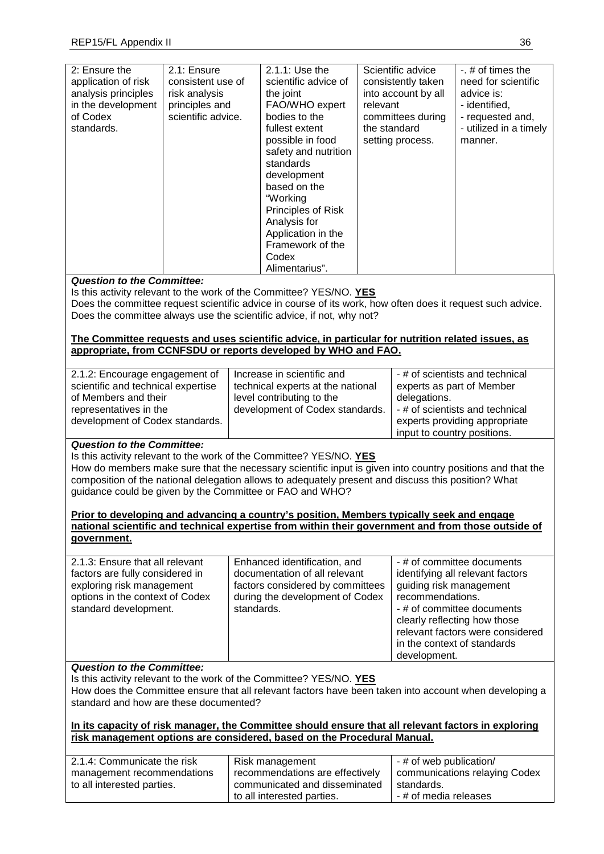| 2: Ensure the<br>application of risk<br>analysis principles<br>in the development<br>of Codex<br>standards.                                                                    | 2.1: Ensure<br>consistent use of<br>risk analysis<br>principles and<br>scientific advice.                                                                                                                                                                                                                                                                                                                                                                                                                                                                                                   |                                                                     | 2.1.1: Use the<br>scientific advice of<br>the joint<br>FAO/WHO expert<br>bodies to the<br>fullest extent<br>possible in food<br>safety and nutrition<br>standards<br>development<br>based on the<br>"Working<br>Principles of Risk<br>Analysis for<br>Application in the<br>Framework of the<br>Codex<br>Alimentarius". | relevant                                    | Scientific advice<br>consistently taken<br>into account by all<br>committees during<br>the standard<br>setting process. | -. # of times the<br>need for scientific<br>advice is:<br>- identified,<br>- requested and,<br>- utilized in a timely<br>manner. |  |
|--------------------------------------------------------------------------------------------------------------------------------------------------------------------------------|---------------------------------------------------------------------------------------------------------------------------------------------------------------------------------------------------------------------------------------------------------------------------------------------------------------------------------------------------------------------------------------------------------------------------------------------------------------------------------------------------------------------------------------------------------------------------------------------|---------------------------------------------------------------------|-------------------------------------------------------------------------------------------------------------------------------------------------------------------------------------------------------------------------------------------------------------------------------------------------------------------------|---------------------------------------------|-------------------------------------------------------------------------------------------------------------------------|----------------------------------------------------------------------------------------------------------------------------------|--|
| <b>Question to the Committee:</b>                                                                                                                                              |                                                                                                                                                                                                                                                                                                                                                                                                                                                                                                                                                                                             |                                                                     |                                                                                                                                                                                                                                                                                                                         |                                             |                                                                                                                         |                                                                                                                                  |  |
|                                                                                                                                                                                |                                                                                                                                                                                                                                                                                                                                                                                                                                                                                                                                                                                             |                                                                     | Is this activity relevant to the work of the Committee? YES/NO. YES                                                                                                                                                                                                                                                     |                                             |                                                                                                                         |                                                                                                                                  |  |
|                                                                                                                                                                                |                                                                                                                                                                                                                                                                                                                                                                                                                                                                                                                                                                                             |                                                                     | Does the committee request scientific advice in course of its work, how often does it request such advice.<br>Does the committee always use the scientific advice, if not, why not?                                                                                                                                     |                                             |                                                                                                                         |                                                                                                                                  |  |
|                                                                                                                                                                                |                                                                                                                                                                                                                                                                                                                                                                                                                                                                                                                                                                                             |                                                                     |                                                                                                                                                                                                                                                                                                                         |                                             |                                                                                                                         |                                                                                                                                  |  |
|                                                                                                                                                                                |                                                                                                                                                                                                                                                                                                                                                                                                                                                                                                                                                                                             |                                                                     | The Committee requests and uses scientific advice, in particular for nutrition related issues, as                                                                                                                                                                                                                       |                                             |                                                                                                                         |                                                                                                                                  |  |
|                                                                                                                                                                                |                                                                                                                                                                                                                                                                                                                                                                                                                                                                                                                                                                                             |                                                                     | appropriate, from CCNFSDU or reports developed by WHO and FAO.                                                                                                                                                                                                                                                          |                                             |                                                                                                                         |                                                                                                                                  |  |
| 2.1.2: Encourage engagement of                                                                                                                                                 |                                                                                                                                                                                                                                                                                                                                                                                                                                                                                                                                                                                             |                                                                     | Increase in scientific and                                                                                                                                                                                                                                                                                              |                                             |                                                                                                                         | - # of scientists and technical                                                                                                  |  |
| scientific and technical expertise                                                                                                                                             |                                                                                                                                                                                                                                                                                                                                                                                                                                                                                                                                                                                             | technical experts at the national                                   |                                                                                                                                                                                                                                                                                                                         | experts as part of Member                   |                                                                                                                         |                                                                                                                                  |  |
| of Members and their                                                                                                                                                           |                                                                                                                                                                                                                                                                                                                                                                                                                                                                                                                                                                                             | level contributing to the                                           |                                                                                                                                                                                                                                                                                                                         | delegations.                                |                                                                                                                         |                                                                                                                                  |  |
| representatives in the<br>development of Codex standards.                                                                                                                      |                                                                                                                                                                                                                                                                                                                                                                                                                                                                                                                                                                                             |                                                                     | development of Codex standards.                                                                                                                                                                                                                                                                                         |                                             | - # of scientists and technical<br>experts providing appropriate                                                        |                                                                                                                                  |  |
|                                                                                                                                                                                |                                                                                                                                                                                                                                                                                                                                                                                                                                                                                                                                                                                             |                                                                     |                                                                                                                                                                                                                                                                                                                         | input to country positions.                 |                                                                                                                         |                                                                                                                                  |  |
| government.                                                                                                                                                                    | <b>Question to the Committee:</b><br>Is this activity relevant to the work of the Committee? YES/NO. YES<br>How do members make sure that the necessary scientific input is given into country positions and that the<br>composition of the national delegation allows to adequately present and discuss this position? What<br>guidance could be given by the Committee or FAO and WHO?<br>Prior to developing and advancing a country's position, Members typically seek and engage<br>national scientific and technical expertise from within their government and from those outside of |                                                                     |                                                                                                                                                                                                                                                                                                                         |                                             |                                                                                                                         |                                                                                                                                  |  |
| 2.1.3: Ensure that all relevant                                                                                                                                                |                                                                                                                                                                                                                                                                                                                                                                                                                                                                                                                                                                                             |                                                                     | Enhanced identification, and                                                                                                                                                                                                                                                                                            |                                             |                                                                                                                         | - # of committee documents                                                                                                       |  |
| factors are fully considered in                                                                                                                                                |                                                                                                                                                                                                                                                                                                                                                                                                                                                                                                                                                                                             |                                                                     | documentation of all relevant                                                                                                                                                                                                                                                                                           |                                             | identifying all relevant factors                                                                                        |                                                                                                                                  |  |
| exploring risk management<br>options in the context of Codex                                                                                                                   |                                                                                                                                                                                                                                                                                                                                                                                                                                                                                                                                                                                             | factors considered by committees<br>during the development of Codex |                                                                                                                                                                                                                                                                                                                         | guiding risk management<br>recommendations. |                                                                                                                         |                                                                                                                                  |  |
| standard development.                                                                                                                                                          |                                                                                                                                                                                                                                                                                                                                                                                                                                                                                                                                                                                             | standards.                                                          |                                                                                                                                                                                                                                                                                                                         |                                             |                                                                                                                         | - # of committee documents                                                                                                       |  |
|                                                                                                                                                                                |                                                                                                                                                                                                                                                                                                                                                                                                                                                                                                                                                                                             |                                                                     |                                                                                                                                                                                                                                                                                                                         |                                             |                                                                                                                         | clearly reflecting how those                                                                                                     |  |
|                                                                                                                                                                                |                                                                                                                                                                                                                                                                                                                                                                                                                                                                                                                                                                                             |                                                                     |                                                                                                                                                                                                                                                                                                                         |                                             |                                                                                                                         | relevant factors were considered                                                                                                 |  |
|                                                                                                                                                                                |                                                                                                                                                                                                                                                                                                                                                                                                                                                                                                                                                                                             |                                                                     |                                                                                                                                                                                                                                                                                                                         |                                             | development.                                                                                                            | in the context of standards                                                                                                      |  |
| <b>Question to the Committee:</b>                                                                                                                                              |                                                                                                                                                                                                                                                                                                                                                                                                                                                                                                                                                                                             |                                                                     |                                                                                                                                                                                                                                                                                                                         |                                             |                                                                                                                         |                                                                                                                                  |  |
|                                                                                                                                                                                |                                                                                                                                                                                                                                                                                                                                                                                                                                                                                                                                                                                             |                                                                     | Is this activity relevant to the work of the Committee? YES/NO. YES                                                                                                                                                                                                                                                     |                                             |                                                                                                                         |                                                                                                                                  |  |
| How does the Committee ensure that all relevant factors have been taken into account when developing a<br>standard and how are these documented?                               |                                                                                                                                                                                                                                                                                                                                                                                                                                                                                                                                                                                             |                                                                     |                                                                                                                                                                                                                                                                                                                         |                                             |                                                                                                                         |                                                                                                                                  |  |
| In its capacity of risk manager, the Committee should ensure that all relevant factors in exploring<br>risk management options are considered, based on the Procedural Manual. |                                                                                                                                                                                                                                                                                                                                                                                                                                                                                                                                                                                             |                                                                     |                                                                                                                                                                                                                                                                                                                         |                                             |                                                                                                                         |                                                                                                                                  |  |
| 2.1.4: Communicate the risk                                                                                                                                                    |                                                                                                                                                                                                                                                                                                                                                                                                                                                                                                                                                                                             |                                                                     | Risk management                                                                                                                                                                                                                                                                                                         |                                             | - # of web publication/                                                                                                 |                                                                                                                                  |  |
| management recommendations                                                                                                                                                     |                                                                                                                                                                                                                                                                                                                                                                                                                                                                                                                                                                                             |                                                                     | recommendations are effectively                                                                                                                                                                                                                                                                                         |                                             |                                                                                                                         | communications relaying Codex                                                                                                    |  |
| to all interested parties.                                                                                                                                                     |                                                                                                                                                                                                                                                                                                                                                                                                                                                                                                                                                                                             |                                                                     | communicated and disseminated                                                                                                                                                                                                                                                                                           |                                             | standards.                                                                                                              |                                                                                                                                  |  |
|                                                                                                                                                                                |                                                                                                                                                                                                                                                                                                                                                                                                                                                                                                                                                                                             |                                                                     | to all interested parties.                                                                                                                                                                                                                                                                                              |                                             | - # of media releases                                                                                                   |                                                                                                                                  |  |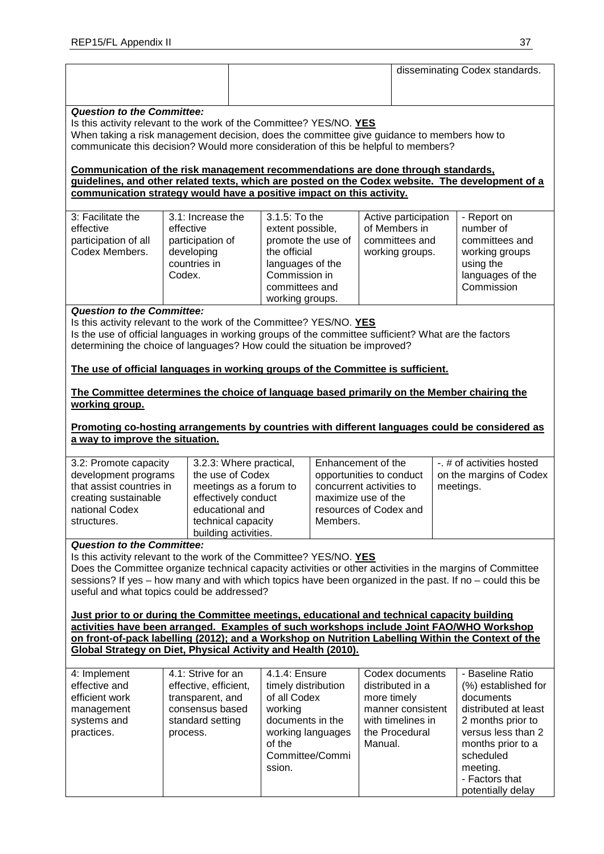|                                                                                                           |           |                         |                     |                                     |                          |                      |                         | disseminating Codex standards. |  |
|-----------------------------------------------------------------------------------------------------------|-----------|-------------------------|---------------------|-------------------------------------|--------------------------|----------------------|-------------------------|--------------------------------|--|
|                                                                                                           |           |                         |                     |                                     |                          |                      |                         |                                |  |
| <b>Question to the Committee:</b>                                                                         |           |                         |                     |                                     |                          |                      |                         |                                |  |
| Is this activity relevant to the work of the Committee? YES/NO. YES                                       |           |                         |                     |                                     |                          |                      |                         |                                |  |
| When taking a risk management decision, does the committee give guidance to members how to                |           |                         |                     |                                     |                          |                      |                         |                                |  |
| communicate this decision? Would more consideration of this be helpful to members?                        |           |                         |                     |                                     |                          |                      |                         |                                |  |
| Communication of the risk management recommendations are done through standards,                          |           |                         |                     |                                     |                          |                      |                         |                                |  |
| guidelines, and other related texts, which are posted on the Codex website. The development of a          |           |                         |                     |                                     |                          |                      |                         |                                |  |
| communication strategy would have a positive impact on this activity.                                     |           |                         |                     |                                     |                          |                      |                         |                                |  |
|                                                                                                           |           |                         |                     |                                     |                          |                      |                         |                                |  |
| 3: Facilitate the                                                                                         |           | 3.1: Increase the       | 3.1.5: To the       |                                     |                          | Active participation |                         | - Report on                    |  |
| effective                                                                                                 | effective |                         | extent possible,    |                                     |                          | of Members in        |                         | number of                      |  |
| participation of all                                                                                      |           | participation of        | promote the use of  |                                     |                          | committees and       |                         | committees and                 |  |
| Codex Members.                                                                                            |           | developing              | the official        |                                     |                          | working groups.      |                         | working groups                 |  |
|                                                                                                           |           | countries in            | languages of the    |                                     |                          |                      |                         | using the                      |  |
|                                                                                                           | Codex.    |                         | Commission in       |                                     |                          |                      |                         |                                |  |
|                                                                                                           |           |                         |                     |                                     |                          |                      |                         | languages of the               |  |
|                                                                                                           |           |                         | committees and      |                                     |                          |                      |                         | Commission                     |  |
|                                                                                                           |           |                         | working groups.     |                                     |                          |                      |                         |                                |  |
| <b>Question to the Committee:</b>                                                                         |           |                         |                     |                                     |                          |                      |                         |                                |  |
| Is this activity relevant to the work of the Committee? YES/NO. YES                                       |           |                         |                     |                                     |                          |                      |                         |                                |  |
| Is the use of official languages in working groups of the committee sufficient? What are the factors      |           |                         |                     |                                     |                          |                      |                         |                                |  |
| determining the choice of languages? How could the situation be improved?                                 |           |                         |                     |                                     |                          |                      |                         |                                |  |
|                                                                                                           |           |                         |                     |                                     |                          |                      |                         |                                |  |
| The use of official languages in working groups of the Committee is sufficient.                           |           |                         |                     |                                     |                          |                      |                         |                                |  |
|                                                                                                           |           |                         |                     |                                     |                          |                      |                         |                                |  |
| The Committee determines the choice of language based primarily on the Member chairing the                |           |                         |                     |                                     |                          |                      |                         |                                |  |
| working group.                                                                                            |           |                         |                     |                                     |                          |                      |                         |                                |  |
|                                                                                                           |           |                         |                     |                                     |                          |                      |                         |                                |  |
| Promoting co-hosting arrangements by countries with different languages could be considered as            |           |                         |                     |                                     |                          |                      |                         |                                |  |
| a way to improve the situation.                                                                           |           |                         |                     |                                     |                          |                      |                         |                                |  |
|                                                                                                           |           |                         |                     | Enhancement of the                  |                          |                      |                         | -. # of activities hosted      |  |
| 3.2: Promote capacity                                                                                     |           | 3.2.3: Where practical, |                     |                                     |                          |                      |                         |                                |  |
| development programs                                                                                      |           | the use of Codex        |                     | opportunities to conduct            |                          |                      | on the margins of Codex |                                |  |
| that assist countries in                                                                                  |           | meetings as a forum to  |                     |                                     | concurrent activities to |                      |                         | meetings.                      |  |
| creating sustainable                                                                                      |           | effectively conduct     |                     | maximize use of the                 |                          |                      |                         |                                |  |
| national Codex                                                                                            |           | educational and         |                     | resources of Codex and              |                          |                      |                         |                                |  |
| structures.                                                                                               |           | technical capacity      |                     | Members.                            |                          |                      |                         |                                |  |
|                                                                                                           |           | building activities.    |                     |                                     |                          |                      |                         |                                |  |
| <b>Question to the Committee:</b>                                                                         |           |                         |                     |                                     |                          |                      |                         |                                |  |
| Is this activity relevant to the work of the Committee? YES/NO. YES                                       |           |                         |                     |                                     |                          |                      |                         |                                |  |
| Does the Committee organize technical capacity activities or other activities in the margins of Committee |           |                         |                     |                                     |                          |                      |                         |                                |  |
| sessions? If yes – how many and with which topics have been organized in the past. If no – could this be  |           |                         |                     |                                     |                          |                      |                         |                                |  |
| useful and what topics could be addressed?                                                                |           |                         |                     |                                     |                          |                      |                         |                                |  |
|                                                                                                           |           |                         |                     |                                     |                          |                      |                         |                                |  |
| Just prior to or during the Committee meetings, educational and technical capacity building               |           |                         |                     |                                     |                          |                      |                         |                                |  |
| activities have been arranged. Examples of such workshops include Joint FAO/WHO Workshop                  |           |                         |                     |                                     |                          |                      |                         |                                |  |
| on front-of-pack labelling (2012); and a Workshop on Nutrition Labelling Within the Context of the        |           |                         |                     |                                     |                          |                      |                         |                                |  |
| Global Strategy on Diet, Physical Activity and Health (2010).                                             |           |                         |                     |                                     |                          |                      |                         |                                |  |
|                                                                                                           |           |                         |                     |                                     |                          |                      |                         |                                |  |
| 4: Implement                                                                                              |           | 4.1: Strive for an      | 4.1.4: Ensure       |                                     |                          |                      |                         | - Baseline Ratio               |  |
| effective and                                                                                             |           | effective, efficient,   | timely distribution | Codex documents<br>distributed in a |                          |                      | (%) established for     |                                |  |
|                                                                                                           |           |                         |                     |                                     |                          |                      |                         |                                |  |
| efficient work                                                                                            |           | transparent, and        | of all Codex        |                                     | more timely              |                      |                         | documents                      |  |
| management                                                                                                |           | consensus based         | working             |                                     |                          | manner consistent    |                         | distributed at least           |  |
| systems and                                                                                               |           | standard setting        | documents in the    |                                     |                          | with timelines in    |                         | 2 months prior to              |  |
| practices.                                                                                                | process.  |                         | working languages   |                                     |                          | the Procedural       |                         | versus less than 2             |  |
|                                                                                                           |           |                         | of the              |                                     | Manual.                  |                      |                         | months prior to a              |  |
|                                                                                                           |           |                         | Committee/Commi     |                                     |                          |                      |                         | scheduled                      |  |
|                                                                                                           |           |                         | ssion.              |                                     |                          |                      |                         | meeting.                       |  |
|                                                                                                           |           |                         |                     |                                     |                          |                      |                         | - Factors that                 |  |
|                                                                                                           |           |                         |                     |                                     |                          |                      |                         |                                |  |
|                                                                                                           |           |                         |                     |                                     |                          |                      |                         | potentially delay              |  |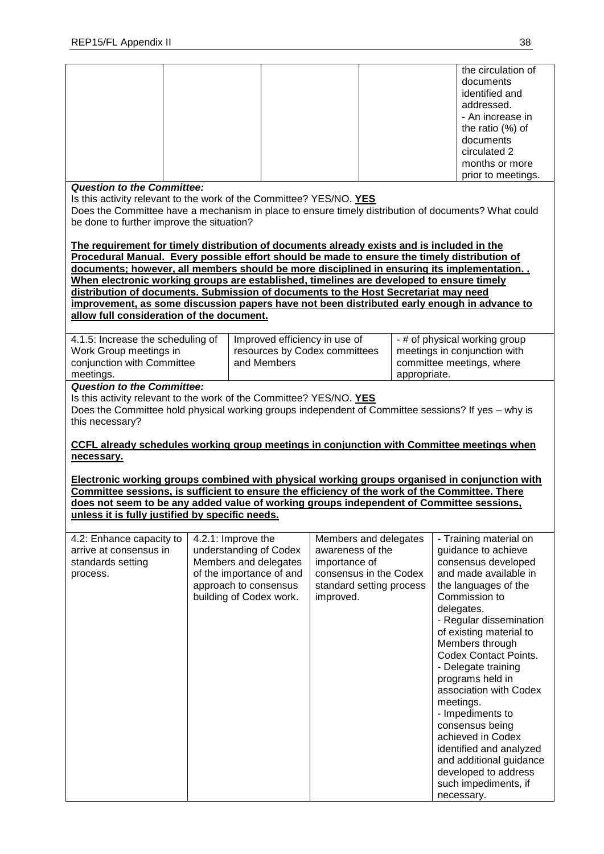|                                                                                            |                               |                               | the circulation of                                                                                  |  |  |  |
|--------------------------------------------------------------------------------------------|-------------------------------|-------------------------------|-----------------------------------------------------------------------------------------------------|--|--|--|
|                                                                                            |                               |                               | documents                                                                                           |  |  |  |
|                                                                                            |                               |                               | identified and                                                                                      |  |  |  |
|                                                                                            |                               |                               |                                                                                                     |  |  |  |
|                                                                                            |                               |                               | addressed.                                                                                          |  |  |  |
|                                                                                            |                               |                               | - An increase in                                                                                    |  |  |  |
|                                                                                            |                               |                               | the ratio $(\%)$ of                                                                                 |  |  |  |
|                                                                                            |                               |                               | documents                                                                                           |  |  |  |
|                                                                                            |                               |                               | circulated 2                                                                                        |  |  |  |
|                                                                                            |                               |                               | months or more                                                                                      |  |  |  |
|                                                                                            |                               |                               | prior to meetings.                                                                                  |  |  |  |
| <b>Question to the Committee:</b>                                                          |                               |                               |                                                                                                     |  |  |  |
| Is this activity relevant to the work of the Committee? YES/NO. YES                        |                               |                               |                                                                                                     |  |  |  |
|                                                                                            |                               |                               |                                                                                                     |  |  |  |
|                                                                                            |                               |                               | Does the Committee have a mechanism in place to ensure timely distribution of documents? What could |  |  |  |
| be done to further improve the situation?                                                  |                               |                               |                                                                                                     |  |  |  |
|                                                                                            |                               |                               |                                                                                                     |  |  |  |
| The requirement for timely distribution of documents already exists and is included in the |                               |                               |                                                                                                     |  |  |  |
|                                                                                            |                               |                               | Procedural Manual. Every possible effort should be made to ensure the timely distribution of        |  |  |  |
|                                                                                            |                               |                               | documents; however, all members should be more disciplined in ensuring its implementation           |  |  |  |
| When electronic working groups are established, timelines are developed to ensure timely   |                               |                               |                                                                                                     |  |  |  |
| distribution of documents. Submission of documents to the Host Secretariat may need        |                               |                               |                                                                                                     |  |  |  |
|                                                                                            |                               |                               | improvement, as some discussion papers have not been distributed early enough in advance to         |  |  |  |
|                                                                                            |                               |                               |                                                                                                     |  |  |  |
| allow full consideration of the document.                                                  |                               |                               |                                                                                                     |  |  |  |
|                                                                                            |                               |                               |                                                                                                     |  |  |  |
| 4.1.5: Increase the scheduling of                                                          | Improved efficiency in use of |                               | - # of physical working group                                                                       |  |  |  |
| Work Group meetings in                                                                     |                               | resources by Codex committees | meetings in conjunction with                                                                        |  |  |  |
| conjunction with Committee                                                                 | and Members                   |                               | committee meetings, where                                                                           |  |  |  |
| meetings.                                                                                  |                               |                               | appropriate.                                                                                        |  |  |  |
| <b>Question to the Committee:</b>                                                          |                               |                               |                                                                                                     |  |  |  |
| Is this activity relevant to the work of the Committee? YES/NO. YES                        |                               |                               |                                                                                                     |  |  |  |
|                                                                                            |                               |                               | Does the Committee hold physical working groups independent of Committee sessions? If yes - why is  |  |  |  |
|                                                                                            |                               |                               |                                                                                                     |  |  |  |
| this necessary?                                                                            |                               |                               |                                                                                                     |  |  |  |
|                                                                                            |                               |                               |                                                                                                     |  |  |  |
| CCFL already schedules working group meetings in conjunction with Committee meetings when  |                               |                               |                                                                                                     |  |  |  |
|                                                                                            |                               |                               |                                                                                                     |  |  |  |
| necessary.                                                                                 |                               |                               |                                                                                                     |  |  |  |
|                                                                                            |                               |                               |                                                                                                     |  |  |  |
|                                                                                            |                               |                               |                                                                                                     |  |  |  |
|                                                                                            |                               |                               | Electronic working groups combined with physical working groups organised in conjunction with       |  |  |  |
|                                                                                            |                               |                               | Committee sessions, is sufficient to ensure the efficiency of the work of the Committee. There      |  |  |  |
|                                                                                            |                               |                               | does not seem to be any added value of working groups independent of Committee sessions,            |  |  |  |
| unless it is fully justified by specific needs.                                            |                               |                               |                                                                                                     |  |  |  |
|                                                                                            |                               |                               |                                                                                                     |  |  |  |
| 4.2: Enhance capacity to                                                                   | 4.2.1: Improve the            | Members and delegates         | - Training material on                                                                              |  |  |  |
| arrive at consensus in                                                                     | understanding of Codex        | awareness of the              | guidance to achieve                                                                                 |  |  |  |
| standards setting                                                                          | Members and delegates         | importance of                 | consensus developed                                                                                 |  |  |  |
| process.                                                                                   | of the importance of and      | consensus in the Codex        | and made available in                                                                               |  |  |  |
|                                                                                            | approach to consensus         | standard setting process      | the languages of the                                                                                |  |  |  |
|                                                                                            |                               |                               | Commission to                                                                                       |  |  |  |
|                                                                                            | building of Codex work.       | improved.                     |                                                                                                     |  |  |  |
|                                                                                            |                               |                               | delegates.                                                                                          |  |  |  |
|                                                                                            |                               |                               | - Regular dissemination                                                                             |  |  |  |
|                                                                                            |                               |                               | of existing material to                                                                             |  |  |  |
|                                                                                            |                               |                               | Members through                                                                                     |  |  |  |
|                                                                                            |                               |                               | <b>Codex Contact Points.</b>                                                                        |  |  |  |
|                                                                                            |                               |                               | - Delegate training                                                                                 |  |  |  |
|                                                                                            |                               |                               | programs held in                                                                                    |  |  |  |
|                                                                                            |                               |                               | association with Codex                                                                              |  |  |  |
|                                                                                            |                               |                               |                                                                                                     |  |  |  |
|                                                                                            |                               |                               | meetings.                                                                                           |  |  |  |
|                                                                                            |                               |                               | - Impediments to                                                                                    |  |  |  |
|                                                                                            |                               |                               | consensus being                                                                                     |  |  |  |
|                                                                                            |                               |                               | achieved in Codex                                                                                   |  |  |  |
|                                                                                            |                               |                               | identified and analyzed                                                                             |  |  |  |
|                                                                                            |                               |                               | and additional guidance                                                                             |  |  |  |
|                                                                                            |                               |                               | developed to address                                                                                |  |  |  |
|                                                                                            |                               |                               | such impediments, if                                                                                |  |  |  |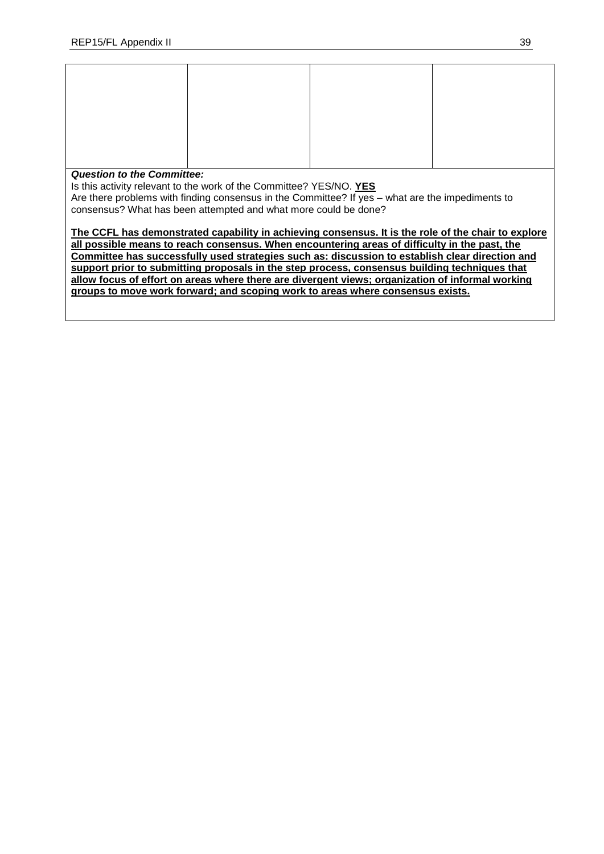# *Question to the Committee:*

Is this activity relevant to the work of the Committee? YES/NO. **YES** Are there problems with finding consensus in the Committee? If yes – what are the impediments to consensus? What has been attempted and what more could be done?

**The CCFL has demonstrated capability in achieving consensus. It is the role of the chair to explore all possible means to reach consensus. When encountering areas of difficulty in the past, the Committee has successfully used strategies such as: discussion to establish clear direction and support prior to submitting proposals in the step process, consensus building techniques that allow focus of effort on areas where there are divergent views; organization of informal working groups to move work forward; and scoping work to areas where consensus exists.**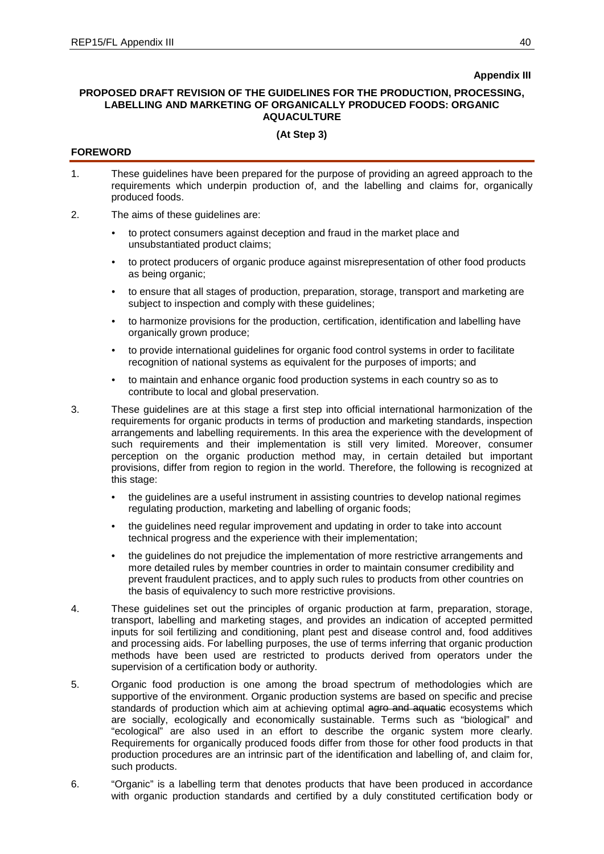### **Appendix III**

#### **PROPOSED DRAFT REVISION OF THE GUIDELINES FOR THE PRODUCTION, PROCESSING, LABELLING AND MARKETING OF ORGANICALLY PRODUCED FOODS: ORGANIC AQUACULTURE**

# **(At Step 3)**

#### **FOREWORD**

- 1. These guidelines have been prepared for the purpose of providing an agreed approach to the requirements which underpin production of, and the labelling and claims for, organically produced foods.
- 2. The aims of these guidelines are:
	- to protect consumers against deception and fraud in the market place and unsubstantiated product claims;
	- to protect producers of organic produce against misrepresentation of other food products as being organic;
	- to ensure that all stages of production, preparation, storage, transport and marketing are subject to inspection and comply with these guidelines;
	- to harmonize provisions for the production, certification, identification and labelling have organically grown produce;
	- to provide international guidelines for organic food control systems in order to facilitate recognition of national systems as equivalent for the purposes of imports; and
	- to maintain and enhance organic food production systems in each country so as to contribute to local and global preservation.
- 3. These guidelines are at this stage a first step into official international harmonization of the requirements for organic products in terms of production and marketing standards, inspection arrangements and labelling requirements. In this area the experience with the development of such requirements and their implementation is still very limited. Moreover, consumer perception on the organic production method may, in certain detailed but important provisions, differ from region to region in the world. Therefore, the following is recognized at this stage:
	- the guidelines are a useful instrument in assisting countries to develop national regimes regulating production, marketing and labelling of organic foods;
	- the guidelines need regular improvement and updating in order to take into account technical progress and the experience with their implementation;
	- the guidelines do not prejudice the implementation of more restrictive arrangements and more detailed rules by member countries in order to maintain consumer credibility and prevent fraudulent practices, and to apply such rules to products from other countries on the basis of equivalency to such more restrictive provisions.
- 4. These guidelines set out the principles of organic production at farm, preparation, storage, transport, labelling and marketing stages, and provides an indication of accepted permitted inputs for soil fertilizing and conditioning, plant pest and disease control and, food additives and processing aids. For labelling purposes, the use of terms inferring that organic production methods have been used are restricted to products derived from operators under the supervision of a certification body or authority.
- 5. Organic food production is one among the broad spectrum of methodologies which are supportive of the environment. Organic production systems are based on specific and precise standards of production which aim at achieving optimal <del>agro and aquatic</del> ecosystems which are socially, ecologically and economically sustainable. Terms such as "biological" and "ecological" are also used in an effort to describe the organic system more clearly. Requirements for organically produced foods differ from those for other food products in that production procedures are an intrinsic part of the identification and labelling of, and claim for, such products.
- 6. "Organic" is a labelling term that denotes products that have been produced in accordance with organic production standards and certified by a duly constituted certification body or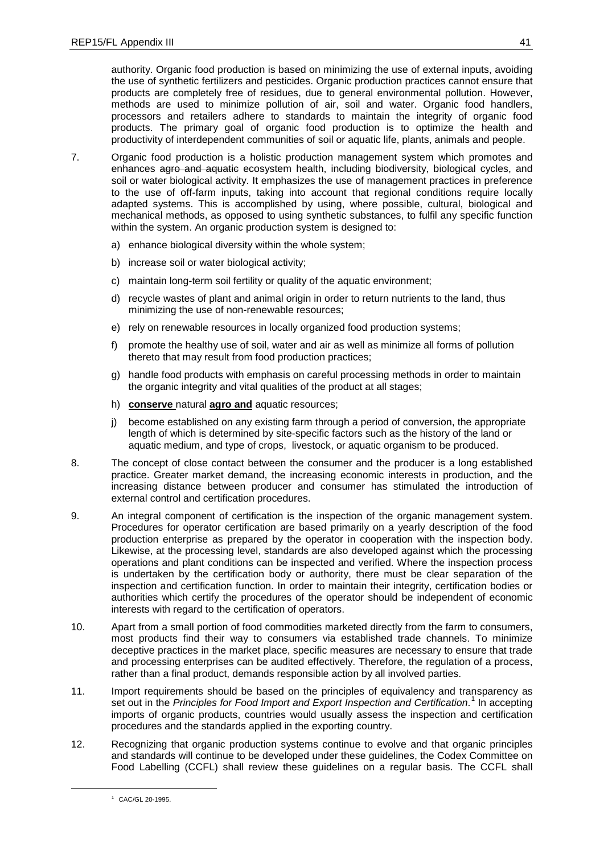authority. Organic food production is based on minimizing the use of external inputs, avoiding the use of synthetic fertilizers and pesticides. Organic production practices cannot ensure that products are completely free of residues, due to general environmental pollution. However, methods are used to minimize pollution of air, soil and water. Organic food handlers, processors and retailers adhere to standards to maintain the integrity of organic food products. The primary goal of organic food production is to optimize the health and productivity of interdependent communities of soil or aquatic life, plants, animals and people.

- 7. Organic food production is a holistic production management system which promotes and enhances agro and aquatic ecosystem health, including biodiversity, biological cycles, and soil or water biological activity. It emphasizes the use of management practices in preference to the use of off-farm inputs, taking into account that regional conditions require locally adapted systems. This is accomplished by using, where possible, cultural, biological and mechanical methods, as opposed to using synthetic substances, to fulfil any specific function within the system. An organic production system is designed to:
	- a) enhance biological diversity within the whole system;
	- b) increase soil or water biological activity;
	- c) maintain long-term soil fertility or quality of the aquatic environment;
	- d) recycle wastes of plant and animal origin in order to return nutrients to the land, thus minimizing the use of non-renewable resources;
	- e) rely on renewable resources in locally organized food production systems;
	- f) promote the healthy use of soil, water and air as well as minimize all forms of pollution thereto that may result from food production practices;
	- g) handle food products with emphasis on careful processing methods in order to maintain the organic integrity and vital qualities of the product at all stages;
	- h) **conserve** natural **agro and** aquatic resources;
	- j) become established on any existing farm through a period of conversion, the appropriate length of which is determined by site-specific factors such as the history of the land or aquatic medium, and type of crops, livestock, or aquatic organism to be produced.
- 8. The concept of close contact between the consumer and the producer is a long established practice. Greater market demand, the increasing economic interests in production, and the increasing distance between producer and consumer has stimulated the introduction of external control and certification procedures.
- 9. An integral component of certification is the inspection of the organic management system. Procedures for operator certification are based primarily on a yearly description of the food production enterprise as prepared by the operator in cooperation with the inspection body. Likewise, at the processing level, standards are also developed against which the processing operations and plant conditions can be inspected and verified. Where the inspection process is undertaken by the certification body or authority, there must be clear separation of the inspection and certification function. In order to maintain their integrity, certification bodies or authorities which certify the procedures of the operator should be independent of economic interests with regard to the certification of operators.
- 10. Apart from a small portion of food commodities marketed directly from the farm to consumers, most products find their way to consumers via established trade channels. To minimize deceptive practices in the market place, specific measures are necessary to ensure that trade and processing enterprises can be audited effectively. Therefore, the regulation of a process, rather than a final product, demands responsible action by all involved parties.
- 11. Import requirements should be based on the principles of equivalency and transparency as set out in the *Principles for Food Import and Export Inspection and Certification*.<sup>[1](#page-44-0)</sup> In accepting imports of organic products, countries would usually assess the inspection and certification procedures and the standards applied in the exporting country.
- 12. Recognizing that organic production systems continue to evolve and that organic principles and standards will continue to be developed under these guidelines, the Codex Committee on Food Labelling (CCFL) shall review these guidelines on a regular basis. The CCFL shall

<span id="page-44-0"></span> $\overline{a}$ 

<sup>1</sup> CAC/GL 20-1995.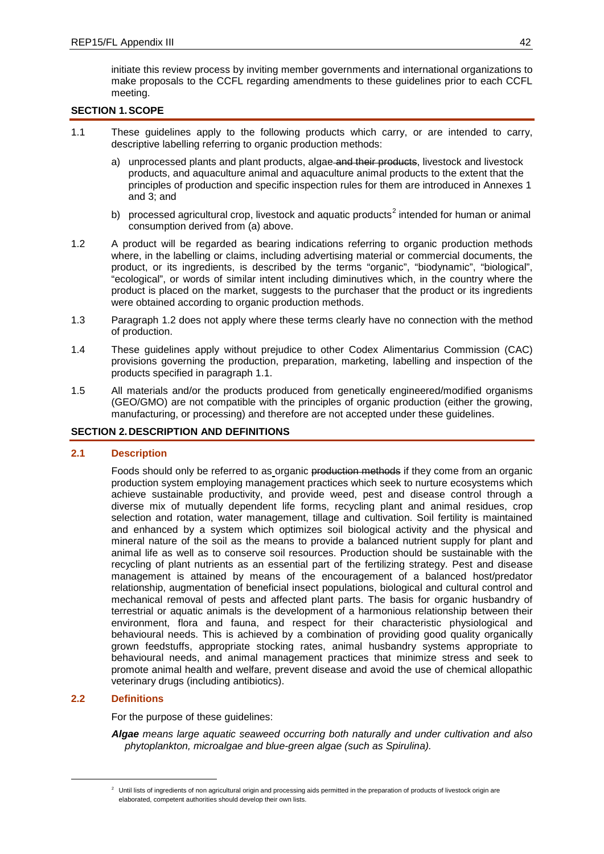initiate this review process by inviting member governments and international organizations to make proposals to the CCFL regarding amendments to these guidelines prior to each CCFL meeting.

# **SECTION 1.SCOPE**

- 1.1 These guidelines apply to the following products which carry, or are intended to carry, descriptive labelling referring to organic production methods:
	- a) unprocessed plants and plant products, algae-<del>and their products</del>, livestock and livestock products, and aquaculture animal and aquaculture animal products to the extent that the principles of production and specific inspection rules for them are introduced in Annexes 1 and 3; and
	- b) processed agricultural crop, livestock and aquatic products<sup>[2](#page-45-0)</sup> intended for human or animal consumption derived from (a) above.
- 1.2 A product will be regarded as bearing indications referring to organic production methods where, in the labelling or claims, including advertising material or commercial documents, the product, or its ingredients, is described by the terms "organic", "biodynamic", "biological", "ecological", or words of similar intent including diminutives which, in the country where the product is placed on the market, suggests to the purchaser that the product or its ingredients were obtained according to organic production methods.
- 1.3 Paragraph 1.2 does not apply where these terms clearly have no connection with the method of production.
- 1.4 These guidelines apply without prejudice to other Codex Alimentarius Commission (CAC) provisions governing the production, preparation, marketing, labelling and inspection of the products specified in paragraph 1.1.
- 1.5 All materials and/or the products produced from genetically engineered/modified organisms (GEO/GMO) are not compatible with the principles of organic production (either the growing, manufacturing, or processing) and therefore are not accepted under these guidelines.

# **SECTION 2.DESCRIPTION AND DEFINITIONS**

#### **2.1 Description**

Foods should only be referred to as organic <del>production methods</del> if they come from an organic production system employing management practices which seek to nurture ecosystems which achieve sustainable productivity, and provide weed, pest and disease control through a diverse mix of mutually dependent life forms, recycling plant and animal residues, crop selection and rotation, water management, tillage and cultivation. Soil fertility is maintained and enhanced by a system which optimizes soil biological activity and the physical and mineral nature of the soil as the means to provide a balanced nutrient supply for plant and animal life as well as to conserve soil resources. Production should be sustainable with the recycling of plant nutrients as an essential part of the fertilizing strategy. Pest and disease management is attained by means of the encouragement of a balanced host/predator relationship, augmentation of beneficial insect populations, biological and cultural control and mechanical removal of pests and affected plant parts. The basis for organic husbandry of terrestrial or aquatic animals is the development of a harmonious relationship between their environment, flora and fauna, and respect for their characteristic physiological and behavioural needs. This is achieved by a combination of providing good quality organically grown feedstuffs, appropriate stocking rates, animal husbandry systems appropriate to behavioural needs, and animal management practices that minimize stress and seek to promote animal health and welfare, prevent disease and avoid the use of chemical allopathic veterinary drugs (including antibiotics).

# **2.2 Definitions**

<span id="page-45-0"></span> $\overline{a}$ 

For the purpose of these guidelines:

*Algae means large aquatic seaweed occurring both naturally and under cultivation and also phytoplankton, microalgae and blue-green algae (such as Spirulina).*

<sup>&</sup>lt;sup>2</sup> Until lists of ingredients of non agricultural origin and processing aids permitted in the preparation of products of livestock origin are elaborated, competent authorities should develop their own lists.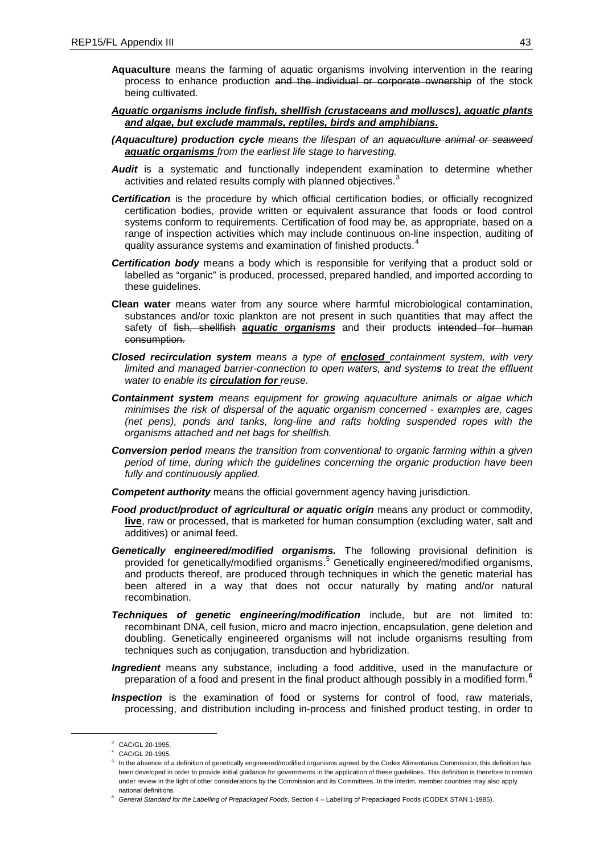- **Aquaculture** means the farming of aquatic organisms involving intervention in the rearing process to enhance production and the individual or corporate ownership of the stock being cultivated.
- *Aquatic organisms include finfish, shellfish (crustaceans and molluscs), aquatic plants and algae, but exclude mammals, reptiles, birds and amphibians.*
- *(Aquaculture) production cycle means the lifespan of an aquaculture animal or seaweed aquatic organisms from the earliest life stage to harvesting.*
- *Audit* is a systematic and functionally independent examination to determine whether activities and related results comply with planned objectives.<sup>[3](#page-46-0)</sup>
- *Certification* is the procedure by which official certification bodies, or officially recognized certification bodies, provide written or equivalent assurance that foods or food control systems conform to requirements. Certification of food may be, as appropriate, based on a range of inspection activities which may include continuous on-line inspection, auditing of quality assurance systems and examination of finished products.
- *Certification body* means a body which is responsible for verifying that a product sold or labelled as "organic" is produced, processed, prepared handled, and imported according to these guidelines.
- **Clean water** means water from any source where harmful microbiological contamination, substances and/or toxic plankton are not present in such quantities that may affect the safety of <del>fish, shellfish</del> *aquatic organisms* and their products <del>intended for human</del> consumption.
- *Closed recirculation system means a type of enclosed containment system, with very limited and managed barrier-connection to open waters, and systems to treat the effluent water to enable its circulation for reuse.*
- *Containment system means equipment for growing aquaculture animals or algae which minimises the risk of dispersal of the aquatic organism concerned - examples are, cages (net pens), ponds and tanks, long-line and rafts holding suspended ropes with the organisms attached and net bags for shellfish.*
- *Conversion period means the transition from conventional to organic farming within a given period of time, during which the guidelines concerning the organic production have been fully and continuously applied.*

*Competent authority* means the official government agency having jurisdiction.

- *Food product/product of agricultural or aquatic origin* means any product or commodity, **live** , raw or processed, that is marketed for human consumption (excluding water, salt and additives) or animal feed.
- *Genetically engineered/modified organisms.* The following provisional definition is provided for genetically/modified organisms.<sup>[5](#page-46-2)</sup> Genetically engineered/modified organisms, and products thereof, are produced through techniques in which the genetic material has been altered in a way that does not occur naturally by mating and/or natural recombination.
- *Techniques of genetic engineering/modification* include, but are not limited to: recombinant DNA, cell fusion, micro and macro injection, encapsulation, gene deletion and doubling. Genetically engineered organisms will not include organisms resulting from techniques such as conjugation, transduction and hybridization.
- *Ingredient* means any substance, including a food additive, used in the manufacture or preparation of a food and present in the final product although possibly in a modified form.*[6](#page-46-3)*
- **Inspection** is the examination of food or systems for control of food, raw materials, processing, and distribution including in-process and finished product testing, in order to

<span id="page-46-3"></span><span id="page-46-2"></span><span id="page-46-1"></span><span id="page-46-0"></span> $\overline{a}$ 

<sup>3</sup> CAC/GL 20-1995.

<sup>4</sup> CAC/GL 20-1995.

In the absence of a definition of genetically engineered/modified organisms agreed by the Codex Alimentarius Commission, this definition has been developed in order to provide initial guidance for governments in the application of these guidelines. This definition is therefore to remain under review in the light of other considerations by the Commission and its Committees. In the interim, member countries may also apply national definitions.

<sup>&</sup>lt;sup>6</sup> General Standard for the Labelling of Prepackaged Foods, Section 4 - Labelling of Prepackaged Foods (CODEX STAN 1-1985).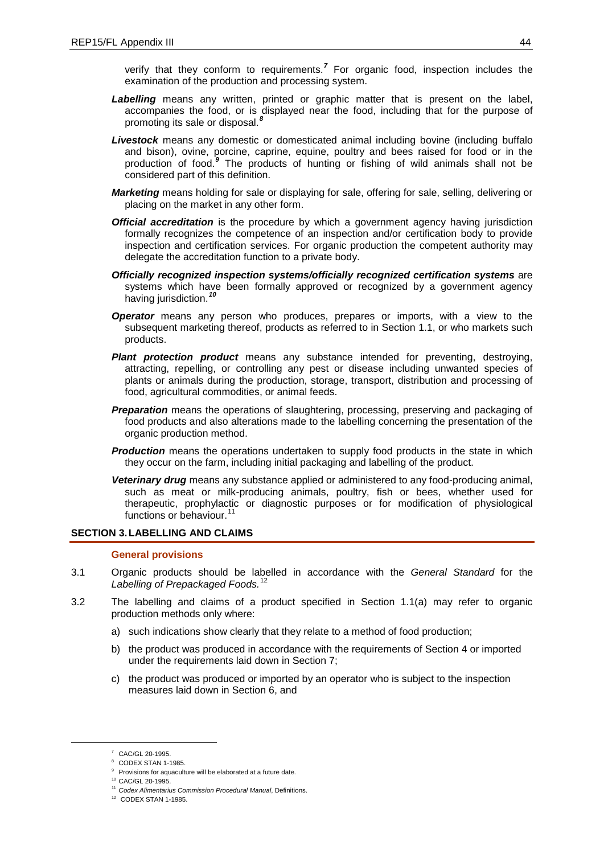verify that they conform to requirements.*[7](#page-47-0)* For organic food, inspection includes the examination of the production and processing system.

- *Labelling* means any written, printed or graphic matter that is present on the label, accompanies the food, or is displayed near the food, including that for the purpose of promoting its sale or disposal. *[8](#page-47-1)*
- **Livestock** means any domestic or domesticated animal including bovine (including buffalo and bison), ovine, porcine, caprine, equine, poultry and bees raised for food or in the production of food.*[9](#page-47-2)* The products of hunting or fishing of wild animals shall not be considered part of this definition.
- *Marketing* means holding for sale or displaying for sale, offering for sale, selling, delivering or placing on the market in any other form.
- *Official accreditation* is the procedure by which a government agency having jurisdiction formally recognizes the competence of an inspection and/or certification body to provide inspection and certification services. For organic production the competent authority may delegate the accreditation function to a private body.
- *Officially recognized inspection systems/officially recognized certification systems* are systems which have been formally approved or recognized by a government agency having jurisdiction.<sup>1</sup>
- *Operator* means any person who produces, prepares or imports, with a view to the subsequent marketing thereof, products as referred to in Section 1.1, or who markets such products.
- *Plant protection product* means any substance intended for preventing, destroying, attracting, repelling, or controlling any pest or disease including unwanted species of plants or animals during the production, storage, transport, distribution and processing of food, agricultural commodities, or animal feeds.
- **Preparation** means the operations of slaughtering, processing, preserving and packaging of food products and also alterations made to the labelling concerning the presentation of the organic production method.
- **Production** means the operations undertaken to supply food products in the state in which they occur on the farm, including initial packaging and labelling of the product.
- *Veterinary drug* means any substance applied or administered to any food-producing animal, such as meat or milk-producing animals, poultry, fish or bees, whether used for therapeutic, prophylactic or diagnostic purposes or for modification of physiological functions or behaviour.<sup>[11](#page-47-4)</sup>

#### **SECTION 3.LABELLING AND CLAIMS**

#### **General provisions**

- 3.1 Organic products should be labelled in accordance with the *General Standard* for the *Labelling of Prepackaged Foods.*[12](#page-47-5)
- 3.2 The labelling and claims of a product specified in Section 1.1(a) may refer to organic production methods only where:
	- a) such indications show clearly that they relate to a method of food production;
	- b) the product was produced in accordance with the requirements of Section 4 or imported under the requirements laid down in Section 7;
	- c) the product was produced or imported by an operator who is subject to the inspection measures laid down in Section 6, and

<span id="page-47-5"></span><span id="page-47-4"></span><span id="page-47-3"></span><span id="page-47-2"></span><span id="page-47-1"></span><span id="page-47-0"></span> $\overline{a}$ 

<sup>7</sup> CAC/GL 20-1995.

<sup>8</sup> CODEX STAN 1-1985.

<sup>&</sup>lt;sup>9</sup> Provisions for aquaculture will be elaborated at a future date.

<sup>10</sup> CAC/GL 20-1995.

<sup>11</sup> *Codex Alimentarius Commission Procedural Manual*, Definitions.

<sup>12</sup> CODEX STAN 1-1985.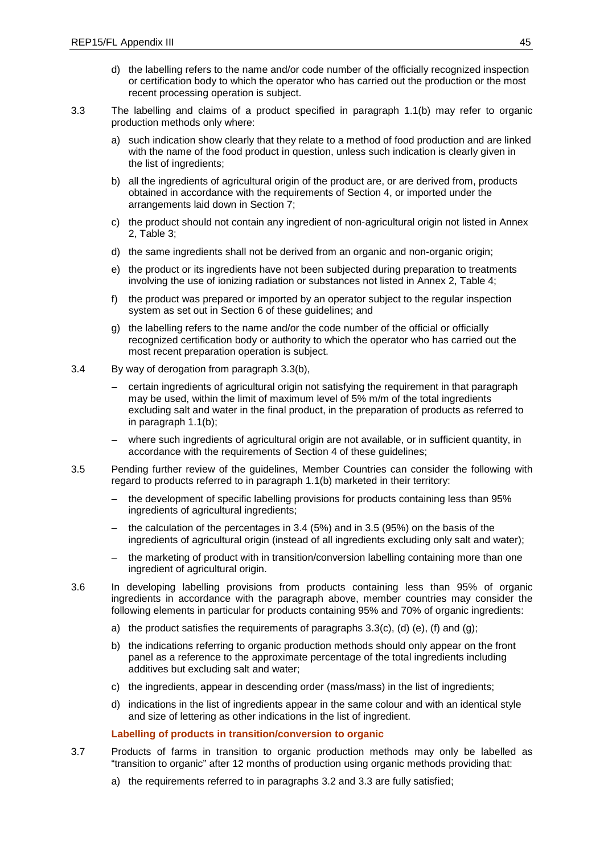- d) the labelling refers to the name and/or code number of the officially recognized inspection or certification body to which the operator who has carried out the production or the most recent processing operation is subject.
- 3.3 The labelling and claims of a product specified in paragraph 1.1(b) may refer to organic production methods only where:
	- a) such indication show clearly that they relate to a method of food production and are linked with the name of the food product in question, unless such indication is clearly given in the list of ingredients;
	- b) all the ingredients of agricultural origin of the product are, or are derived from, products obtained in accordance with the requirements of Section 4, or imported under the arrangements laid down in Section 7;
	- c) the product should not contain any ingredient of non-agricultural origin not listed in Annex 2, Table 3;
	- d) the same ingredients shall not be derived from an organic and non-organic origin;
	- e) the product or its ingredients have not been subjected during preparation to treatments involving the use of ionizing radiation or substances not listed in Annex 2, Table 4;
	- f) the product was prepared or imported by an operator subject to the regular inspection system as set out in Section 6 of these guidelines; and
	- g) the labelling refers to the name and/or the code number of the official or officially recognized certification body or authority to which the operator who has carried out the most recent preparation operation is subject.
- 3.4 By way of derogation from paragraph 3.3(b),
	- certain ingredients of agricultural origin not satisfying the requirement in that paragraph may be used, within the limit of maximum level of 5% m/m of the total ingredients excluding salt and water in the final product, in the preparation of products as referred to in paragraph 1.1(b);
	- where such ingredients of agricultural origin are not available, or in sufficient quantity, in accordance with the requirements of Section 4 of these guidelines;
- 3.5 Pending further review of the guidelines, Member Countries can consider the following with regard to products referred to in paragraph 1.1(b) marketed in their territory:
	- the development of specific labelling provisions for products containing less than 95% ingredients of agricultural ingredients;
	- the calculation of the percentages in 3.4 (5%) and in 3.5 (95%) on the basis of the ingredients of agricultural origin (instead of all ingredients excluding only salt and water);
	- the marketing of product with in transition/conversion labelling containing more than one ingredient of agricultural origin.
- 3.6 In developing labelling provisions from products containing less than 95% of organic ingredients in accordance with the paragraph above, member countries may consider the following elements in particular for products containing 95% and 70% of organic ingredients:
	- a) the product satisfies the requirements of paragraphs  $3.3(c)$ , (d) (e), (f) and (g);
	- b) the indications referring to organic production methods should only appear on the front panel as a reference to the approximate percentage of the total ingredients including additives but excluding salt and water;
	- c) the ingredients, appear in descending order (mass/mass) in the list of ingredients;
	- d) indications in the list of ingredients appear in the same colour and with an identical style and size of lettering as other indications in the list of ingredient.

#### **Labelling of products in transition/conversion to organic**

- 3.7 Products of farms in transition to organic production methods may only be labelled as "transition to organic" after 12 months of production using organic methods providing that:
	- a) the requirements referred to in paragraphs 3.2 and 3.3 are fully satisfied;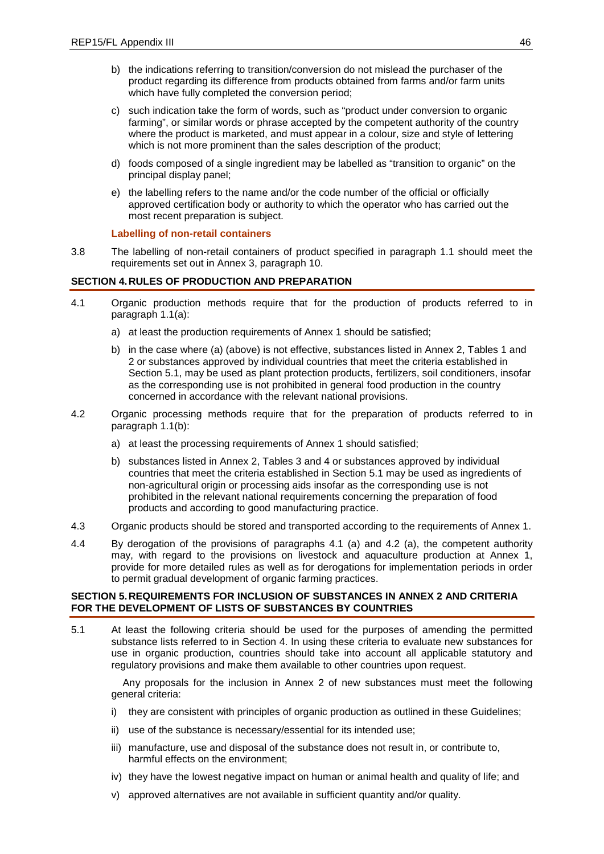- b) the indications referring to transition/conversion do not mislead the purchaser of the product regarding its difference from products obtained from farms and/or farm units which have fully completed the conversion period;
- c) such indication take the form of words, such as "product under conversion to organic farming", or similar words or phrase accepted by the competent authority of the country where the product is marketed, and must appear in a colour, size and style of lettering which is not more prominent than the sales description of the product;
- d) foods composed of a single ingredient may be labelled as "transition to organic" on the principal display panel;
- e) the labelling refers to the name and/or the code number of the official or officially approved certification body or authority to which the operator who has carried out the most recent preparation is subject.

#### **Labelling of non-retail containers**

3.8 The labelling of non-retail containers of product specified in paragraph 1.1 should meet the requirements set out in Annex 3, paragraph 10.

#### **SECTION 4.RULES OF PRODUCTION AND PREPARATION**

- 4.1 Organic production methods require that for the production of products referred to in paragraph 1.1(a):
	- a) at least the production requirements of Annex 1 should be satisfied;
	- b) in the case where (a) (above) is not effective, substances listed in Annex 2, Tables 1 and 2 or substances approved by individual countries that meet the criteria established in Section 5.1, may be used as plant protection products, fertilizers, soil conditioners, insofar as the corresponding use is not prohibited in general food production in the country concerned in accordance with the relevant national provisions.
- 4.2 Organic processing methods require that for the preparation of products referred to in paragraph 1.1(b):
	- a) at least the processing requirements of Annex 1 should satisfied:
	- b) substances listed in Annex 2, Tables 3 and 4 or substances approved by individual countries that meet the criteria established in Section 5.1 may be used as ingredients of non-agricultural origin or processing aids insofar as the corresponding use is not prohibited in the relevant national requirements concerning the preparation of food products and according to good manufacturing practice.
- 4.3 Organic products should be stored and transported according to the requirements of Annex 1.
- 4.4 By derogation of the provisions of paragraphs 4.1 (a) and 4.2 (a), the competent authority may, with regard to the provisions on livestock and aquaculture production at Annex 1, provide for more detailed rules as well as for derogations for implementation periods in order to permit gradual development of organic farming practices.

## **SECTION 5.REQUIREMENTS FOR INCLUSION OF SUBSTANCES IN ANNEX 2 AND CRITERIA FOR THE DEVELOPMENT OF LISTS OF SUBSTANCES BY COUNTRIES**

5.1 At least the following criteria should be used for the purposes of amending the permitted substance lists referred to in Section 4. In using these criteria to evaluate new substances for use in organic production, countries should take into account all applicable statutory and regulatory provisions and make them available to other countries upon request.

Any proposals for the inclusion in Annex 2 of new substances must meet the following general criteria:

- i) they are consistent with principles of organic production as outlined in these Guidelines;
- ii) use of the substance is necessary/essential for its intended use;
- iii) manufacture, use and disposal of the substance does not result in, or contribute to, harmful effects on the environment;
- iv) they have the lowest negative impact on human or animal health and quality of life; and
- v) approved alternatives are not available in sufficient quantity and/or quality.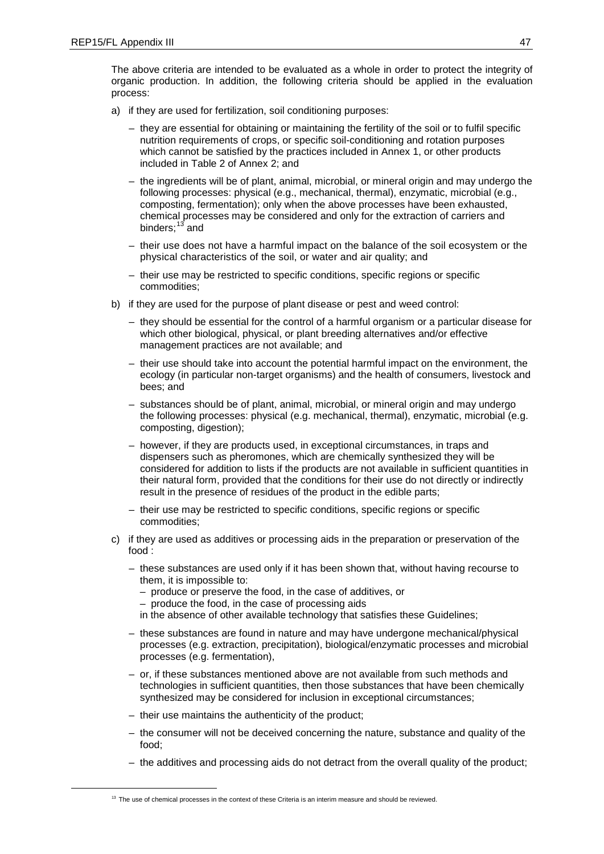The above criteria are intended to be evaluated as a whole in order to protect the integrity of organic production. In addition, the following criteria should be applied in the evaluation process:

- a) if they are used for fertilization, soil conditioning purposes:
	- they are essential for obtaining or maintaining the fertility of the soil or to fulfil specific nutrition requirements of crops, or specific soil-conditioning and rotation purposes which cannot be satisfied by the practices included in Annex 1, or other products included in Table 2 of Annex 2; and
	- the ingredients will be of plant, animal, microbial, or mineral origin and may undergo the following processes: physical (e.g., mechanical, thermal), enzymatic, microbial (e.g., composting, fermentation); only when the above processes have been exhausted, chemical processes may be considered and only for the extraction of carriers and binders;<sup>[13](#page-50-0)</sup> and
	- their use does not have a harmful impact on the balance of the soil ecosystem or the physical characteristics of the soil, or water and air quality; and
	- their use may be restricted to specific conditions, specific regions or specific commodities;
- b) if they are used for the purpose of plant disease or pest and weed control:
	- they should be essential for the control of a harmful organism or a particular disease for which other biological, physical, or plant breeding alternatives and/or effective management practices are not available; and
	- their use should take into account the potential harmful impact on the environment, the ecology (in particular non-target organisms) and the health of consumers, livestock and bees; and
	- substances should be of plant, animal, microbial, or mineral origin and may undergo the following processes: physical (e.g. mechanical, thermal), enzymatic, microbial (e.g. composting, digestion);
	- however, if they are products used, in exceptional circumstances, in traps and dispensers such as pheromones, which are chemically synthesized they will be considered for addition to lists if the products are not available in sufficient quantities in their natural form, provided that the conditions for their use do not directly or indirectly result in the presence of residues of the product in the edible parts;
	- their use may be restricted to specific conditions, specific regions or specific commodities;
- c) if they are used as additives or processing aids in the preparation or preservation of the food :
	- these substances are used only if it has been shown that, without having recourse to them, it is impossible to:
		- produce or preserve the food, in the case of additives, or
		- produce the food, in the case of processing aids
		- in the absence of other available technology that satisfies these Guidelines;
	- these substances are found in nature and may have undergone mechanical/physical processes (e.g. extraction, precipitation), biological/enzymatic processes and microbial processes (e.g. fermentation),
	- or, if these substances mentioned above are not available from such methods and technologies in sufficient quantities, then those substances that have been chemically synthesized may be considered for inclusion in exceptional circumstances;
	- their use maintains the authenticity of the product;

<span id="page-50-0"></span> $\overline{a}$ 

- the consumer will not be deceived concerning the nature, substance and quality of the food;
- the additives and processing aids do not detract from the overall quality of the product;

<sup>&</sup>lt;sup>13</sup> The use of chemical processes in the context of these Criteria is an interim measure and should be reviewed.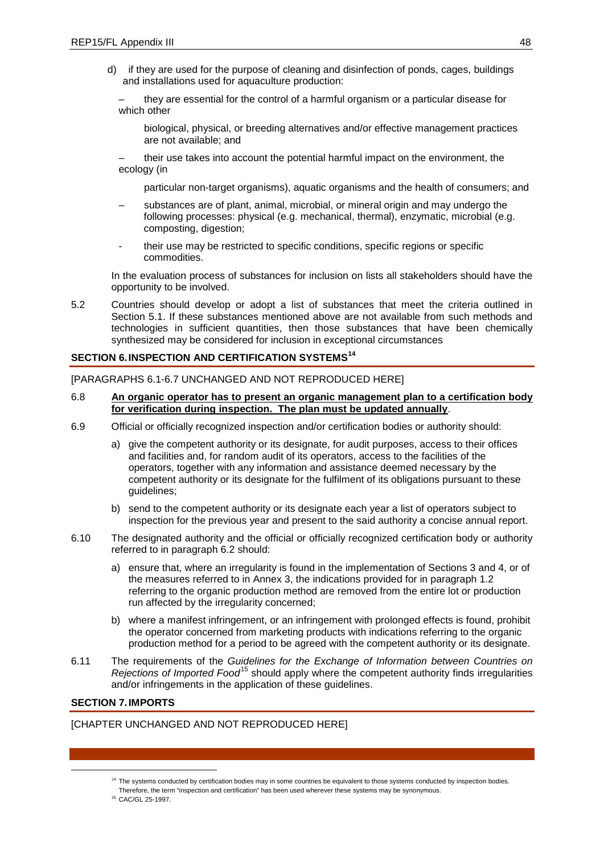d) if they are used for the purpose of cleaning and disinfection of ponds, cages, buildings and installations used for aquaculture production:

– they are essential for the control of a harmful organism or a particular disease for which other

biological, physical, or breeding alternatives and/or effective management practices are not available; and

their use takes into account the potential harmful impact on the environment, the ecology (in

particular non-target organisms), aquatic organisms and the health of consumers; and

- substances are of plant, animal, microbial, or mineral origin and may undergo the following processes: physical (e.g. mechanical, thermal), enzymatic, microbial (e.g. composting, digestion;
- their use may be restricted to specific conditions, specific regions or specific commodities.

In the evaluation process of substances for inclusion on lists all stakeholders should have the opportunity to be involved.

5.2 Countries should develop or adopt a list of substances that meet the criteria outlined in Section 5.1. If these substances mentioned above are not available from such methods and technologies in sufficient quantities, then those substances that have been chemically synthesized may be considered for inclusion in exceptional circumstances

# **SECTION 6.INSPECTION AND CERTIFICATION SYSTEMS[14](#page-51-0)**

[PARAGRAPHS 6.1-6.7 UNCHANGED AND NOT REPRODUCED HERE]

#### 6.8 **An organic operator has to present an organic management plan to a certification body for verification during inspection. The plan must be updated annually** .

- 6.9 Official or officially recognized inspection and/or certification bodies or authority should:
	- a) give the competent authority or its designate, for audit purposes, access to their offices and facilities and, for random audit of its operators, access to the facilities of the operators, together with any information and assistance deemed necessary by the competent authority or its designate for the fulfilment of its obligations pursuant to these guidelines;
	- b) send to the competent authority or its designate each year a list of operators subject to inspection for the previous year and present to the said authority a concise annual report.
- 6.10 The designated authority and the official or officially recognized certification body or authority referred to in paragraph 6.2 should:
	- a) ensure that, where an irregularity is found in the implementation of Sections 3 and 4, or of the measures referred to in Annex 3, the indications provided for in paragraph 1.2 referring to the organic production method are removed from the entire lot or production run affected by the irregularity concerned;
	- b) where a manifest infringement, or an infringement with prolonged effects is found, prohibit the operator concerned from marketing products with indications referring to the organic production method for a period to be agreed with the competent authority or its designate.
- 6.11 The requirements of the *Guidelines for the Exchange of Information between Countries on*  Rejections of Imported Food<sup>[15](#page-51-1)</sup> should apply where the competent authority finds irregularities and/or infringements in the application of these guidelines.

#### **SECTION 7.IMPORTS**

**ANEX 1**

<span id="page-51-1"></span><span id="page-51-0"></span> $\overline{a}$ 

[CHAPTER UNCHANGED AND NOT REPRODUCED HERE]

<sup>&</sup>lt;sup>14</sup> The systems conducted by certification bodies may in some countries be equivalent to those systems conducted by inspection bodies. Therefore, the term "inspection and certification" has been used wherever these systems may be synonymous.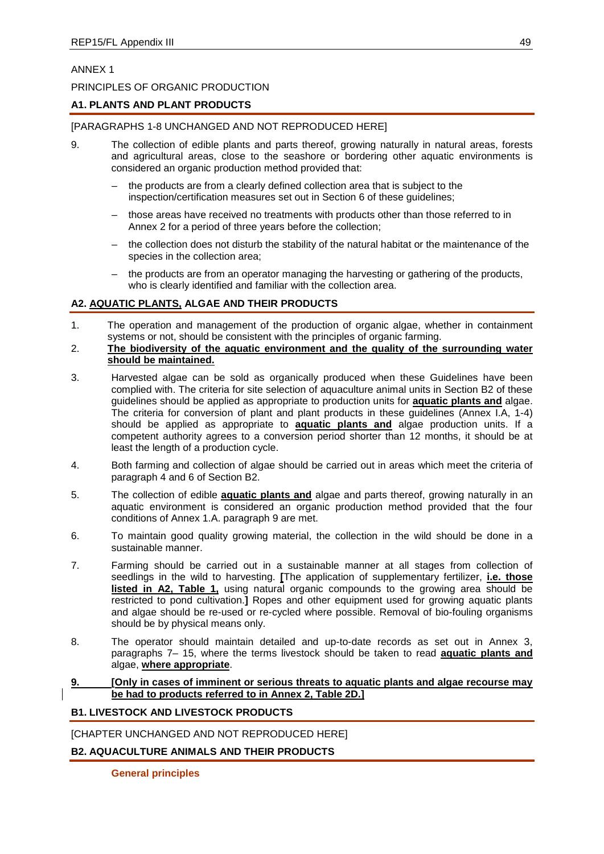# ANNEX 1

# PRINCIPLES OF ORGANIC PRODUCTION

# **A1. PLANTS AND PLANT PRODUCTS**

# [PARAGRAPHS 1-8 UNCHANGED AND NOT REPRODUCED HERE]

- 9. The collection of edible plants and parts thereof, growing naturally in natural areas, forests and agricultural areas, close to the seashore or bordering other aquatic environments is considered an organic production method provided that:
	- the products are from a clearly defined collection area that is subject to the inspection/certification measures set out in Section 6 of these guidelines;
	- those areas have received no treatments with products other than those referred to in Annex 2 for a period of three years before the collection;
	- the collection does not disturb the stability of the natural habitat or the maintenance of the species in the collection area;
	- the products are from an operator managing the harvesting or gathering of the products, who is clearly identified and familiar with the collection area.

# **A2. AQUATIC PLANTS, ALGAE AND THEIR PRODUCTS**

- 1. The operation and management of the production of organic algae, whether in containment systems or not, should be consistent with the principles of organic farming.
- 2. **The biodiversity of the aquatic environment and the quality of the surrounding water should be maintained.**
- 3. Harvested algae can be sold as organically produced when these Guidelines have been complied with. The criteria for site selection of aquaculture animal units in Section B2 of these guidelines should be applied as appropriate to production units for **aquatic plants and** algae. The criteria for conversion of plant and plant products in these guidelines (Annex I.A, 1-4) should be applied as appropriate to **aquatic plants and** algae production units. If a competent authority agrees to a conversion period shorter than 12 months, it should be at least the length of a production cycle.
- 4. Both farming and collection of algae should be carried out in areas which meet the criteria of paragraph 4 and 6 of Section B2.
- 5. The collection of edible **aquatic plants and** algae and parts thereof, growing naturally in an aquatic environment is considered an organic production method provided that the four conditions of Annex 1.A. paragraph 9 are met.
- 6. To maintain good quality growing material, the collection in the wild should be done in a sustainable manner.
- 7. Farming should be carried out in a sustainable manner at all stages from collection of seedlings in the wild to harvesting. **[**The application of supplementary fertilizer, **i.e. those listed in A2, Table 1,** using natural organic compounds to the growing area should be restricted to pond cultivation.**]** Ropes and other equipment used for growing aquatic plants and algae should be re-used or re-cycled where possible. Removal of bio-fouling organisms should be by physical means only.
- 8. The operator should maintain detailed and up-to-date records as set out in Annex 3, paragraphs 7– 15, where the terms livestock should be taken to read **aquatic plants and** algae, **where appropriate**.

#### **9. [ Only in cases of imminent or serious threats to aquatic plants and algae recourse may be had to products referred to in Annex 2, Table 2D.]**

# **B1. LIVESTOCK AND LIVESTOCK PRODUCTS**

[CHAPTER UNCHANGED AND NOT REPRODUCED HERE]

**B2. AQUACULTURE ANIMALS AND THEIR PRODUCTS** 

**General principles**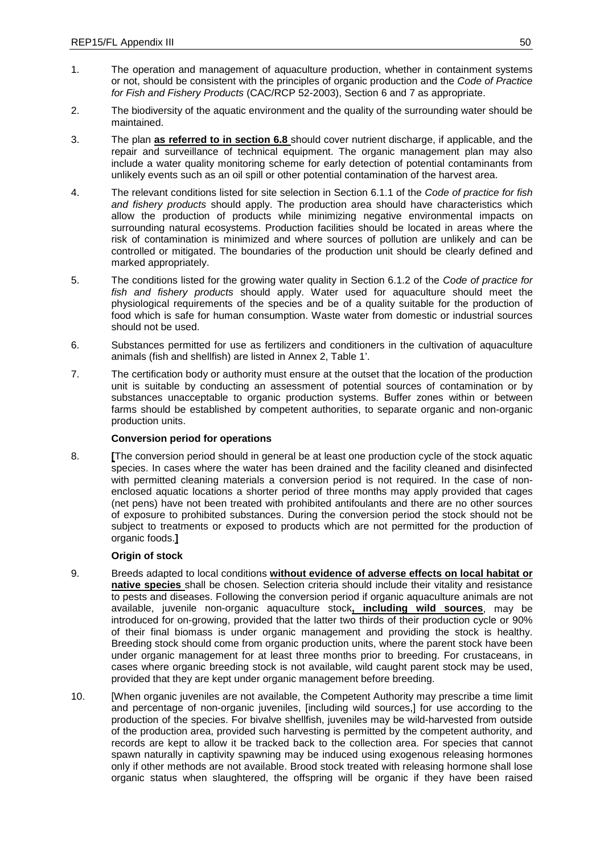- 1. The operation and management of aquaculture production, whether in containment systems or not, should be consistent with the principles of organic production and the *Code of Practice for Fish and Fishery Products* (CAC/RCP 52-2003), Section 6 and 7 as appropriate.
- 2. The biodiversity of the aquatic environment and the quality of the surrounding water should be maintained.
- 3. The plan **as referred to in section 6.8**  should cover nutrient discharge, if applicable, and the repair and surveillance of technical equipment. The organic management plan may also include a water quality monitoring scheme for early detection of potential contaminants from unlikely events such as an oil spill or other potential contamination of the harvest area.
- 4. The relevant conditions listed for site selection in Section 6.1.1 of the *Code of practice for fish and fishery products* should apply. The production area should have characteristics which allow the production of products while minimizing negative environmental impacts on surrounding natural ecosystems. Production facilities should be located in areas where the risk of contamination is minimized and where sources of pollution are unlikely and can be controlled or mitigated. The boundaries of the production unit should be clearly defined and marked appropriately.
- 5. The conditions listed for the growing water quality in Section 6.1.2 of the *Code of practice for fish and fishery products* should apply. Water used for aquaculture should meet the physiological requirements of the species and be of a quality suitable for the production of food which is safe for human consumption. Waste water from domestic or industrial sources should not be used.
- 6. Substances permitted for use as fertilizers and conditioners in the cultivation of aquaculture animals (fish and shellfish) are listed in Annex 2, Table 1'.
- 7. The certification body or authority must ensure at the outset that the location of the production unit is suitable by conducting an assessment of potential sources of contamination or by substances unacceptable to organic production systems. Buffer zones within or between farms should be established by competent authorities, to separate organic and non-organic production units.

# **Conversion period for operations**

8. **[**The conversion period should in general be at least one production cycle of the stock aquatic species. In cases where the water has been drained and the facility cleaned and disinfected with permitted cleaning materials a conversion period is not required. In the case of nonenclosed aquatic locations a shorter period of three months may apply provided that cages (net pens) have not been treated with prohibited antifoulants and there are no other sources of exposure to prohibited substances. During the conversion period the stock should not be subject to treatments or exposed to products which are not permitted for the production of organic foods. **]**

# **Origin of stock**

- 9. Breeds adapted to local conditions **without evidence of adverse effects on local habitat or native species** shall be chosen. Selection criteria should include their vitality and resistance to pests and diseases. Following the conversion period if organic aquaculture animals are not available, juvenile non-organic aquaculture stock**, including wild sources** , may be introduced for on-growing, provided that the latter two thirds of their production cycle or 90% of their final biomass is under organic management and providing the stock is healthy. Breeding stock should come from organic production units, where the parent stock have been under organic management for at least three months prior to breeding. For crustaceans, in cases where organic breeding stock is not available, wild caught parent stock may be used, provided that they are kept under organic management before breeding.
- 10. [When organic juveniles are not available, the Competent Authority may prescribe a time limit and percentage of non-organic juveniles, [including wild sources,] for use according to the production of the species. For bivalve shellfish, juveniles may be wild-harvested from outside of the production area, provided such harvesting is permitted by the competent authority, and records are kept to allow it be tracked back to the collection area. For species that cannot spawn naturally in captivity spawning may be induced using exogenous releasing hormones only if other methods are not available. Brood stock treated with releasing hormone shall lose organic status when slaughtered, the offspring will be organic if they have been raised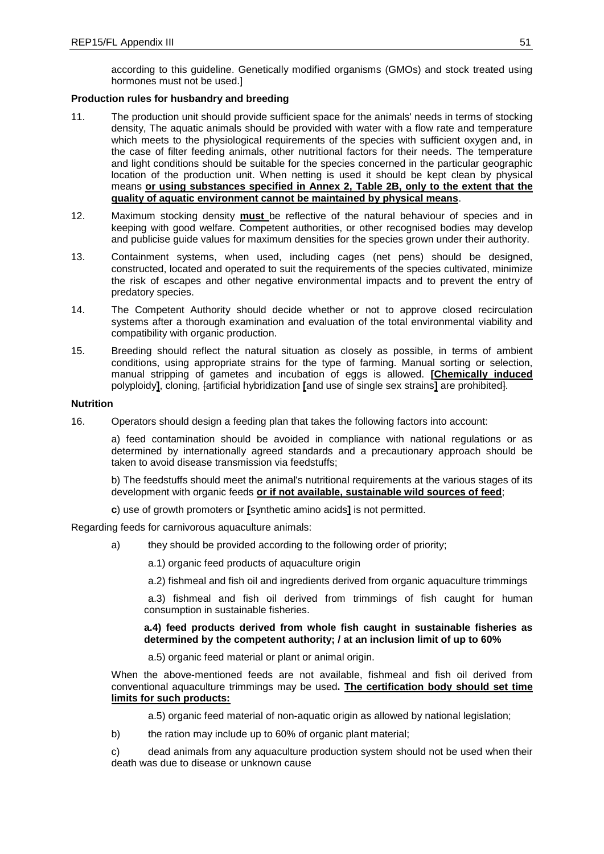according to this guideline. Genetically modified organisms (GMOs) and stock treated using hormones must not be used.]

# **Production rules for husbandry and breeding**

- 11. The production unit should provide sufficient space for the animals' needs in terms of stocking density, The aquatic animals should be provided with water with a flow rate and temperature which meets to the physiological requirements of the species with sufficient oxygen and, in the case of filter feeding animals, other nutritional factors for their needs. The temperature and light conditions should be suitable for the species concerned in the particular geographic location of the production unit. When netting is used it should be kept clean by physical means **or using substances specified in Annex 2, Table 2B, only to the extent that the quality of aquatic environment cannot be maintained by physical means** .
- 12. Maximum stocking density *must* be reflective of the natural behaviour of species and in keeping with good welfare. Competent authorities, or other recognised bodies may develop and publicise guide values for maximum densities for the species grown under their authority.
- 13. Containment systems, when used, including cages (net pens) should be designed, constructed, located and operated to suit the requirements of the species cultivated, minimize the risk of escapes and other negative environmental impacts and to prevent the entry of predatory species.
- 14. The Competent Authority should decide whether or not to approve closed recirculation systems after a thorough examination and evaluation of the total environmental viability and compatibility with organic production.
- 15. Breeding should reflect the natural situation as closely as possible, in terms of ambient conditions, using appropriate strains for the type of farming. Manual sorting or selection, manual stripping of gametes and incubation of eggs is allowed. **[Chemically induced** polyploidy**]**, cloning, [artificial hybridization **[**and use of single sex strains**]** are prohibited] .

# **Nutrition**

16. Operators should design a feeding plan that takes the following factors into account:

a) feed contamination should be avoided in compliance with national regulations or as determined by internationally agreed standards and a precautionary approach should be taken to avoid disease transmission via feedstuffs;

b) The feedstuffs should meet the animal's nutritional requirements at the various stages of its development with organic feeds **or if not available, sustainable wild sources of feed** ;

**c**) use of growth promoters or **[**synthetic amino acids**]** is not permitted.

Regarding feeds for carnivorous aquaculture animals:

- a) they should be provided according to the following order of priority;
	- a.1) organic feed products of aquaculture origin
	- a.2) fishmeal and fish oil and ingredients derived from organic aquaculture trimmings

a.3) fishmeal and fish oil derived from trimmings of fish caught for human consumption in sustainable fisheries.

# **a.4) feed products derived from whole fish caught in sustainable fisheries as determined by the competent authority; / at an inclusion limit of up to 60%**

a.5) organic feed material or plant or animal origin.

When the above-mentioned feeds are not available, fishmeal and fish oil derived from conventional aquaculture trimmings may be used**. The certification body should set time limits for such products:**

a.5) organic feed material of non-aquatic origin as allowed by national legislation;

b) the ration may include up to 60% of organic plant material;

c) dead animals from any aquaculture production system should not be used when their death was due to disease or unknown cause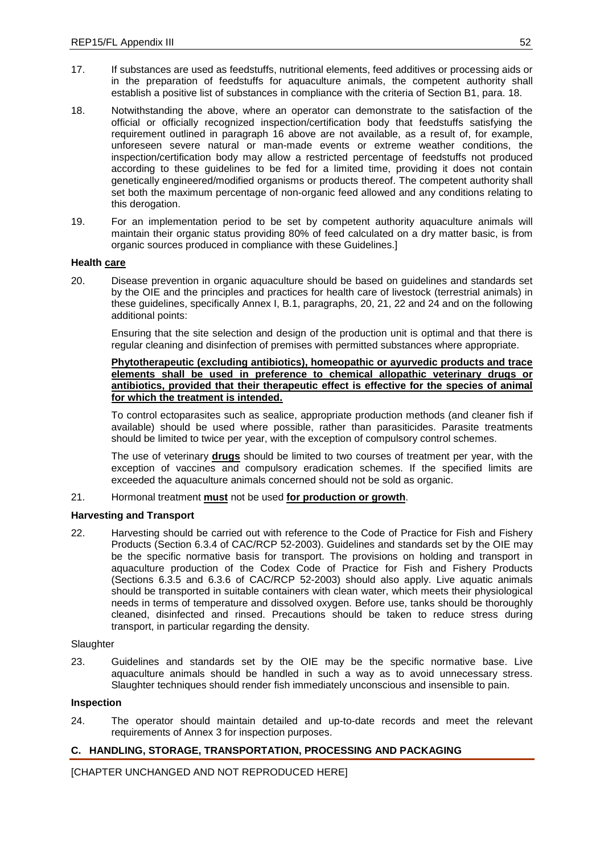- 17. If substances are used as feedstuffs, nutritional elements, feed additives or processing aids or in the preparation of feedstuffs for aquaculture animals, the competent authority shall establish a positive list of substances in compliance with the criteria of Section B1, para. 18.
- 18. Notwithstanding the above, where an operator can demonstrate to the satisfaction of the official or officially recognized inspection/certification body that feedstuffs satisfying the requirement outlined in paragraph 16 above are not available, as a result of, for example, unforeseen severe natural or man-made events or extreme weather conditions, the inspection/certification body may allow a restricted percentage of feedstuffs not produced according to these guidelines to be fed for a limited time, providing it does not contain genetically engineered/modified organisms or products thereof. The competent authority shall set both the maximum percentage of non-organic feed allowed and any conditions relating to this derogation.
- 19. For an implementation period to be set by competent authority aquaculture animals will maintain their organic status providing 80% of feed calculated on a dry matter basic, is from organic sources produced in compliance with these Guidelines.]

# **Health care**

20. Disease prevention in organic aquaculture should be based on guidelines and standards set by the OIE and the principles and practices for health care of livestock (terrestrial animals) in these guidelines, specifically Annex I, B.1, paragraphs, 20, 21, 22 and 24 and on the following additional points:

Ensuring that the site selection and design of the production unit is optimal and that there is regular cleaning and disinfection of premises with permitted substances where appropriate.

#### **Phytotherapeutic (excluding antibiotics), homeopathic or ayurvedic products and trace elements shall be used in preference to chemical allopathic veterinary drugs or antibiotics, provided that their therapeutic effect is effective for the species of animal for which the treatment is intended.**

To control ectoparasites such as sealice, appropriate production methods (and cleaner fish if available) should be used where possible, rather than parasiticides. Parasite treatments should be limited to twice per year, with the exception of compulsory control schemes.

The use of veterinary **drugs** should be limited to two courses of treatment per year, with the exception of vaccines and compulsory eradication schemes. If the specified limits are exceeded the aquaculture animals concerned should not be sold as organic.

#### 21. Hormonal treatment **must** not be used **for production or growth** .

#### **Harvesting and Transport**

22. Harvesting should be carried out with reference to the Code of Practice for Fish and Fishery Products (Section 6.3.4 of CAC/RCP 52-2003). Guidelines and standards set by the OIE may be the specific normative basis for transport. The provisions on holding and transport in aquaculture production of the Codex Code of Practice for Fish and Fishery Products (Sections 6.3.5 and 6.3.6 of CAC/RCP 52-2003) should also apply. Live aquatic animals should be transported in suitable containers with clean water, which meets their physiological needs in terms of temperature and dissolved oxygen. Before use, tanks should be thoroughly cleaned, disinfected and rinsed. Precautions should be taken to reduce stress during transport, in particular regarding the density.

#### **Slaughter**

23. Guidelines and standards set by the OIE may be the specific normative base. Live aquaculture animals should be handled in such a way as to avoid unnecessary stress. Slaughter techniques should render fish immediately unconscious and insensible to pain.

#### **Inspection**

24. The operator should maintain detailed and up-to-date records and meet the relevant requirements of Annex 3 for inspection purposes.

# **C. HANDLING, STORAGE, TRANSPORTATION, PROCESSING AND PACKAGING**

[CHAPTER UNCHANGED AND NOT REPRODUCED HERE]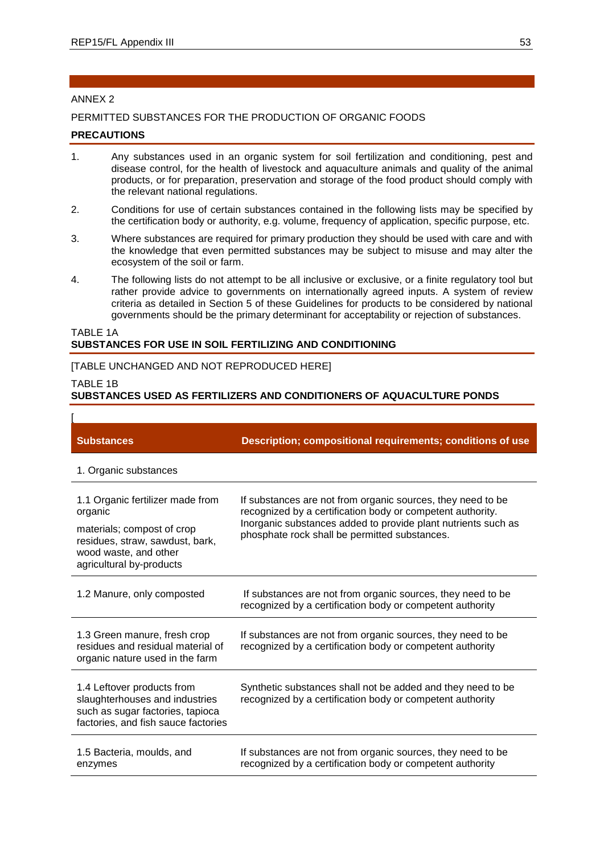# ANNEX 2

**ANNX 2**

# PERMITTED SUBSTANCES FOR THE PRODUCTION OF ORGANIC FOODS

# **PRECAUTIONS**

- 1. Any substances used in an organic system for soil fertilization and conditioning, pest and disease control, for the health of livestock and aquaculture animals and quality of the animal products, or for preparation, preservation and storage of the food product should comply with the relevant national regulations.
- 2. Conditions for use of certain substances contained in the following lists may be specified by the certification body or authority, e.g. volume, frequency of application, specific purpose, etc.
- 3. Where substances are required for primary production they should be used with care and with the knowledge that even permitted substances may be subject to misuse and may alter the ecosystem of the soil or farm.
- 4. The following lists do not attempt to be all inclusive or exclusive, or a finite regulatory tool but rather provide advice to governments on internationally agreed inputs. A system of review criteria as detailed in Section 5 of these Guidelines for products to be considered by national governments should be the primary determinant for acceptability or rejection of substances.

# TABLE 1A **SUBSTANCES FOR USE IN SOIL FERTILIZING AND CONDITIONING**

#### [TABLE UNCHANGED AND NOT REPRODUCED HERE]

#### TABLE 1B

[

# **SUBSTANCES USED AS FERTILIZERS AND CONDITIONERS OF AQUACULTURE PONDS**

| <b>Substances</b>                                                                                                                                                 | Description; compositional requirements; conditions of use                                                                                                                                                                                  |
|-------------------------------------------------------------------------------------------------------------------------------------------------------------------|---------------------------------------------------------------------------------------------------------------------------------------------------------------------------------------------------------------------------------------------|
| 1. Organic substances                                                                                                                                             |                                                                                                                                                                                                                                             |
| 1.1 Organic fertilizer made from<br>organic<br>materials; compost of crop<br>residues, straw, sawdust, bark,<br>wood waste, and other<br>agricultural by-products | If substances are not from organic sources, they need to be<br>recognized by a certification body or competent authority.<br>Inorganic substances added to provide plant nutrients such as<br>phosphate rock shall be permitted substances. |
| 1.2 Manure, only composted                                                                                                                                        | If substances are not from organic sources, they need to be<br>recognized by a certification body or competent authority                                                                                                                    |
| 1.3 Green manure, fresh crop<br>residues and residual material of<br>organic nature used in the farm                                                              | If substances are not from organic sources, they need to be<br>recognized by a certification body or competent authority                                                                                                                    |
| 1.4 Leftover products from<br>slaughterhouses and industries<br>such as sugar factories, tapioca<br>factories, and fish sauce factories                           | Synthetic substances shall not be added and they need to be<br>recognized by a certification body or competent authority                                                                                                                    |
| 1.5 Bacteria, moulds, and<br>enzymes                                                                                                                              | If substances are not from organic sources, they need to be<br>recognized by a certification body or competent authority                                                                                                                    |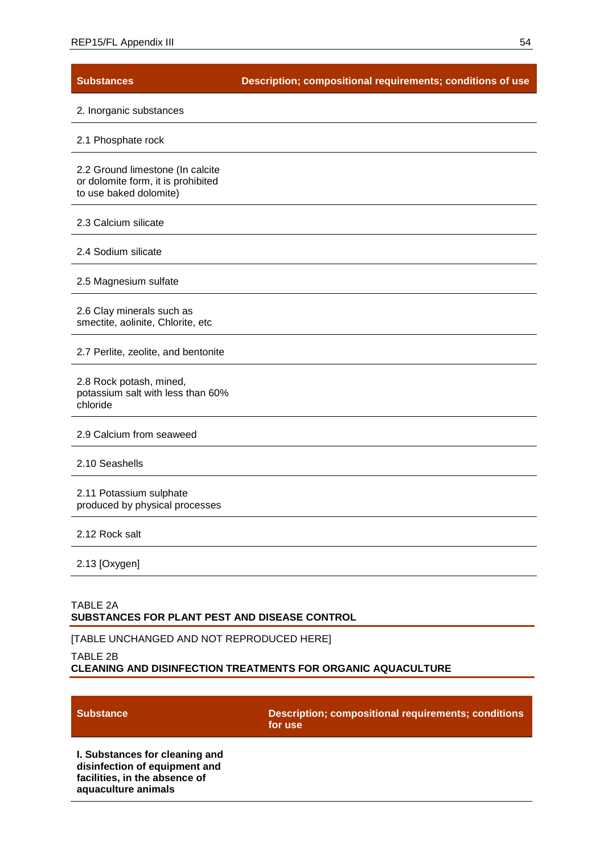**Substances Description; compositional requirements; conditions of use**

#### 2. Inorganic substances

2.1 Phosphate rock

2.2 Ground limestone (In calcite or dolomite form, it is prohibited to use baked dolomite)

#### 2.3 Calcium silicate

2.4 Sodium silicate

2.5 Magnesium sulfate

2.6 Clay minerals such as smectite, aolinite, Chlorite, etc

2.7 Perlite, zeolite, and bentonite

2.8 Rock potash, mined, potassium salt with less than 60% chloride

#### 2.9 Calcium from seaweed

2.10 Seashells

2.11 Potassium sulphate produced by physical processes

2.12 Rock salt

2.13 [Oxygen]

#### TABLE 2A **SUBSTANCES FOR PLANT PEST AND DISEASE CONTROL**

# [TABLE UNCHANGED AND NOT REPRODUCED HERE]

TABLE 2B

**CLEANING AND DISINFECTION TREATMENTS FOR ORGANIC AQUACULTURE**

**Substance Description; compositional requirements; conditions for use**

**I. Substances for cleaning and disinfection of equipment and facilities, in the absence of aquaculture animals**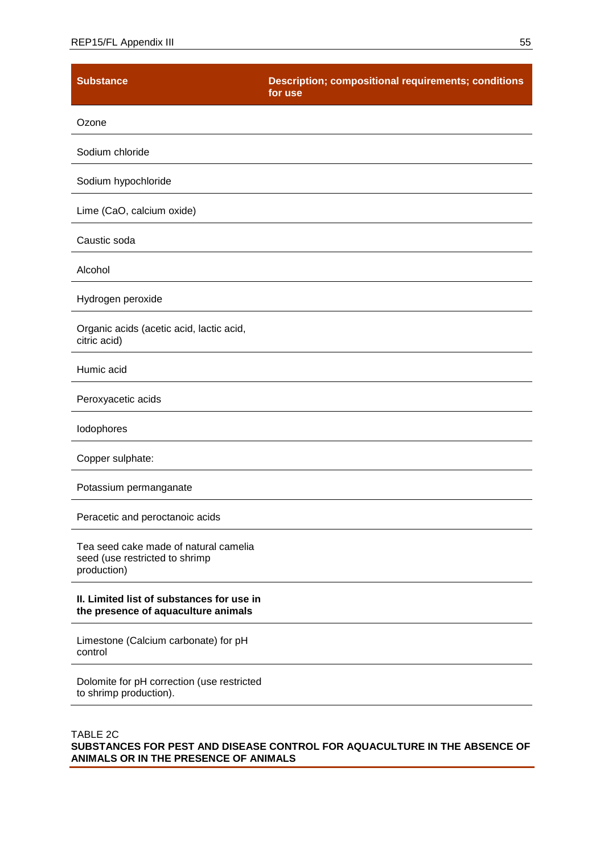| <b>Substance</b>                                                                       | <b>Description; compositional requirements; conditions</b><br>for use |
|----------------------------------------------------------------------------------------|-----------------------------------------------------------------------|
| Ozone                                                                                  |                                                                       |
| Sodium chloride                                                                        |                                                                       |
| Sodium hypochloride                                                                    |                                                                       |
| Lime (CaO, calcium oxide)                                                              |                                                                       |
| Caustic soda                                                                           |                                                                       |
| Alcohol                                                                                |                                                                       |
| Hydrogen peroxide                                                                      |                                                                       |
| Organic acids (acetic acid, lactic acid,<br>citric acid)                               |                                                                       |
| Humic acid                                                                             |                                                                       |
| Peroxyacetic acids                                                                     |                                                                       |
| lodophores                                                                             |                                                                       |
| Copper sulphate:                                                                       |                                                                       |
| Potassium permanganate                                                                 |                                                                       |
| Peracetic and peroctanoic acids                                                        |                                                                       |
| Tea seed cake made of natural camelia<br>seed (use restricted to shrimp<br>production) |                                                                       |
| II. Limited list of substances for use in<br>the presence of aquaculture animals       |                                                                       |
| Limestone (Calcium carbonate) for pH<br>control                                        |                                                                       |
| Dolomite for pH correction (use restricted<br>to shrimp production).                   |                                                                       |

# TABLE 2C **SUBSTANCES FOR PEST AND DISEASE CONTROL FOR AQUACULTURE IN THE ABSENCE OF ANIMALS OR IN THE PRESENCE OF ANIMALS**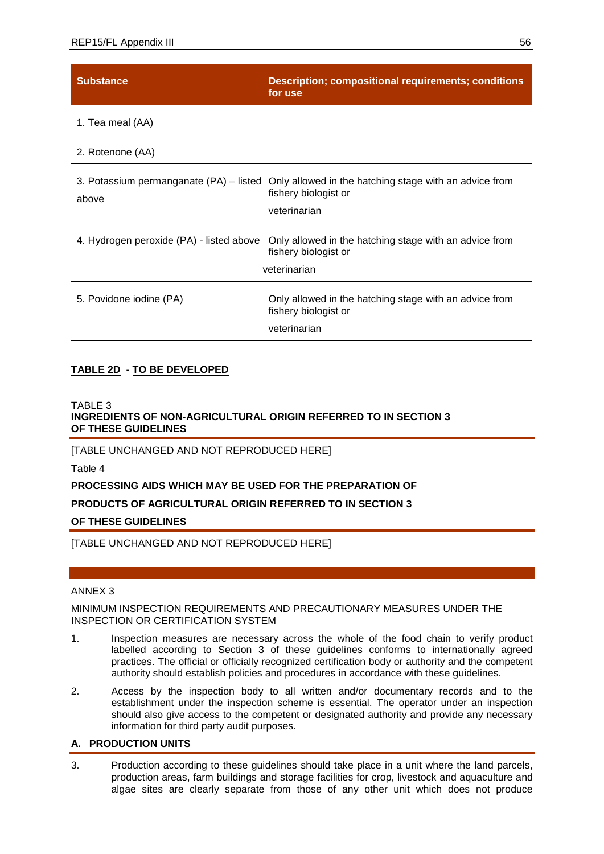| <b>Substance</b>                         | <b>Description; compositional requirements; conditions</b><br>for use                                                                  |
|------------------------------------------|----------------------------------------------------------------------------------------------------------------------------------------|
| 1. Tea meal (AA)                         |                                                                                                                                        |
| 2. Rotenone (AA)                         |                                                                                                                                        |
| above                                    | 3. Potassium permanganate (PA) – listed Only allowed in the hatching stage with an advice from<br>fishery biologist or<br>veterinarian |
| 4. Hydrogen peroxide (PA) - listed above | Only allowed in the hatching stage with an advice from<br>fishery biologist or<br>veterinarian                                         |
| 5. Povidone iodine (PA)                  | Only allowed in the hatching stage with an advice from<br>fishery biologist or<br>veterinarian                                         |

# **TABLE 2D** - **TO BE DEVELOPED**

#### TABLE 3

**INGREDIENTS OF NON-AGRICULTURAL ORIGIN REFERRED TO IN SECTION 3 OF THESE GUIDELINES**

[TABLE UNCHANGED AND NOT REPRODUCED HERE]

Table 4

**PROCESSING AIDS WHICH MAY BE USED FOR THE PREPARATION OF**

# **PRODUCTS OF AGRICULTURAL ORIGIN REFERRED TO IN SECTION 3**

#### **OF THESE GUIDELINES**

[TABLE UNCHANGED AND NOT REPRODUCED HERE]

#### ANNEX 3

**NNEX 3**

MINIMUM INSPECTION REQUIREMENTS AND PRECAUTIONARY MEASURES UNDER THE INSPECTION OR CERTIFICATION SYSTEM

- 1. Inspection measures are necessary across the whole of the food chain to verify product labelled according to Section 3 of these guidelines conforms to internationally agreed practices. The official or officially recognized certification body or authority and the competent authority should establish policies and procedures in accordance with these guidelines.
- 2. Access by the inspection body to all written and/or documentary records and to the establishment under the inspection scheme is essential. The operator under an inspection should also give access to the competent or designated authority and provide any necessary information for third party audit purposes.

# **A. PRODUCTION UNITS**

3. Production according to these guidelines should take place in a unit where the land parcels, production areas, farm buildings and storage facilities for crop, livestock and aquaculture and algae sites are clearly separate from those of any other unit which does not produce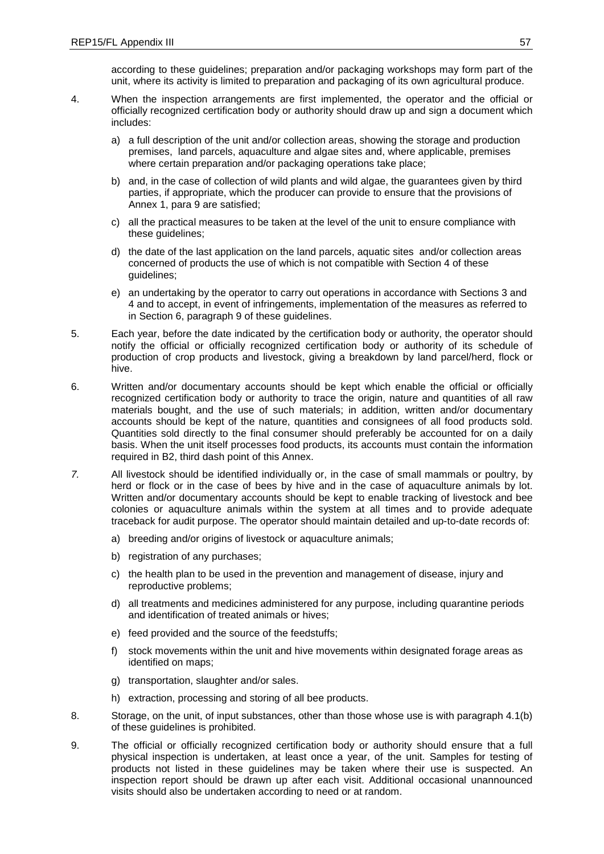according to these guidelines; preparation and/or packaging workshops may form part of the unit, where its activity is limited to preparation and packaging of its own agricultural produce.

- 4. When the inspection arrangements are first implemented, the operator and the official or officially recognized certification body or authority should draw up and sign a document which includes:
	- a) a full description of the unit and/or collection areas, showing the storage and production premises, land parcels, aquaculture and algae sites and, where applicable, premises where certain preparation and/or packaging operations take place;
	- b) and, in the case of collection of wild plants and wild algae, the guarantees given by third parties, if appropriate, which the producer can provide to ensure that the provisions of Annex 1, para 9 are satisfied;
	- c) all the practical measures to be taken at the level of the unit to ensure compliance with these guidelines;
	- d) the date of the last application on the land parcels, aquatic sites and/or collection areas concerned of products the use of which is not compatible with Section 4 of these guidelines;
	- e) an undertaking by the operator to carry out operations in accordance with Sections 3 and 4 and to accept, in event of infringements, implementation of the measures as referred to in Section 6, paragraph 9 of these guidelines.
- 5. Each year, before the date indicated by the certification body or authority, the operator should notify the official or officially recognized certification body or authority of its schedule of production of crop products and livestock, giving a breakdown by land parcel/herd, flock or hive.
- 6. Written and/or documentary accounts should be kept which enable the official or officially recognized certification body or authority to trace the origin, nature and quantities of all raw materials bought, and the use of such materials; in addition, written and/or documentary accounts should be kept of the nature, quantities and consignees of all food products sold. Quantities sold directly to the final consumer should preferably be accounted for on a daily basis. When the unit itself processes food products, its accounts must contain the information required in B2, third dash point of this Annex.
- *7.* All livestock should be identified individually or, in the case of small mammals or poultry, by herd or flock or in the case of bees by hive and in the case of aquaculture animals by lot. Written and/or documentary accounts should be kept to enable tracking of livestock and bee colonies or aquaculture animals within the system at all times and to provide adequate traceback for audit purpose. The operator should maintain detailed and up-to-date records of:
	- a) breeding and/or origins of livestock or aquaculture animals;
	- b) registration of any purchases;
	- c) the health plan to be used in the prevention and management of disease, injury and reproductive problems;
	- d) all treatments and medicines administered for any purpose, including quarantine periods and identification of treated animals or hives;
	- e) feed provided and the source of the feedstuffs;
	- f) stock movements within the unit and hive movements within designated forage areas as identified on maps;
	- g) transportation, slaughter and/or sales.
	- h) extraction, processing and storing of all bee products.
- 8. Storage, on the unit, of input substances, other than those whose use is with paragraph 4.1(b) of these guidelines is prohibited.
- 9. The official or officially recognized certification body or authority should ensure that a full physical inspection is undertaken, at least once a year, of the unit. Samples for testing of products not listed in these guidelines may be taken where their use is suspected. An inspection report should be drawn up after each visit. Additional occasional unannounced visits should also be undertaken according to need or at random.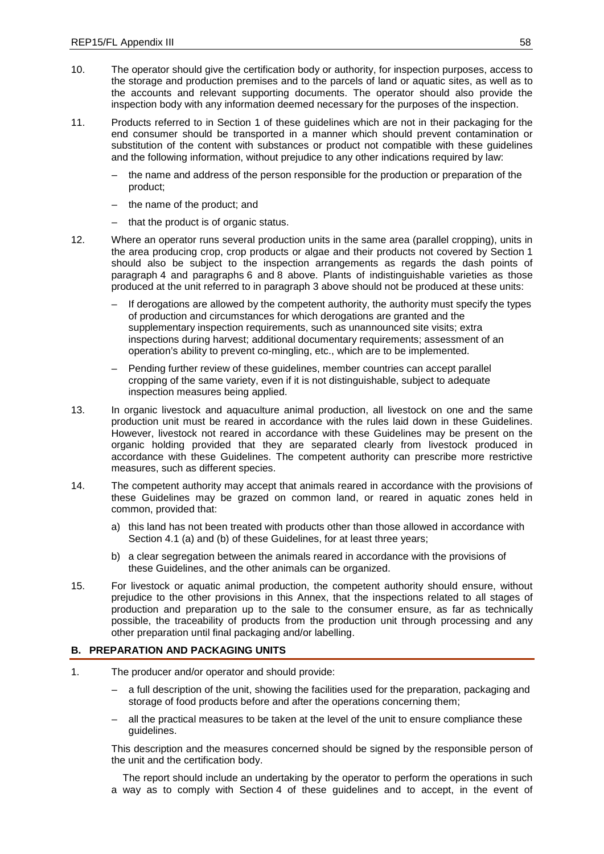- 10. The operator should give the certification body or authority, for inspection purposes, access to the storage and production premises and to the parcels of land or aquatic sites, as well as to the accounts and relevant supporting documents. The operator should also provide the inspection body with any information deemed necessary for the purposes of the inspection.
- 11. Products referred to in Section 1 of these guidelines which are not in their packaging for the end consumer should be transported in a manner which should prevent contamination or substitution of the content with substances or product not compatible with these guidelines and the following information, without prejudice to any other indications required by law:
	- the name and address of the person responsible for the production or preparation of the product;
	- the name of the product; and
	- that the product is of organic status.
- 12. Where an operator runs several production units in the same area (parallel cropping), units in the area producing crop, crop products or algae and their products not covered by Section 1 should also be subject to the inspection arrangements as regards the dash points of paragraph 4 and paragraphs 6 and 8 above. Plants of indistinguishable varieties as those produced at the unit referred to in paragraph 3 above should not be produced at these units:
	- If derogations are allowed by the competent authority, the authority must specify the types of production and circumstances for which derogations are granted and the supplementary inspection requirements, such as unannounced site visits; extra inspections during harvest; additional documentary requirements; assessment of an operation's ability to prevent co-mingling, etc., which are to be implemented.
	- Pending further review of these guidelines, member countries can accept parallel cropping of the same variety, even if it is not distinguishable, subject to adequate inspection measures being applied.
- 13. In organic livestock and aquaculture animal production, all livestock on one and the same production unit must be reared in accordance with the rules laid down in these Guidelines. However, livestock not reared in accordance with these Guidelines may be present on the organic holding provided that they are separated clearly from livestock produced in accordance with these Guidelines. The competent authority can prescribe more restrictive measures, such as different species.
- 14. The competent authority may accept that animals reared in accordance with the provisions of these Guidelines may be grazed on common land, or reared in aquatic zones held in common, provided that:
	- a) this land has not been treated with products other than those allowed in accordance with Section 4.1 (a) and (b) of these Guidelines, for at least three years;
	- b) a clear segregation between the animals reared in accordance with the provisions of these Guidelines, and the other animals can be organized.
- 15. For livestock or aquatic animal production, the competent authority should ensure, without prejudice to the other provisions in this Annex, that the inspections related to all stages of production and preparation up to the sale to the consumer ensure, as far as technically possible, the traceability of products from the production unit through processing and any other preparation until final packaging and/or labelling.

# **B. PREPARATION AND PACKAGING UNITS**

- 1. The producer and/or operator and should provide:
	- a full description of the unit, showing the facilities used for the preparation, packaging and storage of food products before and after the operations concerning them;
	- all the practical measures to be taken at the level of the unit to ensure compliance these guidelines.

This description and the measures concerned should be signed by the responsible person of the unit and the certification body.

The report should include an undertaking by the operator to perform the operations in such a way as to comply with Section 4 of these guidelines and to accept, in the event of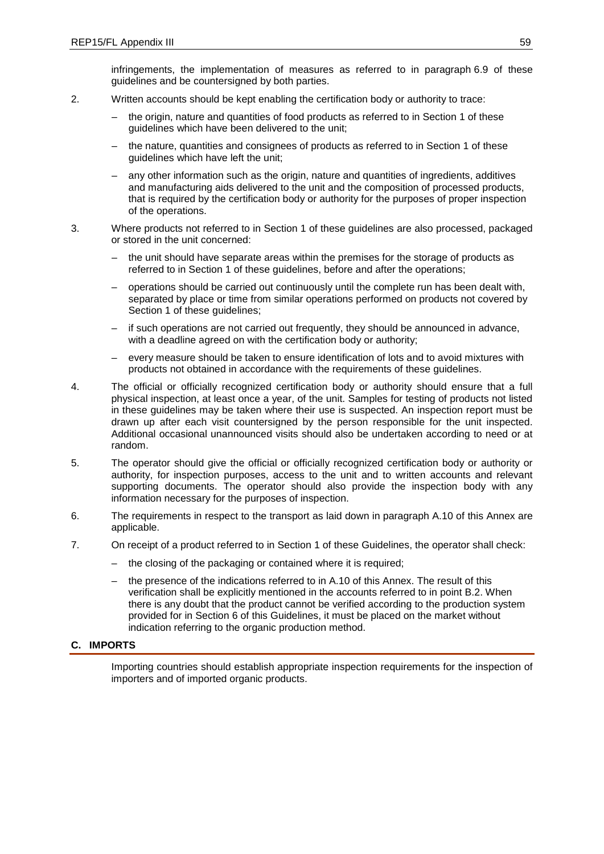infringements, the implementation of measures as referred to in paragraph 6.9 of these guidelines and be countersigned by both parties.

- 2. Written accounts should be kept enabling the certification body or authority to trace:
	- the origin, nature and quantities of food products as referred to in Section 1 of these guidelines which have been delivered to the unit;
	- the nature, quantities and consignees of products as referred to in Section 1 of these guidelines which have left the unit;
	- any other information such as the origin, nature and quantities of ingredients, additives and manufacturing aids delivered to the unit and the composition of processed products, that is required by the certification body or authority for the purposes of proper inspection of the operations.
- 3. Where products not referred to in Section 1 of these guidelines are also processed, packaged or stored in the unit concerned:
	- the unit should have separate areas within the premises for the storage of products as referred to in Section 1 of these guidelines, before and after the operations;
	- operations should be carried out continuously until the complete run has been dealt with, separated by place or time from similar operations performed on products not covered by Section 1 of these quidelines;
	- if such operations are not carried out frequently, they should be announced in advance, with a deadline agreed on with the certification body or authority;
	- every measure should be taken to ensure identification of lots and to avoid mixtures with products not obtained in accordance with the requirements of these guidelines.
- 4. The official or officially recognized certification body or authority should ensure that a full physical inspection, at least once a year, of the unit. Samples for testing of products not listed in these guidelines may be taken where their use is suspected. An inspection report must be drawn up after each visit countersigned by the person responsible for the unit inspected. Additional occasional unannounced visits should also be undertaken according to need or at random.
- 5. The operator should give the official or officially recognized certification body or authority or authority, for inspection purposes, access to the unit and to written accounts and relevant supporting documents. The operator should also provide the inspection body with any information necessary for the purposes of inspection.
- 6. The requirements in respect to the transport as laid down in paragraph A.10 of this Annex are applicable.
- 7. On receipt of a product referred to in Section 1 of these Guidelines, the operator shall check:
	- the closing of the packaging or contained where it is required;
	- the presence of the indications referred to in A.10 of this Annex. The result of this verification shall be explicitly mentioned in the accounts referred to in point B.2. When there is any doubt that the product cannot be verified according to the production system provided for in Section 6 of this Guidelines, it must be placed on the market without indication referring to the organic production method.

## **C. IMPORTS**

Importing countries should establish appropriate inspection requirements for the inspection of importers and of imported organic products.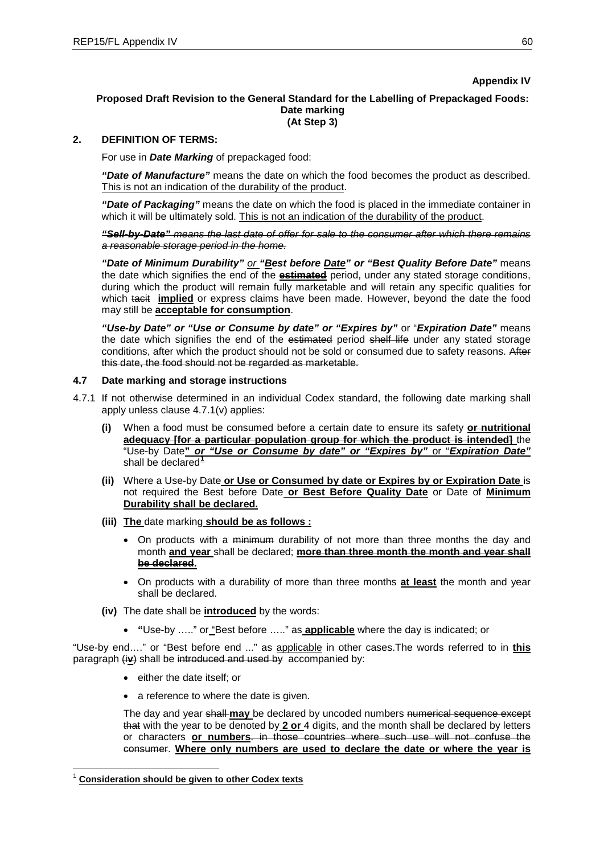# **Appendix IV**

#### **Proposed Draft Revision to the General Standard for the Labelling of Prepackaged Foods: Date marking (At Step 3)**

# **2. DEFINITION OF TERMS:**

For use in *Date Marking* of prepackaged food:

*"Date of Manufacture"* means the date on which the food becomes the product as described. This is not an indication of the durability of the product .

*"Date of Packaging"* means the date on which the food is placed in the immediate container in which it will be ultimately sold. <u>This is not an indication of the durability of the product</u>.

*"Sell-by-Date" means the last date of offer for sale to the consumer after which there remains a reasonable storage period in the home.* 

*"Date of Minimum Durability" or "Best before Date" or "Best Quality Before Date"* means the date which signifies the end of the **estimated** period, under any stated storage conditions, during which the product will remain fully marketable and will retain any specific qualities for which tacit **implied** or express claims have been made. However, beyond the date the food may still be **acceptable for consumption** .

*"Use-by Date" or "Use or Consume by date" or "Expires by"* or "*Expiration Date"* means the date which signifies the end of the estimated period shelf life under any stated storage conditions, after which the product should not be sold or consumed due to safety reasons. After this date, the food should not be regarded as marketable.

#### **4.7 Date marking and storage instructions**

- 4.7.1 If not otherwise determined in an individual Codex standard, the following date marking shall apply unless clause 4.7.1(v) applies:
	- **(i)** When a food must be consumed before a certain date to ensure its safety **or nutritional adequacy [for a particular population group for which the product is intended]** the "Use-by Date**"** *or "Use or Consume by date" or "Expires by"* or "*Expiration Date"* shall be declared**[1](#page-63-0)**
	- **(ii)** Where a Use-by Date **or Use or Consumed by date or Expires by or Expiration Date** is not required the Best before Date **or Best Before Quality Date** or Date of **Minimum Durability shall be declared.**
	- **(iii) The** date marking **should be as follows :** 
		- On products with a minimum durability of not more than three months the day and month **and year** shall be declared; **more than three month the month and year shall be declared .**
		- On products with a durability of more than three months **at least** the month and year shall be declared.
	- **(iv)** The date shall be **introduced** by the words:
		- **"**Use-by ….." or "Best before ….." as **applicable** where the day is indicated; or

"Use-by end…." or "Best before end ..." as applicable in other cases.The words referred to in **this**  paragraph (in intimely be introduced and used by accompanied by:

- either the date itself; or
- a reference to where the date is given.

The day and year shall **may** be declared by uncoded numbers numerical sequence except that with the year to be denoted by **2 or** 4 digits, and the month shall be declared by letters or characters **or numbers**. in those countries where such use will not confuse the consumer. **Where only numbers are used to declare the date or where the year is** 

<span id="page-63-0"></span><sup>1</sup> **Consideration should be given to other Codex texts**